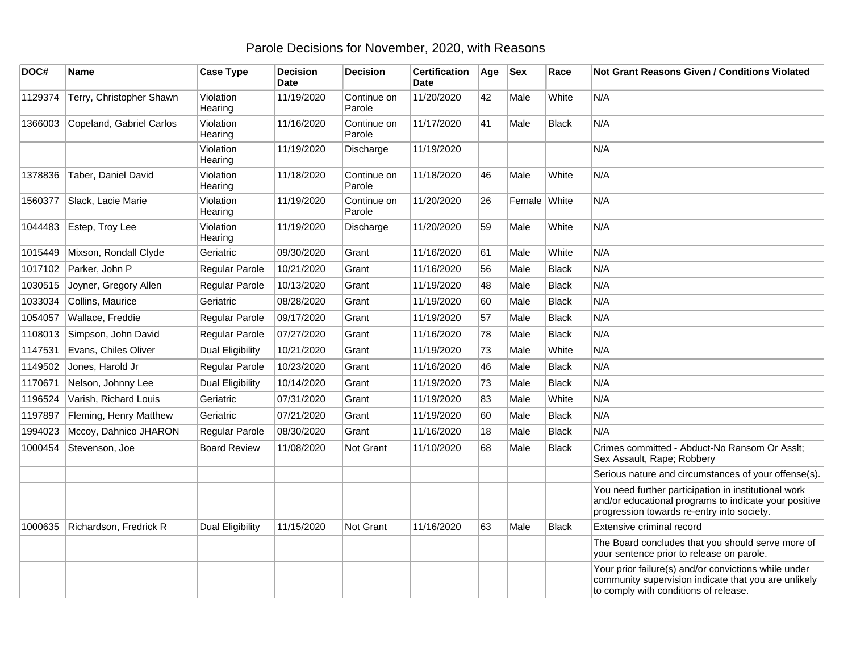## Parole Decisions for November, 2020, with Reasons

| DOC#    | <b>Name</b>              | <b>Case Type</b>        | <b>Decision</b><br><b>Date</b> | <b>Decision</b>       | <b>Certification</b><br><b>Date</b> | Age | <b>Sex</b>   | Race         | <b>Not Grant Reasons Given / Conditions Violated</b>                                                                                                        |
|---------|--------------------------|-------------------------|--------------------------------|-----------------------|-------------------------------------|-----|--------------|--------------|-------------------------------------------------------------------------------------------------------------------------------------------------------------|
| 1129374 | Terry, Christopher Shawn | Violation<br>Hearing    | 11/19/2020                     | Continue on<br>Parole | 11/20/2020                          | 42  | Male         | White        | N/A                                                                                                                                                         |
| 1366003 | Copeland, Gabriel Carlos | Violation<br>Hearing    | 11/16/2020                     | Continue on<br>Parole | 11/17/2020                          | 41  | Male         | <b>Black</b> | N/A                                                                                                                                                         |
|         |                          | Violation<br>Hearing    | 11/19/2020                     | Discharge             | 11/19/2020                          |     |              |              | N/A                                                                                                                                                         |
| 1378836 | Taber, Daniel David      | Violation<br>Hearing    | 11/18/2020                     | Continue on<br>Parole | 11/18/2020                          | 46  | Male         | White        | N/A                                                                                                                                                         |
| 1560377 | Slack, Lacie Marie       | Violation<br>Hearing    | 11/19/2020                     | Continue on<br>Parole | 11/20/2020                          | 26  | Female White |              | N/A                                                                                                                                                         |
| 1044483 | Estep, Troy Lee          | Violation<br>Hearing    | 11/19/2020                     | Discharge             | 11/20/2020                          | 59  | Male         | White        | N/A                                                                                                                                                         |
| 1015449 | Mixson, Rondall Clyde    | Geriatric               | 09/30/2020                     | Grant                 | 11/16/2020                          | 61  | Male         | White        | N/A                                                                                                                                                         |
| 1017102 | Parker, John P           | Regular Parole          | 10/21/2020                     | Grant                 | 11/16/2020                          | 56  | Male         | <b>Black</b> | N/A                                                                                                                                                         |
| 1030515 | Joyner, Gregory Allen    | Regular Parole          | 10/13/2020                     | Grant                 | 11/19/2020                          | 48  | Male         | <b>Black</b> | N/A                                                                                                                                                         |
| 1033034 | Collins, Maurice         | Geriatric               | 08/28/2020                     | Grant                 | 11/19/2020                          | 60  | Male         | <b>Black</b> | N/A                                                                                                                                                         |
| 1054057 | Wallace, Freddie         | Regular Parole          | 09/17/2020                     | Grant                 | 11/19/2020                          | 57  | Male         | <b>Black</b> | N/A                                                                                                                                                         |
| 1108013 | Simpson, John David      | Regular Parole          | 07/27/2020                     | Grant                 | 11/16/2020                          | 78  | Male         | <b>Black</b> | N/A                                                                                                                                                         |
| 1147531 | Evans, Chiles Oliver     | <b>Dual Eligibility</b> | 10/21/2020                     | Grant                 | 11/19/2020                          | 73  | Male         | White        | N/A                                                                                                                                                         |
| 1149502 | Jones, Harold Jr         | Regular Parole          | 10/23/2020                     | Grant                 | 11/16/2020                          | 46  | Male         | <b>Black</b> | N/A                                                                                                                                                         |
| 1170671 | Nelson, Johnny Lee       | Dual Eligibility        | 10/14/2020                     | Grant                 | 11/19/2020                          | 73  | Male         | <b>Black</b> | N/A                                                                                                                                                         |
| 1196524 | Varish, Richard Louis    | Geriatric               | 07/31/2020                     | Grant                 | 11/19/2020                          | 83  | Male         | White        | N/A                                                                                                                                                         |
| 1197897 | Fleming, Henry Matthew   | Geriatric               | 07/21/2020                     | Grant                 | 11/19/2020                          | 60  | Male         | <b>Black</b> | N/A                                                                                                                                                         |
| 1994023 | Mccoy, Dahnico JHARON    | Regular Parole          | 08/30/2020                     | Grant                 | 11/16/2020                          | 18  | Male         | <b>Black</b> | N/A                                                                                                                                                         |
| 1000454 | Stevenson, Joe           | <b>Board Review</b>     | 11/08/2020                     | Not Grant             | 11/10/2020                          | 68  | Male         | <b>Black</b> | Crimes committed - Abduct-No Ransom Or Asslt;<br>Sex Assault, Rape; Robbery                                                                                 |
|         |                          |                         |                                |                       |                                     |     |              |              | Serious nature and circumstances of your offense(s).                                                                                                        |
|         |                          |                         |                                |                       |                                     |     |              |              | You need further participation in institutional work<br>and/or educational programs to indicate your positive<br>progression towards re-entry into society. |
| 1000635 | Richardson, Fredrick R   | <b>Dual Eligibility</b> | 11/15/2020                     | Not Grant             | 11/16/2020                          | 63  | Male         | <b>Black</b> | Extensive criminal record                                                                                                                                   |
|         |                          |                         |                                |                       |                                     |     |              |              | The Board concludes that you should serve more of<br>your sentence prior to release on parole.                                                              |
|         |                          |                         |                                |                       |                                     |     |              |              | Your prior failure(s) and/or convictions while under<br>community supervision indicate that you are unlikely<br>to comply with conditions of release.       |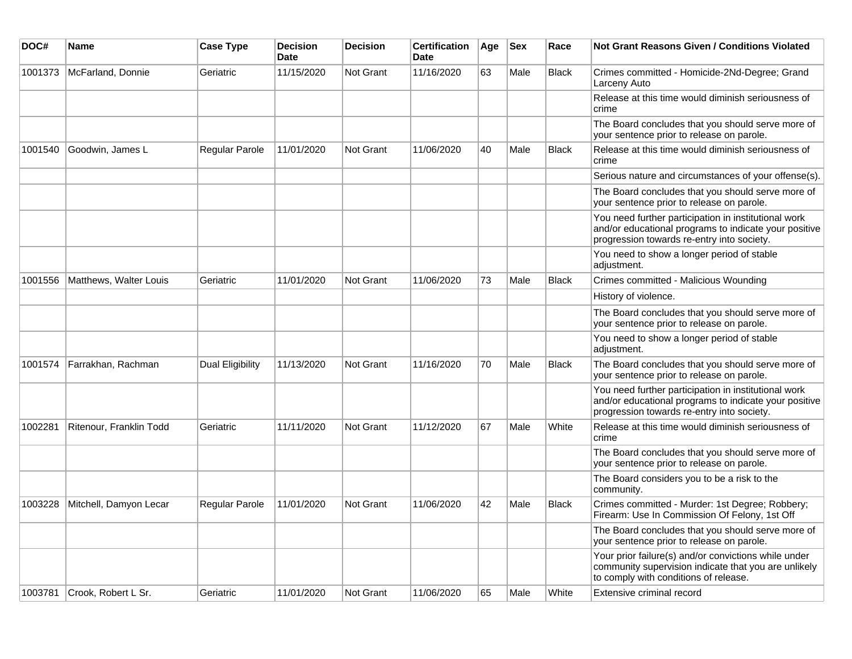| DOC#    | <b>Name</b>             | <b>Case Type</b> | <b>Decision</b><br><b>Date</b> | <b>Decision</b>  | <b>Certification</b><br>Date | Age | <b>Sex</b> | Race         | <b>Not Grant Reasons Given / Conditions Violated</b>                                                                                                        |
|---------|-------------------------|------------------|--------------------------------|------------------|------------------------------|-----|------------|--------------|-------------------------------------------------------------------------------------------------------------------------------------------------------------|
| 1001373 | McFarland, Donnie       | Geriatric        | 11/15/2020                     | Not Grant        | 11/16/2020                   | 63  | Male       | <b>Black</b> | Crimes committed - Homicide-2Nd-Degree; Grand<br>Larceny Auto                                                                                               |
|         |                         |                  |                                |                  |                              |     |            |              | Release at this time would diminish seriousness of<br>crime                                                                                                 |
|         |                         |                  |                                |                  |                              |     |            |              | The Board concludes that you should serve more of<br>your sentence prior to release on parole.                                                              |
| 1001540 | Goodwin, James L        | Regular Parole   | 11/01/2020                     | Not Grant        | 11/06/2020                   | 40  | Male       | <b>Black</b> | Release at this time would diminish seriousness of<br>crime                                                                                                 |
|         |                         |                  |                                |                  |                              |     |            |              | Serious nature and circumstances of your offense(s).                                                                                                        |
|         |                         |                  |                                |                  |                              |     |            |              | The Board concludes that you should serve more of<br>your sentence prior to release on parole.                                                              |
|         |                         |                  |                                |                  |                              |     |            |              | You need further participation in institutional work<br>and/or educational programs to indicate your positive<br>progression towards re-entry into society. |
|         |                         |                  |                                |                  |                              |     |            |              | You need to show a longer period of stable<br>adjustment.                                                                                                   |
| 1001556 | Matthews, Walter Louis  | Geriatric        | 11/01/2020                     | Not Grant        | 11/06/2020                   | 73  | Male       | <b>Black</b> | Crimes committed - Malicious Wounding                                                                                                                       |
|         |                         |                  |                                |                  |                              |     |            |              | History of violence.                                                                                                                                        |
|         |                         |                  |                                |                  |                              |     |            |              | The Board concludes that you should serve more of<br>your sentence prior to release on parole.                                                              |
|         |                         |                  |                                |                  |                              |     |            |              | You need to show a longer period of stable<br>adjustment.                                                                                                   |
| 1001574 | Farrakhan, Rachman      | Dual Eligibility | 11/13/2020                     | <b>Not Grant</b> | 11/16/2020                   | 70  | Male       | <b>Black</b> | The Board concludes that you should serve more of<br>your sentence prior to release on parole.                                                              |
|         |                         |                  |                                |                  |                              |     |            |              | You need further participation in institutional work<br>and/or educational programs to indicate your positive<br>progression towards re-entry into society. |
| 1002281 | Ritenour, Franklin Todd | Geriatric        | 11/11/2020                     | <b>Not Grant</b> | 11/12/2020                   | 67  | Male       | White        | Release at this time would diminish seriousness of<br>crime                                                                                                 |
|         |                         |                  |                                |                  |                              |     |            |              | The Board concludes that you should serve more of<br>your sentence prior to release on parole.                                                              |
|         |                         |                  |                                |                  |                              |     |            |              | The Board considers you to be a risk to the<br>community.                                                                                                   |
| 1003228 | Mitchell, Damyon Lecar  | Regular Parole   | 11/01/2020                     | <b>Not Grant</b> | 11/06/2020                   | 42  | Male       | <b>Black</b> | Crimes committed - Murder: 1st Degree; Robbery;<br>Firearm: Use In Commission Of Felony, 1st Off                                                            |
|         |                         |                  |                                |                  |                              |     |            |              | The Board concludes that you should serve more of<br>your sentence prior to release on parole.                                                              |
|         |                         |                  |                                |                  |                              |     |            |              | Your prior failure(s) and/or convictions while under<br>community supervision indicate that you are unlikely<br>to comply with conditions of release.       |
| 1003781 | Crook, Robert L Sr.     | Geriatric        | 11/01/2020                     | Not Grant        | 11/06/2020                   | 65  | Male       | White        | Extensive criminal record                                                                                                                                   |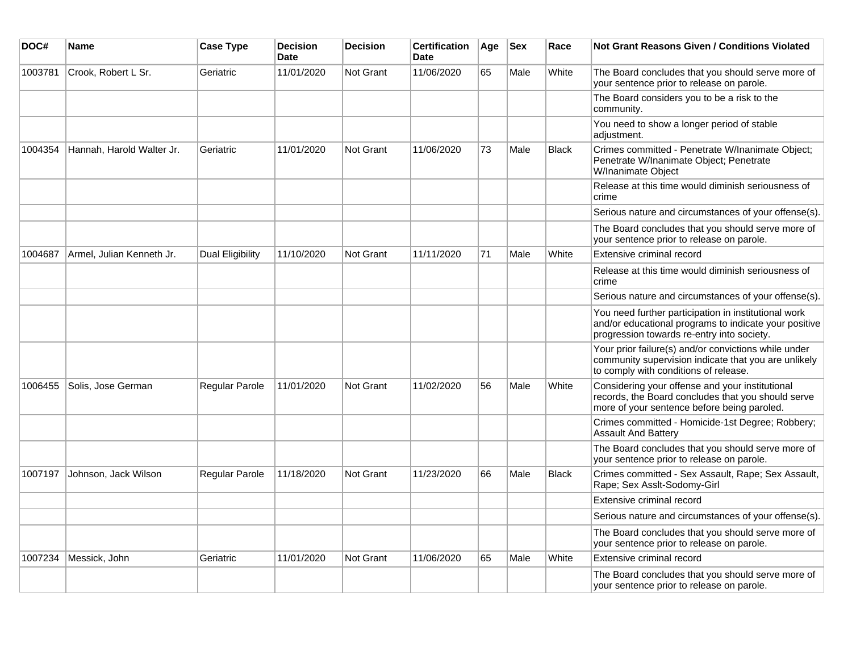| DOC#    | <b>Name</b>               | <b>Case Type</b> | <b>Decision</b><br><b>Date</b> | <b>Decision</b>  | <b>Certification</b><br><b>Date</b> | Age | <b>Sex</b> | Race         | Not Grant Reasons Given / Conditions Violated                                                                                                               |
|---------|---------------------------|------------------|--------------------------------|------------------|-------------------------------------|-----|------------|--------------|-------------------------------------------------------------------------------------------------------------------------------------------------------------|
| 1003781 | Crook, Robert L Sr.       | Geriatric        | 11/01/2020                     | Not Grant        | 11/06/2020                          | 65  | Male       | White        | The Board concludes that you should serve more of<br>your sentence prior to release on parole.                                                              |
|         |                           |                  |                                |                  |                                     |     |            |              | The Board considers you to be a risk to the<br>community.                                                                                                   |
|         |                           |                  |                                |                  |                                     |     |            |              | You need to show a longer period of stable<br>adjustment.                                                                                                   |
| 1004354 | Hannah, Harold Walter Jr. | Geriatric        | 11/01/2020                     | Not Grant        | 11/06/2020                          | 73  | Male       | <b>Black</b> | Crimes committed - Penetrate W/Inanimate Object;<br>Penetrate W/Inanimate Object; Penetrate<br>W/Inanimate Object                                           |
|         |                           |                  |                                |                  |                                     |     |            |              | Release at this time would diminish seriousness of<br>crime                                                                                                 |
|         |                           |                  |                                |                  |                                     |     |            |              | Serious nature and circumstances of your offense(s).                                                                                                        |
|         |                           |                  |                                |                  |                                     |     |            |              | The Board concludes that you should serve more of<br>your sentence prior to release on parole.                                                              |
| 1004687 | Armel, Julian Kenneth Jr. | Dual Eligibility | 11/10/2020                     | <b>Not Grant</b> | 11/11/2020                          | 71  | Male       | White        | Extensive criminal record                                                                                                                                   |
|         |                           |                  |                                |                  |                                     |     |            |              | Release at this time would diminish seriousness of<br>crime                                                                                                 |
|         |                           |                  |                                |                  |                                     |     |            |              | Serious nature and circumstances of your offense(s).                                                                                                        |
|         |                           |                  |                                |                  |                                     |     |            |              | You need further participation in institutional work<br>and/or educational programs to indicate your positive<br>progression towards re-entry into society. |
|         |                           |                  |                                |                  |                                     |     |            |              | Your prior failure(s) and/or convictions while under<br>community supervision indicate that you are unlikely<br>to comply with conditions of release.       |
| 1006455 | Solis, Jose German        | Regular Parole   | 11/01/2020                     | <b>Not Grant</b> | 11/02/2020                          | 56  | Male       | White        | Considering your offense and your institutional<br>records, the Board concludes that you should serve<br>more of your sentence before being paroled.        |
|         |                           |                  |                                |                  |                                     |     |            |              | Crimes committed - Homicide-1st Degree; Robbery;<br><b>Assault And Battery</b>                                                                              |
|         |                           |                  |                                |                  |                                     |     |            |              | The Board concludes that you should serve more of<br>your sentence prior to release on parole.                                                              |
| 1007197 | Johnson, Jack Wilson      | Regular Parole   | 11/18/2020                     | <b>Not Grant</b> | 11/23/2020                          | 66  | Male       | <b>Black</b> | Crimes committed - Sex Assault, Rape; Sex Assault,<br>Rape; Sex Asslt-Sodomy-Girl                                                                           |
|         |                           |                  |                                |                  |                                     |     |            |              | Extensive criminal record                                                                                                                                   |
|         |                           |                  |                                |                  |                                     |     |            |              | Serious nature and circumstances of your offense(s).                                                                                                        |
|         |                           |                  |                                |                  |                                     |     |            |              | The Board concludes that you should serve more of<br>your sentence prior to release on parole.                                                              |
| 1007234 | Messick, John             | Geriatric        | 11/01/2020                     | Not Grant        | 11/06/2020                          | 65  | Male       | White        | Extensive criminal record                                                                                                                                   |
|         |                           |                  |                                |                  |                                     |     |            |              | The Board concludes that you should serve more of<br>your sentence prior to release on parole.                                                              |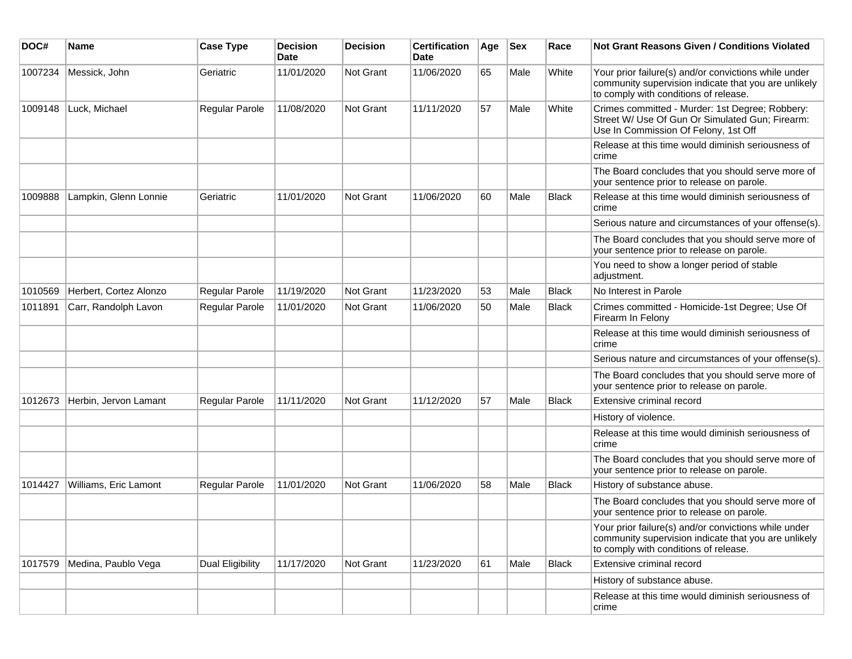| DOC#    | <b>Name</b>            | <b>Case Type</b>      | <b>Decision</b><br>Date | <b>Decision</b> | <b>Certification</b><br>Date | Age | <b>Sex</b> | Race         | Not Grant Reasons Given / Conditions Violated                                                                                                         |
|---------|------------------------|-----------------------|-------------------------|-----------------|------------------------------|-----|------------|--------------|-------------------------------------------------------------------------------------------------------------------------------------------------------|
| 1007234 | Messick, John          | Geriatric             | 11/01/2020              | Not Grant       | 11/06/2020                   | 65  | Male       | White        | Your prior failure(s) and/or convictions while under<br>community supervision indicate that you are unlikely<br>to comply with conditions of release. |
| 1009148 | Luck, Michael          | Regular Parole        | 11/08/2020              | Not Grant       | 11/11/2020                   | 57  | Male       | White        | Crimes committed - Murder: 1st Degree; Robbery:<br>Street W/ Use Of Gun Or Simulated Gun; Firearm:<br>Use In Commission Of Felony, 1st Off            |
|         |                        |                       |                         |                 |                              |     |            |              | Release at this time would diminish seriousness of<br>crime                                                                                           |
|         |                        |                       |                         |                 |                              |     |            |              | The Board concludes that you should serve more of<br>your sentence prior to release on parole.                                                        |
| 1009888 | Lampkin, Glenn Lonnie  | Geriatric             | 11/01/2020              | Not Grant       | 11/06/2020                   | 60  | Male       | <b>Black</b> | Release at this time would diminish seriousness of<br>crime                                                                                           |
|         |                        |                       |                         |                 |                              |     |            |              | Serious nature and circumstances of your offense(s).                                                                                                  |
|         |                        |                       |                         |                 |                              |     |            |              | The Board concludes that you should serve more of<br>your sentence prior to release on parole.                                                        |
|         |                        |                       |                         |                 |                              |     |            |              | You need to show a longer period of stable<br>adjustment.                                                                                             |
| 1010569 | Herbert, Cortez Alonzo | Regular Parole        | 11/19/2020              | Not Grant       | 11/23/2020                   | 53  | Male       | <b>Black</b> | No Interest in Parole                                                                                                                                 |
| 1011891 | Carr, Randolph Lavon   | Regular Parole        | 11/01/2020              | Not Grant       | 11/06/2020                   | 50  | Male       | <b>Black</b> | Crimes committed - Homicide-1st Degree; Use Of<br>Firearm In Felony                                                                                   |
|         |                        |                       |                         |                 |                              |     |            |              | Release at this time would diminish seriousness of<br>crime                                                                                           |
|         |                        |                       |                         |                 |                              |     |            |              | Serious nature and circumstances of your offense(s).                                                                                                  |
|         |                        |                       |                         |                 |                              |     |            |              | The Board concludes that you should serve more of<br>your sentence prior to release on parole.                                                        |
| 1012673 | Herbin, Jervon Lamant  | <b>Regular Parole</b> | 11/11/2020              | Not Grant       | 11/12/2020                   | 57  | Male       | <b>Black</b> | Extensive criminal record                                                                                                                             |
|         |                        |                       |                         |                 |                              |     |            |              | History of violence.                                                                                                                                  |
|         |                        |                       |                         |                 |                              |     |            |              | Release at this time would diminish seriousness of<br>crime                                                                                           |
|         |                        |                       |                         |                 |                              |     |            |              | The Board concludes that you should serve more of<br>your sentence prior to release on parole.                                                        |
| 1014427 | Williams, Eric Lamont  | Regular Parole        | 11/01/2020              | Not Grant       | 11/06/2020                   | 58  | Male       | <b>Black</b> | History of substance abuse.                                                                                                                           |
|         |                        |                       |                         |                 |                              |     |            |              | The Board concludes that you should serve more of<br>your sentence prior to release on parole.                                                        |
|         |                        |                       |                         |                 |                              |     |            |              | Your prior failure(s) and/or convictions while under<br>community supervision indicate that you are unlikely<br>to comply with conditions of release. |
| 1017579 | Medina, Paublo Vega    | Dual Eligibility      | 11/17/2020              | Not Grant       | 11/23/2020                   | 61  | Male       | <b>Black</b> | Extensive criminal record                                                                                                                             |
|         |                        |                       |                         |                 |                              |     |            |              | History of substance abuse.                                                                                                                           |
|         |                        |                       |                         |                 |                              |     |            |              | Release at this time would diminish seriousness of<br>crime                                                                                           |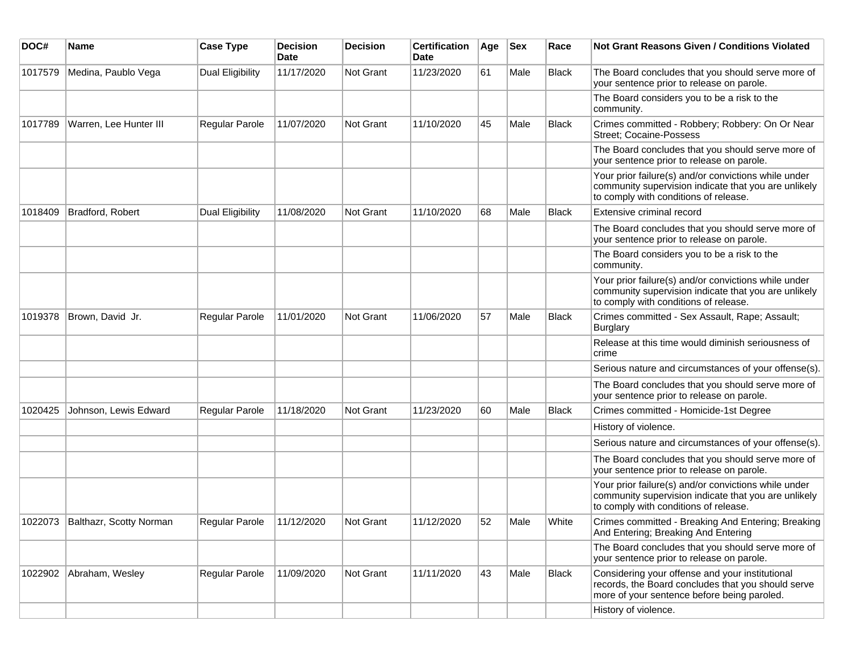| DOC#    | Name                            | <b>Case Type</b>        | <b>Decision</b><br>Date | <b>Decision</b> | <b>Certification</b><br>Date | Age | <b>Sex</b> | Race         | Not Grant Reasons Given / Conditions Violated                                                                                                         |
|---------|---------------------------------|-------------------------|-------------------------|-----------------|------------------------------|-----|------------|--------------|-------------------------------------------------------------------------------------------------------------------------------------------------------|
| 1017579 | Medina, Paublo Vega             | <b>Dual Eligibility</b> | 11/17/2020              | Not Grant       | 11/23/2020                   | 61  | Male       | <b>Black</b> | The Board concludes that you should serve more of<br>your sentence prior to release on parole.                                                        |
|         |                                 |                         |                         |                 |                              |     |            |              | The Board considers you to be a risk to the<br>community.                                                                                             |
| 1017789 | Warren, Lee Hunter III          | Regular Parole          | 11/07/2020              | Not Grant       | 11/10/2020                   | 45  | Male       | <b>Black</b> | Crimes committed - Robbery; Robbery: On Or Near<br><b>Street; Cocaine-Possess</b>                                                                     |
|         |                                 |                         |                         |                 |                              |     |            |              | The Board concludes that you should serve more of<br>your sentence prior to release on parole.                                                        |
|         |                                 |                         |                         |                 |                              |     |            |              | Your prior failure(s) and/or convictions while under<br>community supervision indicate that you are unlikely<br>to comply with conditions of release. |
| 1018409 | Bradford, Robert                | Dual Eligibility        | 11/08/2020              | Not Grant       | 11/10/2020                   | 68  | Male       | <b>Black</b> | Extensive criminal record                                                                                                                             |
|         |                                 |                         |                         |                 |                              |     |            |              | The Board concludes that you should serve more of<br>your sentence prior to release on parole.                                                        |
|         |                                 |                         |                         |                 |                              |     |            |              | The Board considers you to be a risk to the<br>community.                                                                                             |
|         |                                 |                         |                         |                 |                              |     |            |              | Your prior failure(s) and/or convictions while under<br>community supervision indicate that you are unlikely<br>to comply with conditions of release. |
| 1019378 | Brown, David Jr.                | <b>Regular Parole</b>   | 11/01/2020              | Not Grant       | 11/06/2020                   | 57  | Male       | <b>Black</b> | Crimes committed - Sex Assault, Rape; Assault;<br>Burglary                                                                                            |
|         |                                 |                         |                         |                 |                              |     |            |              | Release at this time would diminish seriousness of<br>crime                                                                                           |
|         |                                 |                         |                         |                 |                              |     |            |              | Serious nature and circumstances of your offense(s).                                                                                                  |
|         |                                 |                         |                         |                 |                              |     |            |              | The Board concludes that you should serve more of<br>your sentence prior to release on parole.                                                        |
| 1020425 | Johnson, Lewis Edward           | <b>Regular Parole</b>   | 11/18/2020              | Not Grant       | 11/23/2020                   | 60  | Male       | <b>Black</b> | Crimes committed - Homicide-1st Degree                                                                                                                |
|         |                                 |                         |                         |                 |                              |     |            |              | History of violence.                                                                                                                                  |
|         |                                 |                         |                         |                 |                              |     |            |              | Serious nature and circumstances of your offense(s).                                                                                                  |
|         |                                 |                         |                         |                 |                              |     |            |              | The Board concludes that you should serve more of<br>your sentence prior to release on parole.                                                        |
|         |                                 |                         |                         |                 |                              |     |            |              | Your prior failure(s) and/or convictions while under<br>community supervision indicate that you are unlikely<br>to comply with conditions of release. |
|         | 1022073 Balthazr, Scotty Norman | Regular Parole          | 11/12/2020              | Not Grant       | 11/12/2020                   | 52  | Male       | White        | Crimes committed - Breaking And Entering; Breaking<br>And Entering; Breaking And Entering                                                             |
|         |                                 |                         |                         |                 |                              |     |            |              | The Board concludes that you should serve more of<br>your sentence prior to release on parole.                                                        |
| 1022902 | Abraham, Wesley                 | Regular Parole          | 11/09/2020              | Not Grant       | 11/11/2020                   | 43  | Male       | Black        | Considering your offense and your institutional<br>records, the Board concludes that you should serve<br>more of your sentence before being paroled.  |
|         |                                 |                         |                         |                 |                              |     |            |              | History of violence.                                                                                                                                  |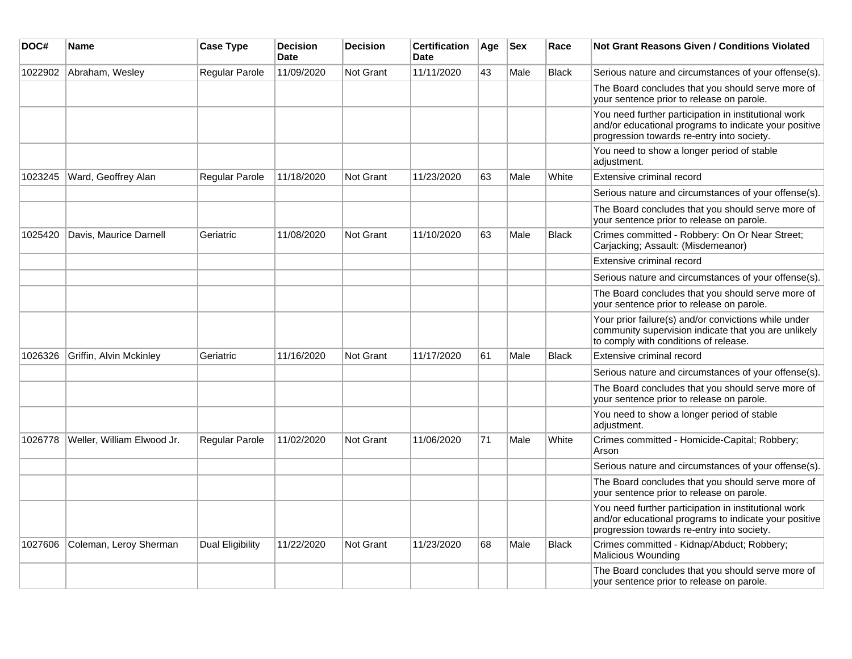| DOC#    | Name                       | <b>Case Type</b>        | <b>Decision</b><br><b>Date</b> | <b>Decision</b>  | <b>Certification</b><br><b>Date</b> | Age | <b>Sex</b> | Race         | <b>Not Grant Reasons Given / Conditions Violated</b>                                                                                                        |
|---------|----------------------------|-------------------------|--------------------------------|------------------|-------------------------------------|-----|------------|--------------|-------------------------------------------------------------------------------------------------------------------------------------------------------------|
| 1022902 | Abraham, Wesley            | Regular Parole          | 11/09/2020                     | <b>Not Grant</b> | 11/11/2020                          | 43  | Male       | <b>Black</b> | Serious nature and circumstances of your offense(s).                                                                                                        |
|         |                            |                         |                                |                  |                                     |     |            |              | The Board concludes that you should serve more of<br>your sentence prior to release on parole.                                                              |
|         |                            |                         |                                |                  |                                     |     |            |              | You need further participation in institutional work<br>and/or educational programs to indicate your positive<br>progression towards re-entry into society. |
|         |                            |                         |                                |                  |                                     |     |            |              | You need to show a longer period of stable<br>adjustment.                                                                                                   |
| 1023245 | Ward, Geoffrey Alan        | Regular Parole          | 11/18/2020                     | Not Grant        | 11/23/2020                          | 63  | Male       | White        | Extensive criminal record                                                                                                                                   |
|         |                            |                         |                                |                  |                                     |     |            |              | Serious nature and circumstances of your offense(s).                                                                                                        |
|         |                            |                         |                                |                  |                                     |     |            |              | The Board concludes that you should serve more of<br>your sentence prior to release on parole.                                                              |
| 1025420 | Davis, Maurice Darnell     | Geriatric               | 11/08/2020                     | Not Grant        | 11/10/2020                          | 63  | Male       | <b>Black</b> | Crimes committed - Robbery: On Or Near Street;<br>Carjacking; Assault: (Misdemeanor)                                                                        |
|         |                            |                         |                                |                  |                                     |     |            |              | Extensive criminal record                                                                                                                                   |
|         |                            |                         |                                |                  |                                     |     |            |              | Serious nature and circumstances of your offense(s).                                                                                                        |
|         |                            |                         |                                |                  |                                     |     |            |              | The Board concludes that you should serve more of<br>your sentence prior to release on parole.                                                              |
|         |                            |                         |                                |                  |                                     |     |            |              | Your prior failure(s) and/or convictions while under<br>community supervision indicate that you are unlikely<br>to comply with conditions of release.       |
| 1026326 | Griffin, Alvin Mckinley    | Geriatric               | 11/16/2020                     | <b>Not Grant</b> | 11/17/2020                          | 61  | Male       | <b>Black</b> | Extensive criminal record                                                                                                                                   |
|         |                            |                         |                                |                  |                                     |     |            |              | Serious nature and circumstances of your offense(s).                                                                                                        |
|         |                            |                         |                                |                  |                                     |     |            |              | The Board concludes that you should serve more of<br>your sentence prior to release on parole.                                                              |
|         |                            |                         |                                |                  |                                     |     |            |              | You need to show a longer period of stable<br>adjustment.                                                                                                   |
| 1026778 | Weller, William Elwood Jr. | <b>Regular Parole</b>   | 11/02/2020                     | Not Grant        | 11/06/2020                          | 71  | Male       | White        | Crimes committed - Homicide-Capital; Robbery;<br>Arson                                                                                                      |
|         |                            |                         |                                |                  |                                     |     |            |              | Serious nature and circumstances of your offense(s).                                                                                                        |
|         |                            |                         |                                |                  |                                     |     |            |              | The Board concludes that you should serve more of<br>your sentence prior to release on parole.                                                              |
|         |                            |                         |                                |                  |                                     |     |            |              | You need further participation in institutional work<br>and/or educational programs to indicate your positive<br>progression towards re-entry into society. |
| 1027606 | Coleman, Leroy Sherman     | <b>Dual Eligibility</b> | 11/22/2020                     | Not Grant        | 11/23/2020                          | 68  | Male       | <b>Black</b> | Crimes committed - Kidnap/Abduct; Robbery;<br>Malicious Wounding                                                                                            |
|         |                            |                         |                                |                  |                                     |     |            |              | The Board concludes that you should serve more of<br>your sentence prior to release on parole.                                                              |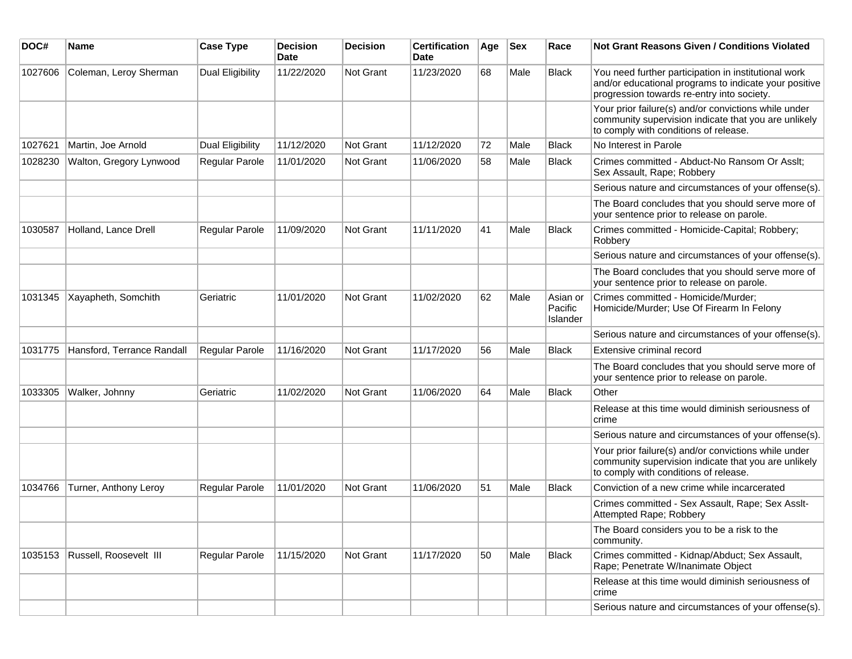| DOC#    | Name                       | <b>Case Type</b>        | <b>Decision</b><br>Date | <b>Decision</b>  | <b>Certification</b><br>Date | Age | <b>Sex</b> | Race                            | Not Grant Reasons Given / Conditions Violated                                                                                                               |
|---------|----------------------------|-------------------------|-------------------------|------------------|------------------------------|-----|------------|---------------------------------|-------------------------------------------------------------------------------------------------------------------------------------------------------------|
| 1027606 | Coleman, Leroy Sherman     | <b>Dual Eligibility</b> | 11/22/2020              | Not Grant        | 11/23/2020                   | 68  | Male       | Black                           | You need further participation in institutional work<br>and/or educational programs to indicate your positive<br>progression towards re-entry into society. |
|         |                            |                         |                         |                  |                              |     |            |                                 | Your prior failure(s) and/or convictions while under<br>community supervision indicate that you are unlikely<br>to comply with conditions of release.       |
| 1027621 | Martin, Joe Arnold         | Dual Eligibility        | 11/12/2020              | <b>Not Grant</b> | 11/12/2020                   | 72  | Male       | <b>Black</b>                    | No Interest in Parole                                                                                                                                       |
| 1028230 | Walton, Gregory Lynwood    | Regular Parole          | 11/01/2020              | <b>Not Grant</b> | 11/06/2020                   | 58  | Male       | <b>Black</b>                    | Crimes committed - Abduct-No Ransom Or Asslt;<br>Sex Assault, Rape; Robbery                                                                                 |
|         |                            |                         |                         |                  |                              |     |            |                                 | Serious nature and circumstances of your offense(s).                                                                                                        |
|         |                            |                         |                         |                  |                              |     |            |                                 | The Board concludes that you should serve more of<br>your sentence prior to release on parole.                                                              |
| 1030587 | Holland, Lance Drell       | <b>Regular Parole</b>   | 11/09/2020              | <b>Not Grant</b> | 11/11/2020                   | 41  | Male       | <b>Black</b>                    | Crimes committed - Homicide-Capital; Robbery;<br>Robbery                                                                                                    |
|         |                            |                         |                         |                  |                              |     |            |                                 | Serious nature and circumstances of your offense(s).                                                                                                        |
|         |                            |                         |                         |                  |                              |     |            |                                 | The Board concludes that you should serve more of<br>your sentence prior to release on parole.                                                              |
| 1031345 | Xayapheth, Somchith        | Geriatric               | 11/01/2020              | <b>Not Grant</b> | 11/02/2020                   | 62  | Male       | Asian or<br>Pacific<br>Islander | Crimes committed - Homicide/Murder;<br>Homicide/Murder; Use Of Firearm In Felony                                                                            |
|         |                            |                         |                         |                  |                              |     |            |                                 | Serious nature and circumstances of your offense(s).                                                                                                        |
| 1031775 | Hansford, Terrance Randall | Regular Parole          | 11/16/2020              | <b>Not Grant</b> | 11/17/2020                   | 56  | Male       | <b>Black</b>                    | Extensive criminal record                                                                                                                                   |
|         |                            |                         |                         |                  |                              |     |            |                                 | The Board concludes that you should serve more of<br>your sentence prior to release on parole.                                                              |
| 1033305 | Walker, Johnny             | Geriatric               | 11/02/2020              | <b>Not Grant</b> | 11/06/2020                   | 64  | Male       | <b>Black</b>                    | Other                                                                                                                                                       |
|         |                            |                         |                         |                  |                              |     |            |                                 | Release at this time would diminish seriousness of<br>crime                                                                                                 |
|         |                            |                         |                         |                  |                              |     |            |                                 | Serious nature and circumstances of your offense(s).                                                                                                        |
|         |                            |                         |                         |                  |                              |     |            |                                 | Your prior failure(s) and/or convictions while under<br>community supervision indicate that you are unlikely<br>to comply with conditions of release.       |
| 1034766 | Turner, Anthony Leroy      | <b>Regular Parole</b>   | 11/01/2020              | <b>Not Grant</b> | 11/06/2020                   | 51  | Male       | <b>Black</b>                    | Conviction of a new crime while incarcerated                                                                                                                |
|         |                            |                         |                         |                  |                              |     |            |                                 | Crimes committed - Sex Assault, Rape; Sex Asslt-<br>Attempted Rape; Robbery                                                                                 |
|         |                            |                         |                         |                  |                              |     |            |                                 | The Board considers you to be a risk to the<br>community.                                                                                                   |
| 1035153 | Russell, Roosevelt III     | Regular Parole          | 11/15/2020              | Not Grant        | 11/17/2020                   | 50  | Male       | <b>Black</b>                    | Crimes committed - Kidnap/Abduct; Sex Assault,<br>Rape; Penetrate W/Inanimate Object                                                                        |
|         |                            |                         |                         |                  |                              |     |            |                                 | Release at this time would diminish seriousness of<br>crime                                                                                                 |
|         |                            |                         |                         |                  |                              |     |            |                                 | Serious nature and circumstances of your offense(s).                                                                                                        |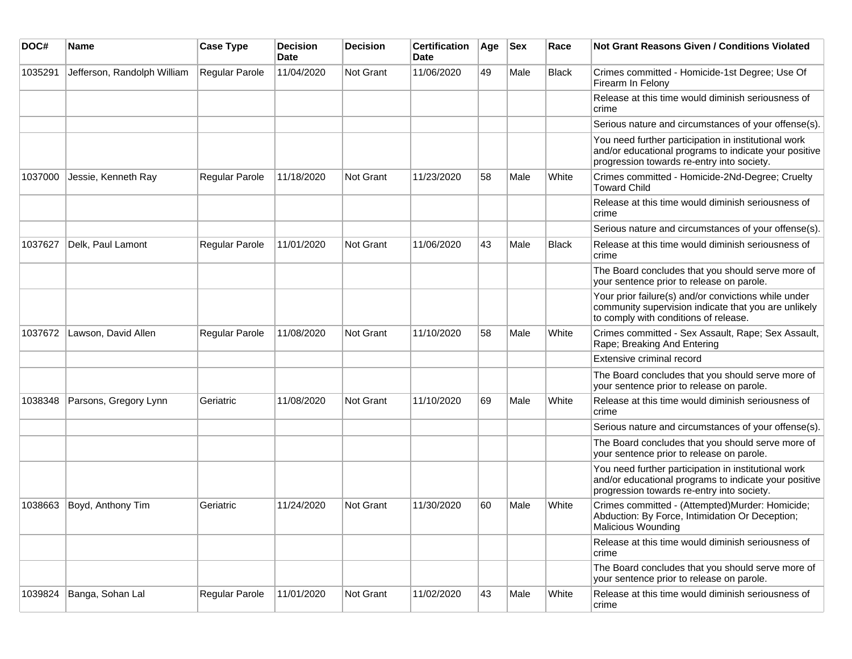| DOC#    | <b>Name</b>                 | <b>Case Type</b>      | <b>Decision</b><br>Date | <b>Decision</b> | <b>Certification</b><br><b>Date</b> | Age | <b>Sex</b> | Race         | <b>Not Grant Reasons Given / Conditions Violated</b>                                                                                                        |
|---------|-----------------------------|-----------------------|-------------------------|-----------------|-------------------------------------|-----|------------|--------------|-------------------------------------------------------------------------------------------------------------------------------------------------------------|
| 1035291 | Jefferson, Randolph William | Regular Parole        | 11/04/2020              | Not Grant       | 11/06/2020                          | 49  | Male       | <b>Black</b> | Crimes committed - Homicide-1st Degree; Use Of<br>Firearm In Felony                                                                                         |
|         |                             |                       |                         |                 |                                     |     |            |              | Release at this time would diminish seriousness of<br>crime                                                                                                 |
|         |                             |                       |                         |                 |                                     |     |            |              | Serious nature and circumstances of your offense(s).                                                                                                        |
|         |                             |                       |                         |                 |                                     |     |            |              | You need further participation in institutional work<br>and/or educational programs to indicate your positive<br>progression towards re-entry into society. |
| 1037000 | Jessie, Kenneth Ray         | <b>Regular Parole</b> | 11/18/2020              | Not Grant       | 11/23/2020                          | 58  | Male       | White        | Crimes committed - Homicide-2Nd-Degree; Cruelty<br><b>Toward Child</b>                                                                                      |
|         |                             |                       |                         |                 |                                     |     |            |              | Release at this time would diminish seriousness of<br>crime                                                                                                 |
|         |                             |                       |                         |                 |                                     |     |            |              | Serious nature and circumstances of your offense(s).                                                                                                        |
| 1037627 | Delk, Paul Lamont           | <b>Regular Parole</b> | 11/01/2020              | Not Grant       | 11/06/2020                          | 43  | Male       | <b>Black</b> | Release at this time would diminish seriousness of<br>crime                                                                                                 |
|         |                             |                       |                         |                 |                                     |     |            |              | The Board concludes that you should serve more of<br>your sentence prior to release on parole.                                                              |
|         |                             |                       |                         |                 |                                     |     |            |              | Your prior failure(s) and/or convictions while under<br>community supervision indicate that you are unlikely<br>to comply with conditions of release.       |
| 1037672 | Lawson, David Allen         | Regular Parole        | 11/08/2020              | Not Grant       | 11/10/2020                          | 58  | Male       | White        | Crimes committed - Sex Assault, Rape; Sex Assault,<br>Rape; Breaking And Entering                                                                           |
|         |                             |                       |                         |                 |                                     |     |            |              | Extensive criminal record                                                                                                                                   |
|         |                             |                       |                         |                 |                                     |     |            |              | The Board concludes that you should serve more of<br>your sentence prior to release on parole.                                                              |
| 1038348 | Parsons, Gregory Lynn       | Geriatric             | 11/08/2020              | Not Grant       | 11/10/2020                          | 69  | Male       | White        | Release at this time would diminish seriousness of<br>crime                                                                                                 |
|         |                             |                       |                         |                 |                                     |     |            |              | Serious nature and circumstances of your offense(s).                                                                                                        |
|         |                             |                       |                         |                 |                                     |     |            |              | The Board concludes that you should serve more of<br>your sentence prior to release on parole.                                                              |
|         |                             |                       |                         |                 |                                     |     |            |              | You need further participation in institutional work<br>and/or educational programs to indicate your positive<br>progression towards re-entry into society. |
| 1038663 | Boyd, Anthony Tim           | Geriatric             | 11/24/2020              | Not Grant       | 11/30/2020                          | 60  | Male       | White        | Crimes committed - (Attempted)Murder: Homicide;<br>Abduction: By Force, Intimidation Or Deception;<br>Malicious Wounding                                    |
|         |                             |                       |                         |                 |                                     |     |            |              | Release at this time would diminish seriousness of<br>crime                                                                                                 |
|         |                             |                       |                         |                 |                                     |     |            |              | The Board concludes that you should serve more of<br>your sentence prior to release on parole.                                                              |
| 1039824 | Banga, Sohan Lal            | Regular Parole        | 11/01/2020              | Not Grant       | 11/02/2020                          | 43  | Male       | White        | Release at this time would diminish seriousness of<br>crime                                                                                                 |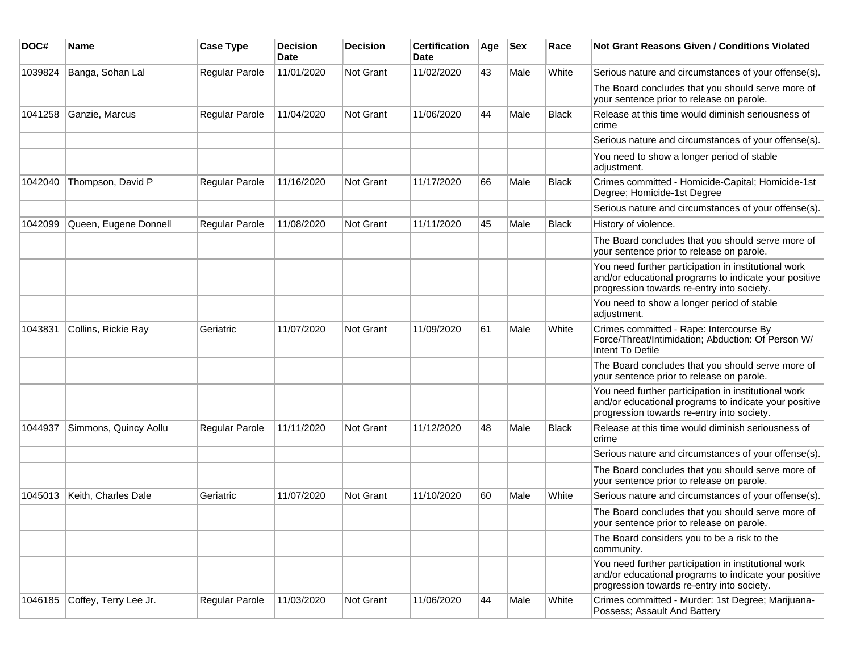| DOC#    | Name                  | <b>Case Type</b>      | <b>Decision</b><br><b>Date</b> | <b>Decision</b> | <b>Certification</b><br>Date | Age | <b>Sex</b> | Race         | Not Grant Reasons Given / Conditions Violated                                                                                                               |
|---------|-----------------------|-----------------------|--------------------------------|-----------------|------------------------------|-----|------------|--------------|-------------------------------------------------------------------------------------------------------------------------------------------------------------|
| 1039824 | Banga, Sohan Lal      | Regular Parole        | 11/01/2020                     | Not Grant       | 11/02/2020                   | 43  | Male       | White        | Serious nature and circumstances of your offense(s).                                                                                                        |
|         |                       |                       |                                |                 |                              |     |            |              | The Board concludes that you should serve more of<br>your sentence prior to release on parole.                                                              |
| 1041258 | Ganzie, Marcus        | Regular Parole        | 11/04/2020                     | Not Grant       | 11/06/2020                   | 44  | Male       | <b>Black</b> | Release at this time would diminish seriousness of<br>crime                                                                                                 |
|         |                       |                       |                                |                 |                              |     |            |              | Serious nature and circumstances of your offense(s).                                                                                                        |
|         |                       |                       |                                |                 |                              |     |            |              | You need to show a longer period of stable<br>adjustment.                                                                                                   |
| 1042040 | Thompson, David P     | <b>Regular Parole</b> | 11/16/2020                     | Not Grant       | 11/17/2020                   | 66  | Male       | <b>Black</b> | Crimes committed - Homicide-Capital; Homicide-1st<br>Degree; Homicide-1st Degree                                                                            |
|         |                       |                       |                                |                 |                              |     |            |              | Serious nature and circumstances of your offense(s).                                                                                                        |
| 1042099 | Queen, Eugene Donnell | Regular Parole        | 11/08/2020                     | Not Grant       | 11/11/2020                   | 45  | Male       | <b>Black</b> | History of violence.                                                                                                                                        |
|         |                       |                       |                                |                 |                              |     |            |              | The Board concludes that you should serve more of<br>your sentence prior to release on parole.                                                              |
|         |                       |                       |                                |                 |                              |     |            |              | You need further participation in institutional work<br>and/or educational programs to indicate your positive<br>progression towards re-entry into society. |
|         |                       |                       |                                |                 |                              |     |            |              | You need to show a longer period of stable<br>adjustment.                                                                                                   |
| 1043831 | Collins, Rickie Ray   | Geriatric             | 11/07/2020                     | Not Grant       | 11/09/2020                   | 61  | Male       | White        | Crimes committed - Rape: Intercourse By<br>Force/Threat/Intimidation; Abduction: Of Person W/<br>Intent To Defile                                           |
|         |                       |                       |                                |                 |                              |     |            |              | The Board concludes that you should serve more of<br>your sentence prior to release on parole.                                                              |
|         |                       |                       |                                |                 |                              |     |            |              | You need further participation in institutional work<br>and/or educational programs to indicate your positive<br>progression towards re-entry into society. |
| 1044937 | Simmons, Quincy Aollu | <b>Regular Parole</b> | 11/11/2020                     | Not Grant       | 11/12/2020                   | 48  | Male       | Black        | Release at this time would diminish seriousness of<br>crime                                                                                                 |
|         |                       |                       |                                |                 |                              |     |            |              | Serious nature and circumstances of your offense(s).                                                                                                        |
|         |                       |                       |                                |                 |                              |     |            |              | The Board concludes that you should serve more of<br>your sentence prior to release on parole.                                                              |
| 1045013 | Keith, Charles Dale   | Geriatric             | 11/07/2020                     | Not Grant       | 11/10/2020                   | 60  | Male       | White        | Serious nature and circumstances of your offense(s).                                                                                                        |
|         |                       |                       |                                |                 |                              |     |            |              | The Board concludes that you should serve more of<br>your sentence prior to release on parole.                                                              |
|         |                       |                       |                                |                 |                              |     |            |              | The Board considers you to be a risk to the<br>community.                                                                                                   |
|         |                       |                       |                                |                 |                              |     |            |              | You need further participation in institutional work<br>and/or educational programs to indicate your positive<br>progression towards re-entry into society. |
| 1046185 | Coffey, Terry Lee Jr. | Regular Parole        | 11/03/2020                     | Not Grant       | 11/06/2020                   | 44  | Male       | White        | Crimes committed - Murder: 1st Degree; Marijuana-<br>Possess; Assault And Battery                                                                           |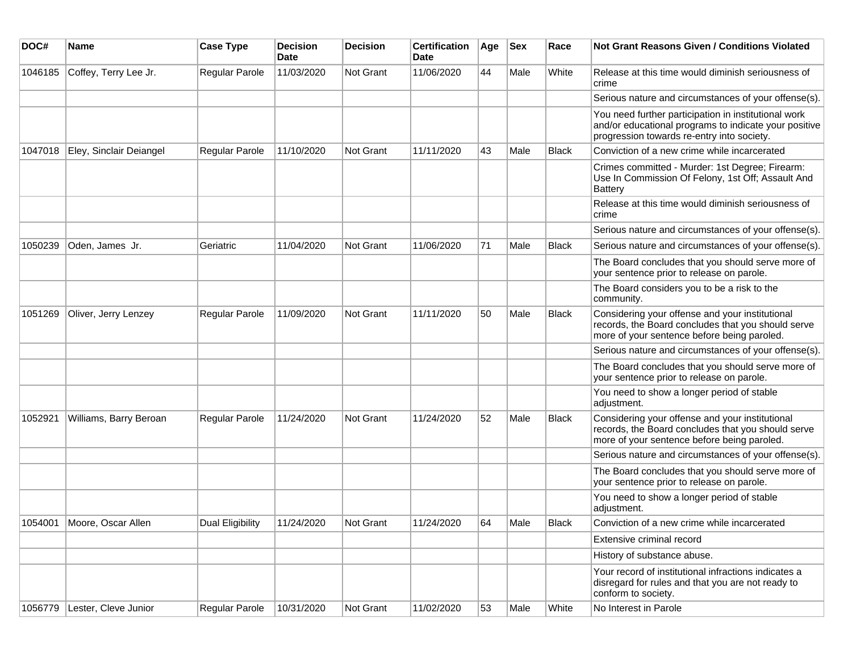| DOC#    | <b>Name</b>                  | <b>Case Type</b>        | <b>Decision</b><br><b>Date</b> | <b>Decision</b> | <b>Certification</b><br>Date | Age | <b>Sex</b> | Race         | Not Grant Reasons Given / Conditions Violated                                                                                                               |
|---------|------------------------------|-------------------------|--------------------------------|-----------------|------------------------------|-----|------------|--------------|-------------------------------------------------------------------------------------------------------------------------------------------------------------|
| 1046185 | Coffey, Terry Lee Jr.        | Regular Parole          | 11/03/2020                     | Not Grant       | 11/06/2020                   | 44  | Male       | White        | Release at this time would diminish seriousness of<br>crime                                                                                                 |
|         |                              |                         |                                |                 |                              |     |            |              | Serious nature and circumstances of your offense(s).                                                                                                        |
|         |                              |                         |                                |                 |                              |     |            |              | You need further participation in institutional work<br>and/or educational programs to indicate your positive<br>progression towards re-entry into society. |
| 1047018 | Eley, Sinclair Deiangel      | Regular Parole          | 11/10/2020                     | Not Grant       | 11/11/2020                   | 43  | Male       | <b>Black</b> | Conviction of a new crime while incarcerated                                                                                                                |
|         |                              |                         |                                |                 |                              |     |            |              | Crimes committed - Murder: 1st Degree; Firearm:<br>Use In Commission Of Felony, 1st Off; Assault And<br><b>Battery</b>                                      |
|         |                              |                         |                                |                 |                              |     |            |              | Release at this time would diminish seriousness of<br>crime                                                                                                 |
|         |                              |                         |                                |                 |                              |     |            |              | Serious nature and circumstances of your offense(s).                                                                                                        |
| 1050239 | Oden, James Jr.              | Geriatric               | 11/04/2020                     | Not Grant       | 11/06/2020                   | 71  | Male       | Black        | Serious nature and circumstances of your offense(s).                                                                                                        |
|         |                              |                         |                                |                 |                              |     |            |              | The Board concludes that you should serve more of<br>your sentence prior to release on parole.                                                              |
|         |                              |                         |                                |                 |                              |     |            |              | The Board considers you to be a risk to the<br>community.                                                                                                   |
| 1051269 | Oliver, Jerry Lenzey         | Regular Parole          | 11/09/2020                     | Not Grant       | 11/11/2020                   | 50  | Male       | <b>Black</b> | Considering your offense and your institutional<br>records, the Board concludes that you should serve<br>more of your sentence before being paroled.        |
|         |                              |                         |                                |                 |                              |     |            |              | Serious nature and circumstances of your offense(s).                                                                                                        |
|         |                              |                         |                                |                 |                              |     |            |              | The Board concludes that you should serve more of<br>your sentence prior to release on parole.                                                              |
|         |                              |                         |                                |                 |                              |     |            |              | You need to show a longer period of stable<br>adjustment.                                                                                                   |
| 1052921 | Williams, Barry Beroan       | Regular Parole          | 11/24/2020                     | Not Grant       | 11/24/2020                   | 52  | Male       | Black        | Considering your offense and your institutional<br>records, the Board concludes that you should serve<br>more of your sentence before being paroled.        |
|         |                              |                         |                                |                 |                              |     |            |              | Serious nature and circumstances of your offense(s).                                                                                                        |
|         |                              |                         |                                |                 |                              |     |            |              | The Board concludes that you should serve more of<br>your sentence prior to release on parole.                                                              |
|         |                              |                         |                                |                 |                              |     |            |              | You need to show a longer period of stable<br>adjustment.                                                                                                   |
|         | 1054001 Moore, Oscar Allen   | <b>Dual Eligibility</b> | 11/24/2020                     | Not Grant       | 11/24/2020                   | 64  | Male       | <b>Black</b> | Conviction of a new crime while incarcerated                                                                                                                |
|         |                              |                         |                                |                 |                              |     |            |              | Extensive criminal record                                                                                                                                   |
|         |                              |                         |                                |                 |                              |     |            |              | History of substance abuse.                                                                                                                                 |
|         |                              |                         |                                |                 |                              |     |            |              | Your record of institutional infractions indicates a<br>disregard for rules and that you are not ready to<br>conform to society.                            |
|         | 1056779 Lester, Cleve Junior | Regular Parole          | 10/31/2020                     | Not Grant       | 11/02/2020                   | 53  | Male       | White        | No Interest in Parole                                                                                                                                       |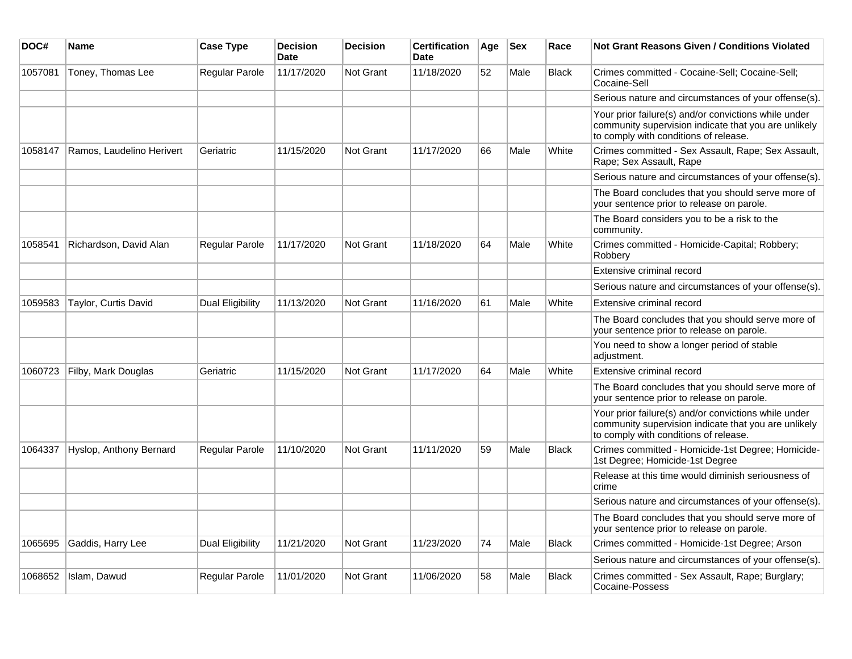| DOC#    | Name                      | <b>Case Type</b> | <b>Decision</b><br><b>Date</b> | <b>Decision</b>  | <b>Certification</b><br><b>Date</b> | Age | $ $ Sex | Race         | Not Grant Reasons Given / Conditions Violated                                                                                                         |
|---------|---------------------------|------------------|--------------------------------|------------------|-------------------------------------|-----|---------|--------------|-------------------------------------------------------------------------------------------------------------------------------------------------------|
| 1057081 | Toney, Thomas Lee         | Regular Parole   | 11/17/2020                     | Not Grant        | 11/18/2020                          | 52  | Male    | <b>Black</b> | Crimes committed - Cocaine-Sell: Cocaine-Sell:<br>Cocaine-Sell                                                                                        |
|         |                           |                  |                                |                  |                                     |     |         |              | Serious nature and circumstances of your offense(s).                                                                                                  |
|         |                           |                  |                                |                  |                                     |     |         |              | Your prior failure(s) and/or convictions while under<br>community supervision indicate that you are unlikely<br>to comply with conditions of release. |
| 1058147 | Ramos, Laudelino Herivert | Geriatric        | 11/15/2020                     | Not Grant        | 11/17/2020                          | 66  | Male    | White        | Crimes committed - Sex Assault, Rape; Sex Assault,<br>Rape; Sex Assault, Rape                                                                         |
|         |                           |                  |                                |                  |                                     |     |         |              | Serious nature and circumstances of your offense(s).                                                                                                  |
|         |                           |                  |                                |                  |                                     |     |         |              | The Board concludes that you should serve more of<br>your sentence prior to release on parole.                                                        |
|         |                           |                  |                                |                  |                                     |     |         |              | The Board considers you to be a risk to the<br>community.                                                                                             |
| 1058541 | Richardson, David Alan    | Regular Parole   | 11/17/2020                     | <b>Not Grant</b> | 11/18/2020                          | 64  | Male    | White        | Crimes committed - Homicide-Capital; Robbery;<br>Robbery                                                                                              |
|         |                           |                  |                                |                  |                                     |     |         |              | Extensive criminal record                                                                                                                             |
|         |                           |                  |                                |                  |                                     |     |         |              | Serious nature and circumstances of your offense(s).                                                                                                  |
| 1059583 | Taylor, Curtis David      | Dual Eligibility | 11/13/2020                     | <b>Not Grant</b> | 11/16/2020                          | 61  | Male    | White        | Extensive criminal record                                                                                                                             |
|         |                           |                  |                                |                  |                                     |     |         |              | The Board concludes that you should serve more of<br>your sentence prior to release on parole.                                                        |
|         |                           |                  |                                |                  |                                     |     |         |              | You need to show a longer period of stable<br>adjustment.                                                                                             |
| 1060723 | Filby, Mark Douglas       | Geriatric        | 11/15/2020                     | Not Grant        | 11/17/2020                          | 64  | Male    | White        | Extensive criminal record                                                                                                                             |
|         |                           |                  |                                |                  |                                     |     |         |              | The Board concludes that you should serve more of<br>your sentence prior to release on parole.                                                        |
|         |                           |                  |                                |                  |                                     |     |         |              | Your prior failure(s) and/or convictions while under<br>community supervision indicate that you are unlikely<br>to comply with conditions of release. |
| 1064337 | Hyslop, Anthony Bernard   | Regular Parole   | 11/10/2020                     | <b>Not Grant</b> | 11/11/2020                          | 59  | Male    | <b>Black</b> | Crimes committed - Homicide-1st Degree; Homicide-<br>1st Degree; Homicide-1st Degree                                                                  |
|         |                           |                  |                                |                  |                                     |     |         |              | Release at this time would diminish seriousness of<br>crime                                                                                           |
|         |                           |                  |                                |                  |                                     |     |         |              | Serious nature and circumstances of your offense(s).                                                                                                  |
|         |                           |                  |                                |                  |                                     |     |         |              | The Board concludes that you should serve more of<br>your sentence prior to release on parole.                                                        |
| 1065695 | Gaddis, Harry Lee         | Dual Eligibility | 11/21/2020                     | <b>Not Grant</b> | 11/23/2020                          | 74  | Male    | <b>Black</b> | Crimes committed - Homicide-1st Degree; Arson                                                                                                         |
|         |                           |                  |                                |                  |                                     |     |         |              | Serious nature and circumstances of your offense(s).                                                                                                  |
| 1068652 | Islam, Dawud              | Regular Parole   | 11/01/2020                     | <b>Not Grant</b> | 11/06/2020                          | 58  | Male    | <b>Black</b> | Crimes committed - Sex Assault, Rape; Burglary;<br>Cocaine-Possess                                                                                    |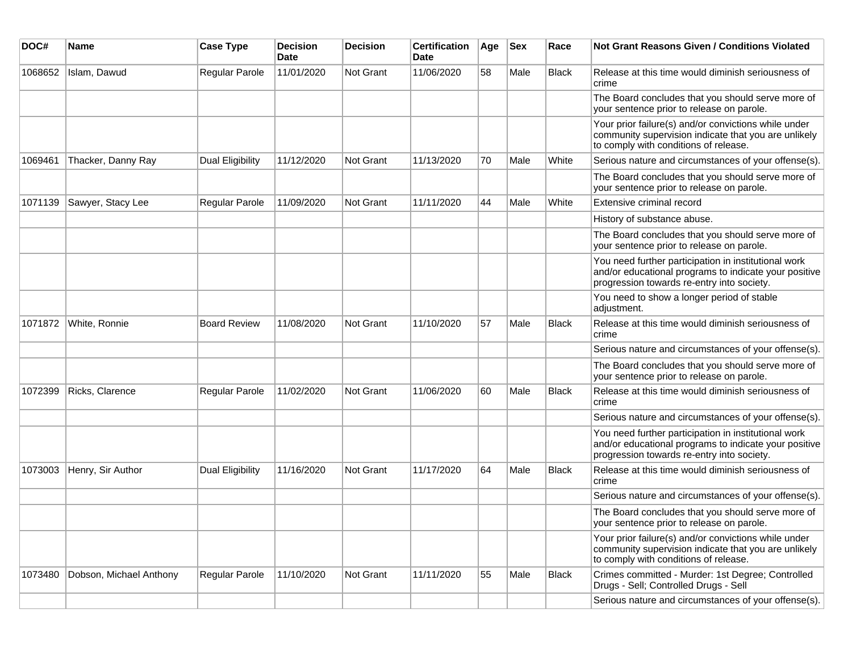| DOC#    | <b>Name</b>             | <b>Case Type</b>        | <b>Decision</b><br>Date | <b>Decision</b> | <b>Certification</b><br>Date | Age | <b>Sex</b> | Race         | <b>Not Grant Reasons Given / Conditions Violated</b>                                                                                                        |
|---------|-------------------------|-------------------------|-------------------------|-----------------|------------------------------|-----|------------|--------------|-------------------------------------------------------------------------------------------------------------------------------------------------------------|
| 1068652 | Islam, Dawud            | Regular Parole          | 11/01/2020              | Not Grant       | 11/06/2020                   | 58  | Male       | <b>Black</b> | Release at this time would diminish seriousness of<br>crime                                                                                                 |
|         |                         |                         |                         |                 |                              |     |            |              | The Board concludes that you should serve more of<br>your sentence prior to release on parole.                                                              |
|         |                         |                         |                         |                 |                              |     |            |              | Your prior failure(s) and/or convictions while under<br>community supervision indicate that you are unlikely<br>to comply with conditions of release.       |
| 1069461 | Thacker, Danny Ray      | <b>Dual Eligibility</b> | 11/12/2020              | Not Grant       | 11/13/2020                   | 70  | Male       | White        | Serious nature and circumstances of your offense(s).                                                                                                        |
|         |                         |                         |                         |                 |                              |     |            |              | The Board concludes that you should serve more of<br>your sentence prior to release on parole.                                                              |
| 1071139 | Sawyer, Stacy Lee       | Regular Parole          | 11/09/2020              | Not Grant       | 11/11/2020                   | 44  | Male       | White        | Extensive criminal record                                                                                                                                   |
|         |                         |                         |                         |                 |                              |     |            |              | History of substance abuse.                                                                                                                                 |
|         |                         |                         |                         |                 |                              |     |            |              | The Board concludes that you should serve more of<br>your sentence prior to release on parole.                                                              |
|         |                         |                         |                         |                 |                              |     |            |              | You need further participation in institutional work<br>and/or educational programs to indicate your positive<br>progression towards re-entry into society. |
|         |                         |                         |                         |                 |                              |     |            |              | You need to show a longer period of stable<br>adjustment.                                                                                                   |
| 1071872 | White, Ronnie           | <b>Board Review</b>     | 11/08/2020              | Not Grant       | 11/10/2020                   | 57  | Male       | <b>Black</b> | Release at this time would diminish seriousness of<br>crime                                                                                                 |
|         |                         |                         |                         |                 |                              |     |            |              | Serious nature and circumstances of your offense(s).                                                                                                        |
|         |                         |                         |                         |                 |                              |     |            |              | The Board concludes that you should serve more of<br>your sentence prior to release on parole.                                                              |
| 1072399 | Ricks, Clarence         | Regular Parole          | 11/02/2020              | Not Grant       | 11/06/2020                   | 60  | Male       | <b>Black</b> | Release at this time would diminish seriousness of<br>crime                                                                                                 |
|         |                         |                         |                         |                 |                              |     |            |              | Serious nature and circumstances of your offense(s).                                                                                                        |
|         |                         |                         |                         |                 |                              |     |            |              | You need further participation in institutional work<br>and/or educational programs to indicate your positive<br>progression towards re-entry into society. |
| 1073003 | Henry, Sir Author       | Dual Eligibility        | 11/16/2020              | Not Grant       | 11/17/2020                   | 64  | Male       | <b>Black</b> | Release at this time would diminish seriousness of<br>crime                                                                                                 |
|         |                         |                         |                         |                 |                              |     |            |              | Serious nature and circumstances of your offense(s).                                                                                                        |
|         |                         |                         |                         |                 |                              |     |            |              | The Board concludes that you should serve more of<br>your sentence prior to release on parole.                                                              |
|         |                         |                         |                         |                 |                              |     |            |              | Your prior failure(s) and/or convictions while under<br>community supervision indicate that you are unlikely<br>to comply with conditions of release.       |
| 1073480 | Dobson, Michael Anthony | Regular Parole          | 11/10/2020              | Not Grant       | 11/11/2020                   | 55  | Male       | <b>Black</b> | Crimes committed - Murder: 1st Degree; Controlled<br>Drugs - Sell; Controlled Drugs - Sell                                                                  |
|         |                         |                         |                         |                 |                              |     |            |              | Serious nature and circumstances of your offense(s).                                                                                                        |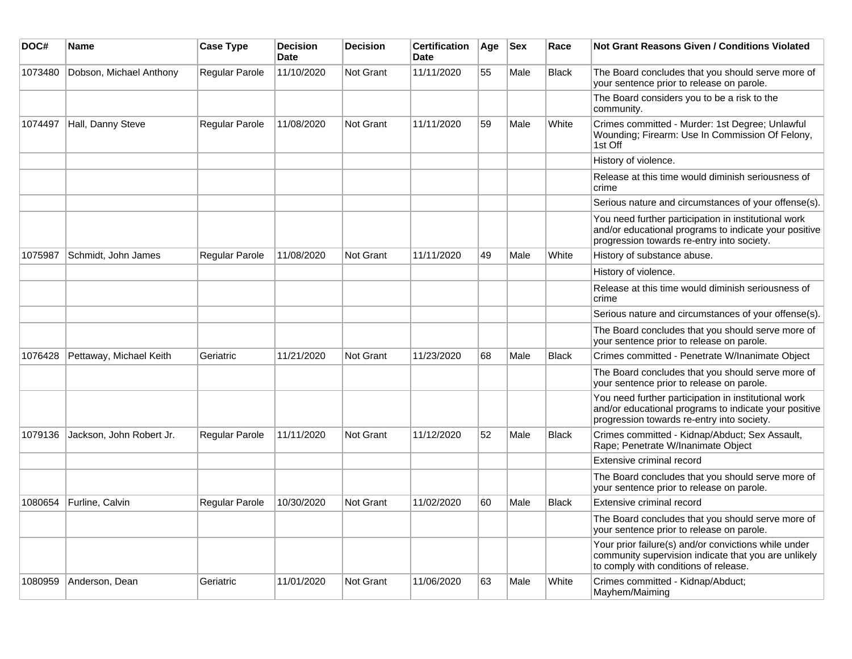| DOC#    | Name                     | <b>Case Type</b>      | <b>Decision</b><br><b>Date</b> | <b>Decision</b>  | <b>Certification</b><br><b>Date</b> | Age | <b>Sex</b> | Race         | <b>Not Grant Reasons Given / Conditions Violated</b>                                                                                                        |
|---------|--------------------------|-----------------------|--------------------------------|------------------|-------------------------------------|-----|------------|--------------|-------------------------------------------------------------------------------------------------------------------------------------------------------------|
| 1073480 | Dobson, Michael Anthony  | <b>Regular Parole</b> | 11/10/2020                     | Not Grant        | 11/11/2020                          | 55  | Male       | <b>Black</b> | The Board concludes that you should serve more of<br>your sentence prior to release on parole.                                                              |
|         |                          |                       |                                |                  |                                     |     |            |              | The Board considers you to be a risk to the<br>community.                                                                                                   |
| 1074497 | Hall, Danny Steve        | Regular Parole        | 11/08/2020                     | Not Grant        | 11/11/2020                          | 59  | Male       | White        | Crimes committed - Murder: 1st Degree; Unlawful<br>Wounding; Firearm: Use In Commission Of Felony,<br>1st Off                                               |
|         |                          |                       |                                |                  |                                     |     |            |              | History of violence.                                                                                                                                        |
|         |                          |                       |                                |                  |                                     |     |            |              | Release at this time would diminish seriousness of<br>crime                                                                                                 |
|         |                          |                       |                                |                  |                                     |     |            |              | Serious nature and circumstances of your offense(s).                                                                                                        |
|         |                          |                       |                                |                  |                                     |     |            |              | You need further participation in institutional work<br>and/or educational programs to indicate your positive<br>progression towards re-entry into society. |
| 1075987 | Schmidt, John James      | Regular Parole        | 11/08/2020                     | Not Grant        | 11/11/2020                          | 49  | Male       | White        | History of substance abuse.                                                                                                                                 |
|         |                          |                       |                                |                  |                                     |     |            |              | History of violence.                                                                                                                                        |
|         |                          |                       |                                |                  |                                     |     |            |              | Release at this time would diminish seriousness of<br>crime                                                                                                 |
|         |                          |                       |                                |                  |                                     |     |            |              | Serious nature and circumstances of your offense(s).                                                                                                        |
|         |                          |                       |                                |                  |                                     |     |            |              | The Board concludes that you should serve more of<br>your sentence prior to release on parole.                                                              |
| 1076428 | Pettaway, Michael Keith  | Geriatric             | 11/21/2020                     | <b>Not Grant</b> | 11/23/2020                          | 68  | Male       | <b>Black</b> | Crimes committed - Penetrate W/Inanimate Object                                                                                                             |
|         |                          |                       |                                |                  |                                     |     |            |              | The Board concludes that you should serve more of<br>your sentence prior to release on parole.                                                              |
|         |                          |                       |                                |                  |                                     |     |            |              | You need further participation in institutional work<br>and/or educational programs to indicate your positive<br>progression towards re-entry into society. |
| 1079136 | Jackson, John Robert Jr. | <b>Regular Parole</b> | 11/11/2020                     | Not Grant        | 11/12/2020                          | 52  | Male       | <b>Black</b> | Crimes committed - Kidnap/Abduct; Sex Assault,<br>Rape; Penetrate W/Inanimate Object                                                                        |
|         |                          |                       |                                |                  |                                     |     |            |              | Extensive criminal record                                                                                                                                   |
|         |                          |                       |                                |                  |                                     |     |            |              | The Board concludes that you should serve more of<br>your sentence prior to release on parole.                                                              |
| 1080654 | Furline, Calvin          | Regular Parole        | 10/30/2020                     | Not Grant        | 11/02/2020                          | 60  | Male       | <b>Black</b> | Extensive criminal record                                                                                                                                   |
|         |                          |                       |                                |                  |                                     |     |            |              | The Board concludes that you should serve more of<br>your sentence prior to release on parole.                                                              |
|         |                          |                       |                                |                  |                                     |     |            |              | Your prior failure(s) and/or convictions while under<br>community supervision indicate that you are unlikely<br>to comply with conditions of release.       |
| 1080959 | Anderson, Dean           | Geriatric             | 11/01/2020                     | <b>Not Grant</b> | 11/06/2020                          | 63  | Male       | White        | Crimes committed - Kidnap/Abduct;<br>Mayhem/Maiming                                                                                                         |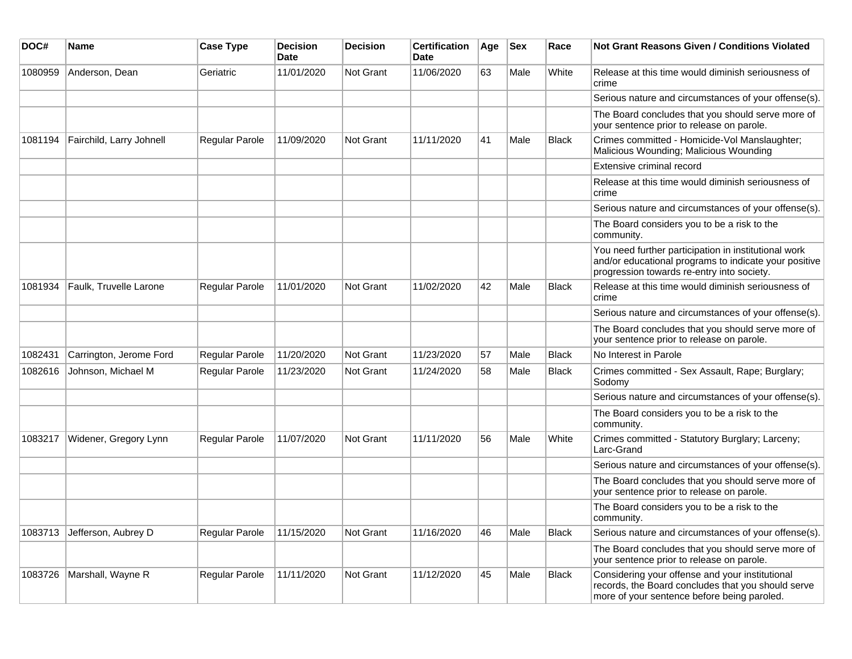| DOC#    | Name                     | <b>Case Type</b>      | <b>Decision</b><br><b>Date</b> | <b>Decision</b>  | <b>Certification</b><br>Date | Age | <b>Sex</b> | Race         | <b>Not Grant Reasons Given / Conditions Violated</b>                                                                                                        |
|---------|--------------------------|-----------------------|--------------------------------|------------------|------------------------------|-----|------------|--------------|-------------------------------------------------------------------------------------------------------------------------------------------------------------|
| 1080959 | Anderson, Dean           | Geriatric             | 11/01/2020                     | Not Grant        | 11/06/2020                   | 63  | Male       | White        | Release at this time would diminish seriousness of<br>crime                                                                                                 |
|         |                          |                       |                                |                  |                              |     |            |              | Serious nature and circumstances of your offense(s).                                                                                                        |
|         |                          |                       |                                |                  |                              |     |            |              | The Board concludes that you should serve more of<br>your sentence prior to release on parole.                                                              |
| 1081194 | Fairchild, Larry Johnell | <b>Regular Parole</b> | 11/09/2020                     | <b>Not Grant</b> | 11/11/2020                   | 41  | Male       | Black        | Crimes committed - Homicide-Vol Manslaughter;<br>Malicious Wounding; Malicious Wounding                                                                     |
|         |                          |                       |                                |                  |                              |     |            |              | Extensive criminal record                                                                                                                                   |
|         |                          |                       |                                |                  |                              |     |            |              | Release at this time would diminish seriousness of<br>crime                                                                                                 |
|         |                          |                       |                                |                  |                              |     |            |              | Serious nature and circumstances of your offense(s).                                                                                                        |
|         |                          |                       |                                |                  |                              |     |            |              | The Board considers you to be a risk to the<br>community.                                                                                                   |
|         |                          |                       |                                |                  |                              |     |            |              | You need further participation in institutional work<br>and/or educational programs to indicate your positive<br>progression towards re-entry into society. |
| 1081934 | Faulk, Truvelle Larone   | <b>Regular Parole</b> | 11/01/2020                     | <b>Not Grant</b> | 11/02/2020                   | 42  | Male       | <b>Black</b> | Release at this time would diminish seriousness of<br>crime                                                                                                 |
|         |                          |                       |                                |                  |                              |     |            |              | Serious nature and circumstances of your offense(s).                                                                                                        |
|         |                          |                       |                                |                  |                              |     |            |              | The Board concludes that you should serve more of<br>your sentence prior to release on parole.                                                              |
| 1082431 | Carrington, Jerome Ford  | Regular Parole        | 11/20/2020                     | Not Grant        | 11/23/2020                   | 57  | Male       | Black        | No Interest in Parole                                                                                                                                       |
| 1082616 | Johnson, Michael M       | Regular Parole        | 11/23/2020                     | Not Grant        | 11/24/2020                   | 58  | Male       | <b>Black</b> | Crimes committed - Sex Assault, Rape; Burglary;<br>Sodomy                                                                                                   |
|         |                          |                       |                                |                  |                              |     |            |              | Serious nature and circumstances of your offense(s).                                                                                                        |
|         |                          |                       |                                |                  |                              |     |            |              | The Board considers you to be a risk to the<br>community.                                                                                                   |
| 1083217 | Widener, Gregory Lynn    | Regular Parole        | 11/07/2020                     | Not Grant        | 11/11/2020                   | 56  | Male       | White        | Crimes committed - Statutory Burglary; Larceny;<br>Larc-Grand                                                                                               |
|         |                          |                       |                                |                  |                              |     |            |              | Serious nature and circumstances of your offense(s).                                                                                                        |
|         |                          |                       |                                |                  |                              |     |            |              | The Board concludes that you should serve more of<br>your sentence prior to release on parole.                                                              |
|         |                          |                       |                                |                  |                              |     |            |              | The Board considers you to be a risk to the<br>community.                                                                                                   |
| 1083713 | Jefferson, Aubrey D      | Regular Parole        | 11/15/2020                     | Not Grant        | 11/16/2020                   | 46  | Male       | <b>Black</b> | Serious nature and circumstances of your offense(s).                                                                                                        |
|         |                          |                       |                                |                  |                              |     |            |              | The Board concludes that you should serve more of<br>your sentence prior to release on parole.                                                              |
| 1083726 | Marshall, Wayne R        | Regular Parole        | 11/11/2020                     | Not Grant        | 11/12/2020                   | 45  | Male       | Black        | Considering your offense and your institutional<br>records, the Board concludes that you should serve<br>more of your sentence before being paroled.        |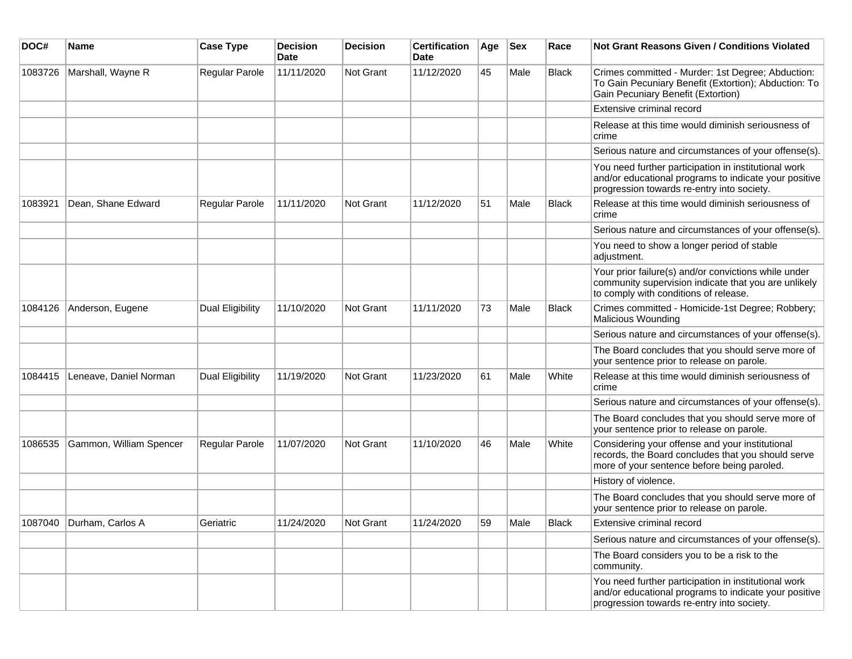| DOC#    | <b>Name</b>              | <b>Case Type</b> | <b>Decision</b><br><b>Date</b> | <b>Decision</b> | <b>Certification</b><br>Date | Age | <b>Sex</b> | Race         | Not Grant Reasons Given / Conditions Violated                                                                                                               |
|---------|--------------------------|------------------|--------------------------------|-----------------|------------------------------|-----|------------|--------------|-------------------------------------------------------------------------------------------------------------------------------------------------------------|
| 1083726 | Marshall, Wayne R        | Regular Parole   | 11/11/2020                     | Not Grant       | 11/12/2020                   | 45  | Male       | <b>Black</b> | Crimes committed - Murder: 1st Degree; Abduction:<br>To Gain Pecuniary Benefit (Extortion); Abduction: To<br>Gain Pecuniary Benefit (Extortion)             |
|         |                          |                  |                                |                 |                              |     |            |              | Extensive criminal record                                                                                                                                   |
|         |                          |                  |                                |                 |                              |     |            |              | Release at this time would diminish seriousness of<br>crime                                                                                                 |
|         |                          |                  |                                |                 |                              |     |            |              | Serious nature and circumstances of your offense(s).                                                                                                        |
|         |                          |                  |                                |                 |                              |     |            |              | You need further participation in institutional work<br>and/or educational programs to indicate your positive<br>progression towards re-entry into society. |
| 1083921 | Dean, Shane Edward       | Regular Parole   | 11/11/2020                     | Not Grant       | 11/12/2020                   | 51  | Male       | <b>Black</b> | Release at this time would diminish seriousness of<br>crime                                                                                                 |
|         |                          |                  |                                |                 |                              |     |            |              | Serious nature and circumstances of your offense(s).                                                                                                        |
|         |                          |                  |                                |                 |                              |     |            |              | You need to show a longer period of stable<br>adjustment.                                                                                                   |
|         |                          |                  |                                |                 |                              |     |            |              | Your prior failure(s) and/or convictions while under<br>community supervision indicate that you are unlikely<br>to comply with conditions of release.       |
| 1084126 | Anderson, Eugene         | Dual Eligibility | 11/10/2020                     | Not Grant       | 11/11/2020                   | 73  | Male       | <b>Black</b> | Crimes committed - Homicide-1st Degree; Robbery;<br>Malicious Wounding                                                                                      |
|         |                          |                  |                                |                 |                              |     |            |              | Serious nature and circumstances of your offense(s).                                                                                                        |
|         |                          |                  |                                |                 |                              |     |            |              | The Board concludes that you should serve more of<br>your sentence prior to release on parole.                                                              |
| 1084415 | Leneave, Daniel Norman   | Dual Eligibility | 11/19/2020                     | Not Grant       | 11/23/2020                   | 61  | Male       | White        | Release at this time would diminish seriousness of<br>crime                                                                                                 |
|         |                          |                  |                                |                 |                              |     |            |              | Serious nature and circumstances of your offense(s).                                                                                                        |
|         |                          |                  |                                |                 |                              |     |            |              | The Board concludes that you should serve more of<br>your sentence prior to release on parole.                                                              |
| 1086535 | Gammon, William Spencer  | Regular Parole   | 11/07/2020                     | Not Grant       | 11/10/2020                   | 46  | Male       | White        | Considering your offense and your institutional<br>records, the Board concludes that you should serve<br>more of your sentence before being paroled.        |
|         |                          |                  |                                |                 |                              |     |            |              | History of violence.                                                                                                                                        |
|         |                          |                  |                                |                 |                              |     |            |              | The Board concludes that you should serve more of<br>your sentence prior to release on parole.                                                              |
|         | 1087040 Durham, Carlos A | Geriatric        | 11/24/2020                     | Not Grant       | 11/24/2020                   | 59  | Male       | Black        | Extensive criminal record                                                                                                                                   |
|         |                          |                  |                                |                 |                              |     |            |              | Serious nature and circumstances of your offense(s).                                                                                                        |
|         |                          |                  |                                |                 |                              |     |            |              | The Board considers you to be a risk to the<br>community.                                                                                                   |
|         |                          |                  |                                |                 |                              |     |            |              | You need further participation in institutional work<br>and/or educational programs to indicate your positive<br>progression towards re-entry into society. |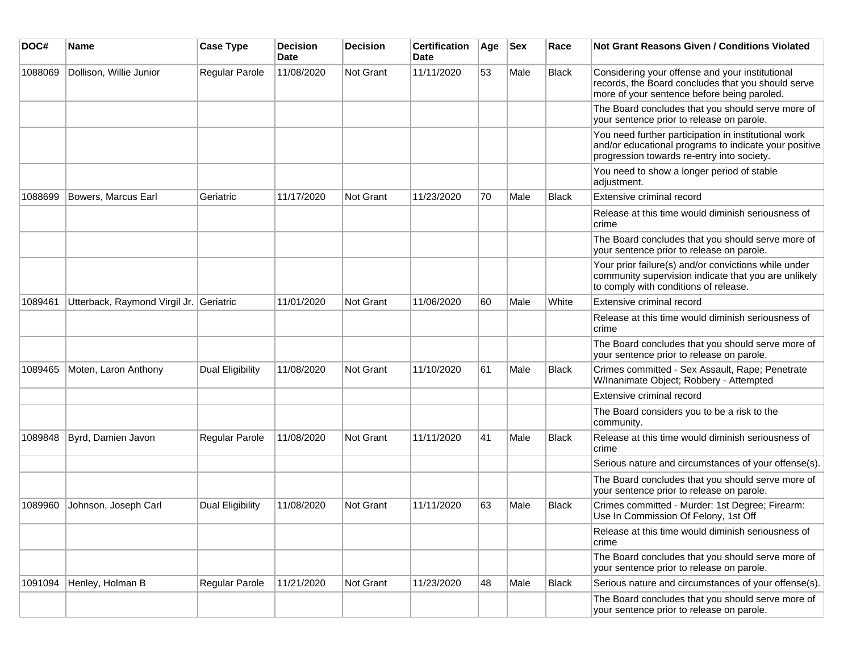| DOC#    | Name                                    | <b>Case Type</b> | <b>Decision</b><br>Date | <b>Decision</b>  | <b>Certification</b><br>Date | Age | Sex  | Race         | Not Grant Reasons Given / Conditions Violated                                                                                                               |
|---------|-----------------------------------------|------------------|-------------------------|------------------|------------------------------|-----|------|--------------|-------------------------------------------------------------------------------------------------------------------------------------------------------------|
| 1088069 | Dollison, Willie Junior                 | Regular Parole   | 11/08/2020              | <b>Not Grant</b> | 11/11/2020                   | 53  | Male | <b>Black</b> | Considering your offense and your institutional<br>records, the Board concludes that you should serve<br>more of your sentence before being paroled.        |
|         |                                         |                  |                         |                  |                              |     |      |              | The Board concludes that you should serve more of<br>your sentence prior to release on parole.                                                              |
|         |                                         |                  |                         |                  |                              |     |      |              | You need further participation in institutional work<br>and/or educational programs to indicate your positive<br>progression towards re-entry into society. |
|         |                                         |                  |                         |                  |                              |     |      |              | You need to show a longer period of stable<br>adjustment.                                                                                                   |
| 1088699 | Bowers, Marcus Earl                     | Geriatric        | 11/17/2020              | <b>Not Grant</b> | 11/23/2020                   | 70  | Male | <b>Black</b> | Extensive criminal record                                                                                                                                   |
|         |                                         |                  |                         |                  |                              |     |      |              | Release at this time would diminish seriousness of<br>crime                                                                                                 |
|         |                                         |                  |                         |                  |                              |     |      |              | The Board concludes that you should serve more of<br>your sentence prior to release on parole.                                                              |
|         |                                         |                  |                         |                  |                              |     |      |              | Your prior failure(s) and/or convictions while under<br>community supervision indicate that you are unlikely<br>to comply with conditions of release.       |
| 1089461 | Utterback, Raymond Virgil Jr. Geriatric |                  | 11/01/2020              | Not Grant        | 11/06/2020                   | 60  | Male | White        | Extensive criminal record                                                                                                                                   |
|         |                                         |                  |                         |                  |                              |     |      |              | Release at this time would diminish seriousness of<br>crime                                                                                                 |
|         |                                         |                  |                         |                  |                              |     |      |              | The Board concludes that you should serve more of<br>your sentence prior to release on parole.                                                              |
| 1089465 | Moten, Laron Anthony                    | Dual Eligibility | 11/08/2020              | Not Grant        | 11/10/2020                   | 61  | Male | <b>Black</b> | Crimes committed - Sex Assault, Rape; Penetrate<br>W/Inanimate Object; Robbery - Attempted                                                                  |
|         |                                         |                  |                         |                  |                              |     |      |              | Extensive criminal record                                                                                                                                   |
|         |                                         |                  |                         |                  |                              |     |      |              | The Board considers you to be a risk to the<br>community.                                                                                                   |
| 1089848 | Byrd, Damien Javon                      | Regular Parole   | 11/08/2020              | <b>Not Grant</b> | 11/11/2020                   | 41  | Male | <b>Black</b> | Release at this time would diminish seriousness of<br>crime                                                                                                 |
|         |                                         |                  |                         |                  |                              |     |      |              | Serious nature and circumstances of your offense(s).                                                                                                        |
|         |                                         |                  |                         |                  |                              |     |      |              | The Board concludes that you should serve more of<br>your sentence prior to release on parole.                                                              |
| 1089960 | Johnson, Joseph Carl                    | Dual Eligibility | 11/08/2020              | <b>Not Grant</b> | 11/11/2020                   | 63  | Male | <b>Black</b> | Crimes committed - Murder: 1st Degree; Firearm:<br>Use In Commission Of Felony, 1st Off                                                                     |
|         |                                         |                  |                         |                  |                              |     |      |              | Release at this time would diminish seriousness of<br>crime                                                                                                 |
|         |                                         |                  |                         |                  |                              |     |      |              | The Board concludes that you should serve more of<br>your sentence prior to release on parole.                                                              |
| 1091094 | Henley, Holman B                        | Regular Parole   | 11/21/2020              | Not Grant        | 11/23/2020                   | 48  | Male | <b>Black</b> | Serious nature and circumstances of your offense(s).                                                                                                        |
|         |                                         |                  |                         |                  |                              |     |      |              | The Board concludes that you should serve more of<br>your sentence prior to release on parole.                                                              |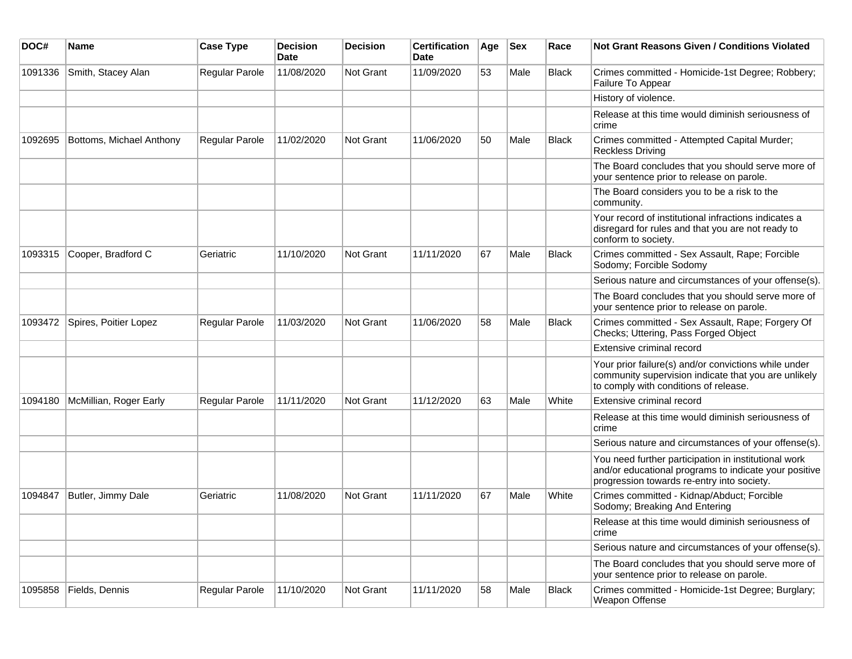| DOC#    | <b>Name</b>              | <b>Case Type</b>      | <b>Decision</b><br><b>Date</b> | <b>Decision</b>  | <b>Certification</b><br><b>Date</b> | Age | <b>Sex</b> | Race         | <b>Not Grant Reasons Given / Conditions Violated</b>                                                                                                        |
|---------|--------------------------|-----------------------|--------------------------------|------------------|-------------------------------------|-----|------------|--------------|-------------------------------------------------------------------------------------------------------------------------------------------------------------|
| 1091336 | Smith, Stacey Alan       | Regular Parole        | 11/08/2020                     | <b>Not Grant</b> | 11/09/2020                          | 53  | Male       | <b>Black</b> | Crimes committed - Homicide-1st Degree; Robbery;<br>Failure To Appear                                                                                       |
|         |                          |                       |                                |                  |                                     |     |            |              | History of violence.                                                                                                                                        |
|         |                          |                       |                                |                  |                                     |     |            |              | Release at this time would diminish seriousness of<br>crime                                                                                                 |
| 1092695 | Bottoms, Michael Anthony | Regular Parole        | 11/02/2020                     | <b>Not Grant</b> | 11/06/2020                          | 50  | Male       | <b>Black</b> | Crimes committed - Attempted Capital Murder;<br><b>Reckless Driving</b>                                                                                     |
|         |                          |                       |                                |                  |                                     |     |            |              | The Board concludes that you should serve more of<br>your sentence prior to release on parole.                                                              |
|         |                          |                       |                                |                  |                                     |     |            |              | The Board considers you to be a risk to the<br>community.                                                                                                   |
|         |                          |                       |                                |                  |                                     |     |            |              | Your record of institutional infractions indicates a<br>disregard for rules and that you are not ready to<br>conform to society.                            |
| 1093315 | Cooper, Bradford C       | Geriatric             | 11/10/2020                     | <b>Not Grant</b> | 11/11/2020                          | 67  | Male       | <b>Black</b> | Crimes committed - Sex Assault, Rape; Forcible<br>Sodomy; Forcible Sodomy                                                                                   |
|         |                          |                       |                                |                  |                                     |     |            |              | Serious nature and circumstances of your offense(s).                                                                                                        |
|         |                          |                       |                                |                  |                                     |     |            |              | The Board concludes that you should serve more of<br>your sentence prior to release on parole.                                                              |
| 1093472 | Spires, Poitier Lopez    | Regular Parole        | 11/03/2020                     | <b>Not Grant</b> | 11/06/2020                          | 58  | Male       | <b>Black</b> | Crimes committed - Sex Assault, Rape; Forgery Of<br>Checks; Uttering, Pass Forged Object                                                                    |
|         |                          |                       |                                |                  |                                     |     |            |              | Extensive criminal record                                                                                                                                   |
|         |                          |                       |                                |                  |                                     |     |            |              | Your prior failure(s) and/or convictions while under<br>community supervision indicate that you are unlikely<br>to comply with conditions of release.       |
| 1094180 | McMillian, Roger Early   | <b>Regular Parole</b> | 11/11/2020                     | Not Grant        | 11/12/2020                          | 63  | Male       | White        | Extensive criminal record                                                                                                                                   |
|         |                          |                       |                                |                  |                                     |     |            |              | Release at this time would diminish seriousness of<br>crime                                                                                                 |
|         |                          |                       |                                |                  |                                     |     |            |              | Serious nature and circumstances of your offense(s).                                                                                                        |
|         |                          |                       |                                |                  |                                     |     |            |              | You need further participation in institutional work<br>and/or educational programs to indicate your positive<br>progression towards re-entry into society. |
| 1094847 | Butler, Jimmy Dale       | Geriatric             | 11/08/2020                     | Not Grant        | 11/11/2020                          | 67  | Male       | White        | Crimes committed - Kidnap/Abduct; Forcible<br>Sodomy; Breaking And Entering                                                                                 |
|         |                          |                       |                                |                  |                                     |     |            |              | Release at this time would diminish seriousness of<br>crime                                                                                                 |
|         |                          |                       |                                |                  |                                     |     |            |              | Serious nature and circumstances of your offense(s).                                                                                                        |
|         |                          |                       |                                |                  |                                     |     |            |              | The Board concludes that you should serve more of<br>your sentence prior to release on parole.                                                              |
| 1095858 | Fields, Dennis           | Regular Parole        | 11/10/2020                     | Not Grant        | 11/11/2020                          | 58  | Male       | Black        | Crimes committed - Homicide-1st Degree; Burglary;<br>Weapon Offense                                                                                         |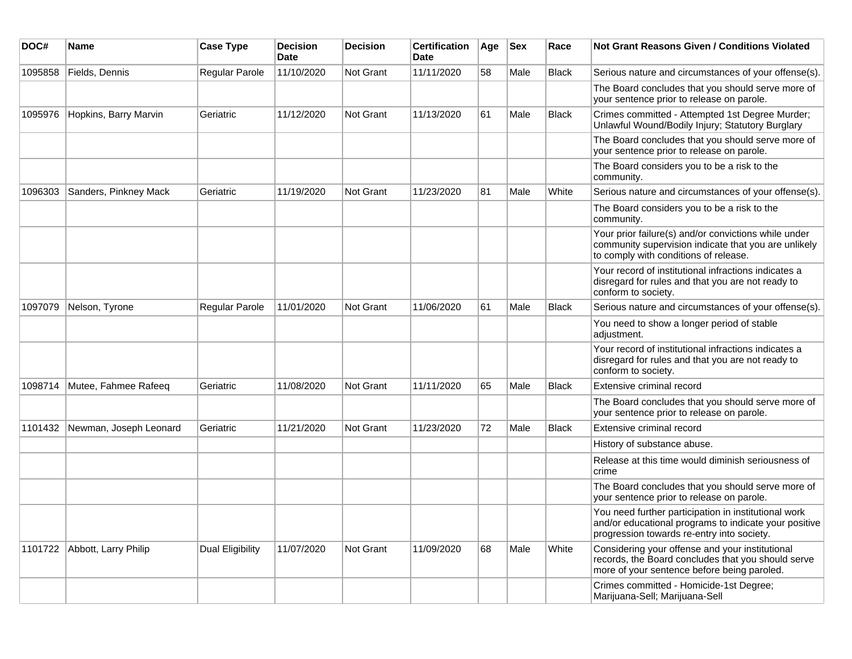| DOC#    | Name                   | <b>Case Type</b> | <b>Decision</b><br>Date | <b>Decision</b>  | <b>Certification</b><br>Date | Age | <b>Sex</b> | Race         | Not Grant Reasons Given / Conditions Violated                                                                                                               |
|---------|------------------------|------------------|-------------------------|------------------|------------------------------|-----|------------|--------------|-------------------------------------------------------------------------------------------------------------------------------------------------------------|
| 1095858 | Fields, Dennis         | Regular Parole   | 11/10/2020              | Not Grant        | 11/11/2020                   | 58  | Male       | <b>Black</b> | Serious nature and circumstances of your offense(s).                                                                                                        |
|         |                        |                  |                         |                  |                              |     |            |              | The Board concludes that you should serve more of<br>your sentence prior to release on parole.                                                              |
| 1095976 | Hopkins, Barry Marvin  | Geriatric        | 11/12/2020              | Not Grant        | 11/13/2020                   | 61  | Male       | Black        | Crimes committed - Attempted 1st Degree Murder;<br>Unlawful Wound/Bodily Injury; Statutory Burglary                                                         |
|         |                        |                  |                         |                  |                              |     |            |              | The Board concludes that you should serve more of<br>your sentence prior to release on parole.                                                              |
|         |                        |                  |                         |                  |                              |     |            |              | The Board considers you to be a risk to the<br>community.                                                                                                   |
| 1096303 | Sanders, Pinkney Mack  | Geriatric        | 11/19/2020              | <b>Not Grant</b> | 11/23/2020                   | 81  | Male       | White        | Serious nature and circumstances of your offense(s).                                                                                                        |
|         |                        |                  |                         |                  |                              |     |            |              | The Board considers you to be a risk to the<br>community.                                                                                                   |
|         |                        |                  |                         |                  |                              |     |            |              | Your prior failure(s) and/or convictions while under<br>community supervision indicate that you are unlikely<br>to comply with conditions of release.       |
|         |                        |                  |                         |                  |                              |     |            |              | Your record of institutional infractions indicates a<br>disregard for rules and that you are not ready to<br>conform to society.                            |
| 1097079 | Nelson, Tyrone         | Regular Parole   | 11/01/2020              | <b>Not Grant</b> | 11/06/2020                   | 61  | Male       | <b>Black</b> | Serious nature and circumstances of your offense(s).                                                                                                        |
|         |                        |                  |                         |                  |                              |     |            |              | You need to show a longer period of stable<br>adjustment.                                                                                                   |
|         |                        |                  |                         |                  |                              |     |            |              | Your record of institutional infractions indicates a<br>disregard for rules and that you are not ready to<br>conform to society.                            |
| 1098714 | Mutee, Fahmee Rafeeq   | Geriatric        | 11/08/2020              | <b>Not Grant</b> | 11/11/2020                   | 65  | Male       | Black        | Extensive criminal record                                                                                                                                   |
|         |                        |                  |                         |                  |                              |     |            |              | The Board concludes that you should serve more of<br>your sentence prior to release on parole.                                                              |
| 1101432 | Newman, Joseph Leonard | Geriatric        | 11/21/2020              | <b>Not Grant</b> | 11/23/2020                   | 72  | Male       | <b>Black</b> | Extensive criminal record                                                                                                                                   |
|         |                        |                  |                         |                  |                              |     |            |              | History of substance abuse.                                                                                                                                 |
|         |                        |                  |                         |                  |                              |     |            |              | Release at this time would diminish seriousness of<br>crime                                                                                                 |
|         |                        |                  |                         |                  |                              |     |            |              | The Board concludes that you should serve more of<br>your sentence prior to release on parole.                                                              |
|         |                        |                  |                         |                  |                              |     |            |              | You need further participation in institutional work<br>and/or educational programs to indicate your positive<br>progression towards re-entry into society. |
| 1101722 | Abbott, Larry Philip   | Dual Eligibility | 11/07/2020              | Not Grant        | 11/09/2020                   | 68  | Male       | White        | Considering your offense and your institutional<br>records, the Board concludes that you should serve<br>more of your sentence before being paroled.        |
|         |                        |                  |                         |                  |                              |     |            |              | Crimes committed - Homicide-1st Degree;<br>Marijuana-Sell; Marijuana-Sell                                                                                   |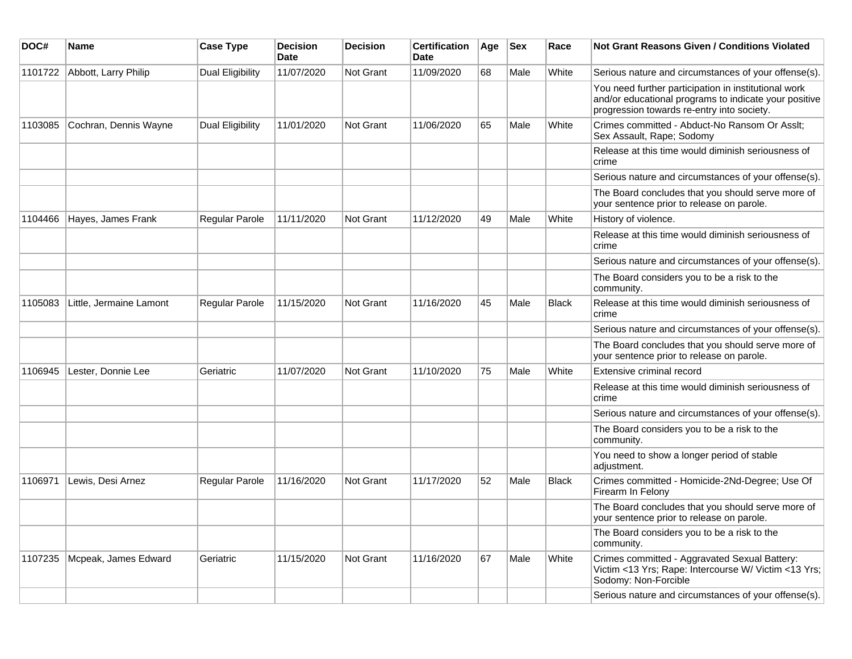| DOC#    | Name                    | <b>Case Type</b>      | <b>Decision</b><br>Date | <b>Decision</b> | <b>Certification</b><br>Date | Age | <b>Sex</b> | Race         | <b>Not Grant Reasons Given / Conditions Violated</b>                                                                                                        |
|---------|-------------------------|-----------------------|-------------------------|-----------------|------------------------------|-----|------------|--------------|-------------------------------------------------------------------------------------------------------------------------------------------------------------|
| 1101722 | Abbott, Larry Philip    | Dual Eligibility      | 11/07/2020              | Not Grant       | 11/09/2020                   | 68  | Male       | White        | Serious nature and circumstances of your offense(s).                                                                                                        |
|         |                         |                       |                         |                 |                              |     |            |              | You need further participation in institutional work<br>and/or educational programs to indicate your positive<br>progression towards re-entry into society. |
| 1103085 | Cochran, Dennis Wayne   | Dual Eligibility      | 11/01/2020              | Not Grant       | 11/06/2020                   | 65  | Male       | White        | Crimes committed - Abduct-No Ransom Or Asslt;<br>Sex Assault, Rape; Sodomy                                                                                  |
|         |                         |                       |                         |                 |                              |     |            |              | Release at this time would diminish seriousness of<br>crime                                                                                                 |
|         |                         |                       |                         |                 |                              |     |            |              | Serious nature and circumstances of your offense(s).                                                                                                        |
|         |                         |                       |                         |                 |                              |     |            |              | The Board concludes that you should serve more of<br>your sentence prior to release on parole.                                                              |
| 1104466 | Hayes, James Frank      | Regular Parole        | 11/11/2020              | Not Grant       | 11/12/2020                   | 49  | Male       | White        | History of violence.                                                                                                                                        |
|         |                         |                       |                         |                 |                              |     |            |              | Release at this time would diminish seriousness of<br>crime                                                                                                 |
|         |                         |                       |                         |                 |                              |     |            |              | Serious nature and circumstances of your offense(s).                                                                                                        |
|         |                         |                       |                         |                 |                              |     |            |              | The Board considers you to be a risk to the<br>community.                                                                                                   |
| 1105083 | Little, Jermaine Lamont | <b>Regular Parole</b> | 11/15/2020              | Not Grant       | 11/16/2020                   | 45  | Male       | <b>Black</b> | Release at this time would diminish seriousness of<br>crime                                                                                                 |
|         |                         |                       |                         |                 |                              |     |            |              | Serious nature and circumstances of your offense(s).                                                                                                        |
|         |                         |                       |                         |                 |                              |     |            |              | The Board concludes that you should serve more of<br>your sentence prior to release on parole.                                                              |
| 1106945 | Lester, Donnie Lee      | Geriatric             | 11/07/2020              | Not Grant       | 11/10/2020                   | 75  | Male       | White        | Extensive criminal record                                                                                                                                   |
|         |                         |                       |                         |                 |                              |     |            |              | Release at this time would diminish seriousness of<br>crime                                                                                                 |
|         |                         |                       |                         |                 |                              |     |            |              | Serious nature and circumstances of your offense(s).                                                                                                        |
|         |                         |                       |                         |                 |                              |     |            |              | The Board considers you to be a risk to the<br>community.                                                                                                   |
|         |                         |                       |                         |                 |                              |     |            |              | You need to show a longer period of stable<br>adjustment.                                                                                                   |
| 1106971 | Lewis, Desi Arnez       | <b>Regular Parole</b> | 11/16/2020              | Not Grant       | 11/17/2020                   | 52  | Male       | <b>Black</b> | Crimes committed - Homicide-2Nd-Degree; Use Of<br>Firearm In Felony                                                                                         |
|         |                         |                       |                         |                 |                              |     |            |              | The Board concludes that you should serve more of<br>your sentence prior to release on parole.                                                              |
|         |                         |                       |                         |                 |                              |     |            |              | The Board considers you to be a risk to the<br>community.                                                                                                   |
| 1107235 | Mcpeak, James Edward    | Geriatric             | 11/15/2020              | Not Grant       | 11/16/2020                   | 67  | Male       | White        | Crimes committed - Aggravated Sexual Battery:<br>Victim <13 Yrs; Rape: Intercourse W/ Victim <13 Yrs;<br>Sodomy: Non-Forcible                               |
|         |                         |                       |                         |                 |                              |     |            |              | Serious nature and circumstances of your offense(s).                                                                                                        |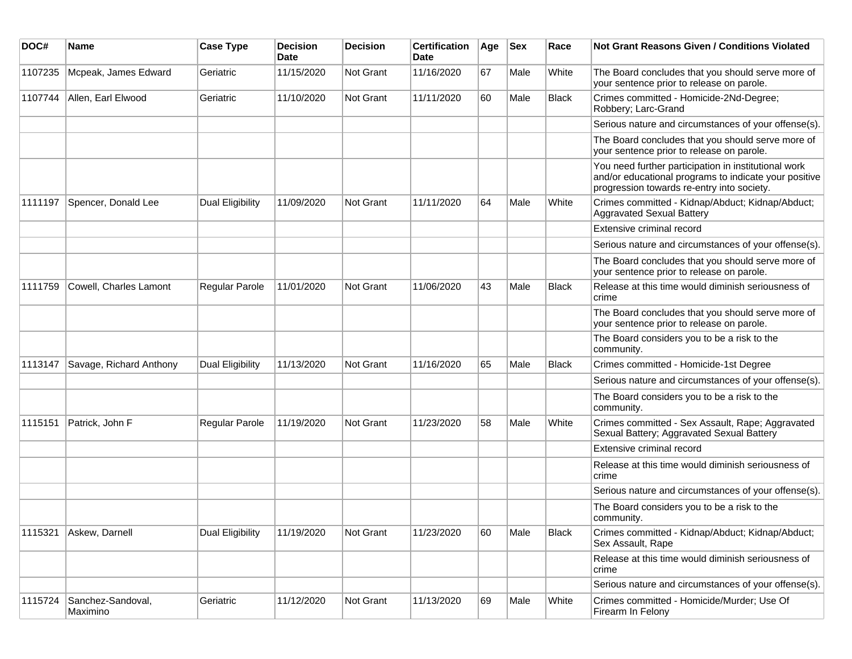| DOC#    | <b>Name</b>                   | <b>Case Type</b>        | <b>Decision</b><br><b>Date</b> | <b>Decision</b> | <b>Certification</b><br>Date | Age | <b>Sex</b> | Race         | <b>Not Grant Reasons Given / Conditions Violated</b>                                                                                                        |
|---------|-------------------------------|-------------------------|--------------------------------|-----------------|------------------------------|-----|------------|--------------|-------------------------------------------------------------------------------------------------------------------------------------------------------------|
| 1107235 | Mcpeak, James Edward          | Geriatric               | 11/15/2020                     | Not Grant       | 11/16/2020                   | 67  | Male       | White        | The Board concludes that you should serve more of<br>your sentence prior to release on parole.                                                              |
| 1107744 | Allen, Earl Elwood            | Geriatric               | 11/10/2020                     | Not Grant       | 11/11/2020                   | 60  | Male       | <b>Black</b> | Crimes committed - Homicide-2Nd-Degree;<br>Robbery; Larc-Grand                                                                                              |
|         |                               |                         |                                |                 |                              |     |            |              | Serious nature and circumstances of your offense(s).                                                                                                        |
|         |                               |                         |                                |                 |                              |     |            |              | The Board concludes that you should serve more of<br>your sentence prior to release on parole.                                                              |
|         |                               |                         |                                |                 |                              |     |            |              | You need further participation in institutional work<br>and/or educational programs to indicate your positive<br>progression towards re-entry into society. |
| 1111197 | Spencer, Donald Lee           | Dual Eligibility        | 11/09/2020                     | Not Grant       | 11/11/2020                   | 64  | Male       | White        | Crimes committed - Kidnap/Abduct; Kidnap/Abduct;<br><b>Aggravated Sexual Battery</b>                                                                        |
|         |                               |                         |                                |                 |                              |     |            |              | Extensive criminal record                                                                                                                                   |
|         |                               |                         |                                |                 |                              |     |            |              | Serious nature and circumstances of your offense(s).                                                                                                        |
|         |                               |                         |                                |                 |                              |     |            |              | The Board concludes that you should serve more of<br>your sentence prior to release on parole.                                                              |
| 1111759 | Cowell, Charles Lamont        | Regular Parole          | 11/01/2020                     | Not Grant       | 11/06/2020                   | 43  | Male       | <b>Black</b> | Release at this time would diminish seriousness of<br>crime                                                                                                 |
|         |                               |                         |                                |                 |                              |     |            |              | The Board concludes that you should serve more of<br>your sentence prior to release on parole.                                                              |
|         |                               |                         |                                |                 |                              |     |            |              | The Board considers you to be a risk to the<br>community.                                                                                                   |
| 1113147 | Savage, Richard Anthony       | Dual Eligibility        | 11/13/2020                     | Not Grant       | 11/16/2020                   | 65  | Male       | <b>Black</b> | Crimes committed - Homicide-1st Degree                                                                                                                      |
|         |                               |                         |                                |                 |                              |     |            |              | Serious nature and circumstances of your offense(s).                                                                                                        |
|         |                               |                         |                                |                 |                              |     |            |              | The Board considers you to be a risk to the<br>community.                                                                                                   |
| 1115151 | Patrick, John F               | Regular Parole          | 11/19/2020                     | Not Grant       | 11/23/2020                   | 58  | Male       | White        | Crimes committed - Sex Assault, Rape; Aggravated<br>Sexual Battery; Aggravated Sexual Battery                                                               |
|         |                               |                         |                                |                 |                              |     |            |              | Extensive criminal record                                                                                                                                   |
|         |                               |                         |                                |                 |                              |     |            |              | Release at this time would diminish seriousness of<br>crime                                                                                                 |
|         |                               |                         |                                |                 |                              |     |            |              | Serious nature and circumstances of your offense(s).                                                                                                        |
|         |                               |                         |                                |                 |                              |     |            |              | The Board considers you to be a risk to the<br>community.                                                                                                   |
| 1115321 | Askew, Darnell                | <b>Dual Eligibility</b> | 11/19/2020                     | Not Grant       | 11/23/2020                   | 60  | Male       | Black        | Crimes committed - Kidnap/Abduct; Kidnap/Abduct;<br>Sex Assault, Rape                                                                                       |
|         |                               |                         |                                |                 |                              |     |            |              | Release at this time would diminish seriousness of<br>crime                                                                                                 |
|         |                               |                         |                                |                 |                              |     |            |              | Serious nature and circumstances of your offense(s).                                                                                                        |
| 1115724 | Sanchez-Sandoval,<br>Maximino | Geriatric               | 11/12/2020                     | Not Grant       | 11/13/2020                   | 69  | Male       | White        | Crimes committed - Homicide/Murder; Use Of<br>Firearm In Felony                                                                                             |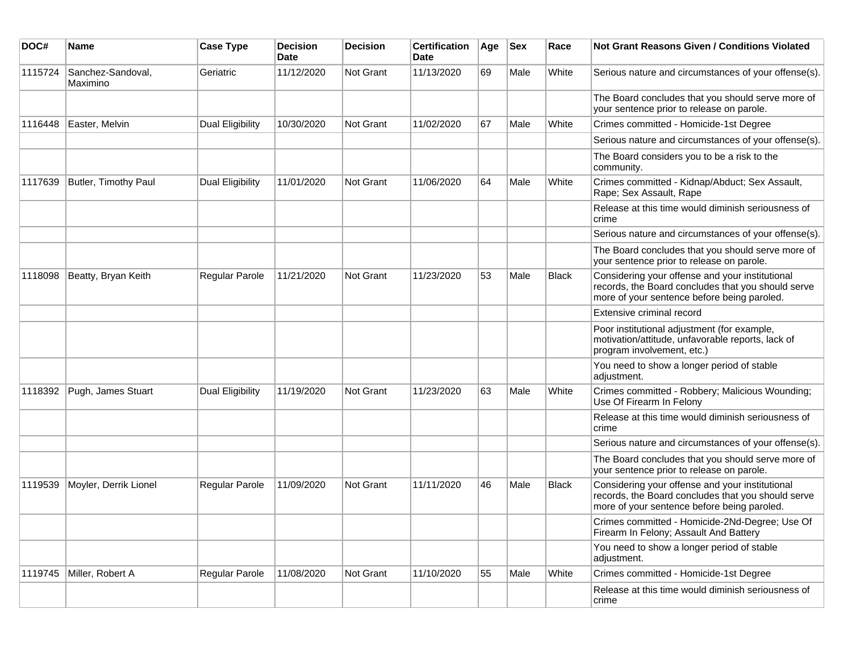| DOC#    | <b>Name</b>                   | <b>Case Type</b> | <b>Decision</b><br><b>Date</b> | <b>Decision</b> | <b>Certification</b><br><b>Date</b> | Age | <b>Sex</b> | Race         | <b>Not Grant Reasons Given / Conditions Violated</b>                                                                                                 |
|---------|-------------------------------|------------------|--------------------------------|-----------------|-------------------------------------|-----|------------|--------------|------------------------------------------------------------------------------------------------------------------------------------------------------|
| 1115724 | Sanchez-Sandoval,<br>Maximino | Geriatric        | 11/12/2020                     | Not Grant       | 11/13/2020                          | 69  | Male       | White        | Serious nature and circumstances of your offense(s).                                                                                                 |
|         |                               |                  |                                |                 |                                     |     |            |              | The Board concludes that you should serve more of<br>your sentence prior to release on parole.                                                       |
| 1116448 | Easter, Melvin                | Dual Eligibility | 10/30/2020                     | Not Grant       | 11/02/2020                          | 67  | Male       | White        | Crimes committed - Homicide-1st Degree                                                                                                               |
|         |                               |                  |                                |                 |                                     |     |            |              | Serious nature and circumstances of your offense(s).                                                                                                 |
|         |                               |                  |                                |                 |                                     |     |            |              | The Board considers you to be a risk to the<br>community.                                                                                            |
| 1117639 | Butler, Timothy Paul          | Dual Eligibility | 11/01/2020                     | Not Grant       | 11/06/2020                          | 64  | Male       | White        | Crimes committed - Kidnap/Abduct; Sex Assault,<br>Rape; Sex Assault, Rape                                                                            |
|         |                               |                  |                                |                 |                                     |     |            |              | Release at this time would diminish seriousness of<br>crime                                                                                          |
|         |                               |                  |                                |                 |                                     |     |            |              | Serious nature and circumstances of your offense(s).                                                                                                 |
|         |                               |                  |                                |                 |                                     |     |            |              | The Board concludes that you should serve more of<br>your sentence prior to release on parole.                                                       |
| 1118098 | Beatty, Bryan Keith           | Regular Parole   | 11/21/2020                     | Not Grant       | 11/23/2020                          | 53  | Male       | <b>Black</b> | Considering your offense and your institutional<br>records, the Board concludes that you should serve<br>more of your sentence before being paroled. |
|         |                               |                  |                                |                 |                                     |     |            |              | Extensive criminal record                                                                                                                            |
|         |                               |                  |                                |                 |                                     |     |            |              | Poor institutional adjustment (for example,<br>motivation/attitude, unfavorable reports, lack of<br>program involvement, etc.)                       |
|         |                               |                  |                                |                 |                                     |     |            |              | You need to show a longer period of stable<br>adjustment.                                                                                            |
| 1118392 | Pugh, James Stuart            | Dual Eligibility | 11/19/2020                     | Not Grant       | 11/23/2020                          | 63  | Male       | White        | Crimes committed - Robbery; Malicious Wounding;<br>Use Of Firearm In Felony                                                                          |
|         |                               |                  |                                |                 |                                     |     |            |              | Release at this time would diminish seriousness of<br>crime                                                                                          |
|         |                               |                  |                                |                 |                                     |     |            |              | Serious nature and circumstances of your offense(s).                                                                                                 |
|         |                               |                  |                                |                 |                                     |     |            |              | The Board concludes that you should serve more of<br>your sentence prior to release on parole.                                                       |
| 1119539 | Moyler, Derrik Lionel         | Regular Parole   | 11/09/2020                     | Not Grant       | 11/11/2020                          | 46  | Male       | <b>Black</b> | Considering your offense and your institutional<br>records, the Board concludes that you should serve<br>more of your sentence before being paroled. |
|         |                               |                  |                                |                 |                                     |     |            |              | Crimes committed - Homicide-2Nd-Degree; Use Of<br>Firearm In Felony; Assault And Battery                                                             |
|         |                               |                  |                                |                 |                                     |     |            |              | You need to show a longer period of stable<br>adjustment.                                                                                            |
|         | 1119745 Miller, Robert A      | Regular Parole   | 11/08/2020                     | Not Grant       | 11/10/2020                          | 55  | Male       | White        | Crimes committed - Homicide-1st Degree                                                                                                               |
|         |                               |                  |                                |                 |                                     |     |            |              | Release at this time would diminish seriousness of<br>crime                                                                                          |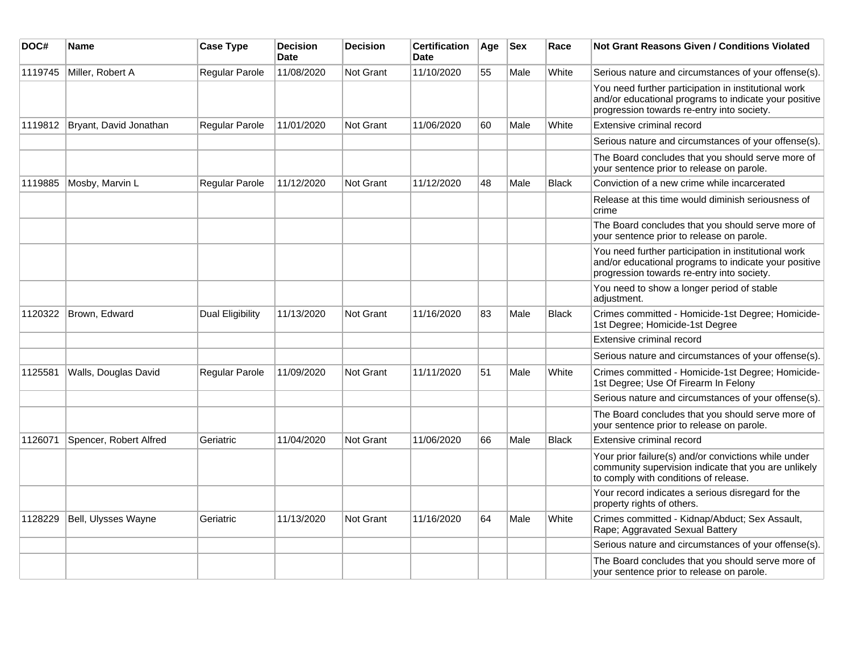| DOC#    | Name                   | <b>Case Type</b> | <b>Decision</b><br><b>Date</b> | <b>Decision</b>  | <b>Certification</b><br>Date | Age | <b>Sex</b> | Race         | <b>Not Grant Reasons Given / Conditions Violated</b>                                                                                                        |
|---------|------------------------|------------------|--------------------------------|------------------|------------------------------|-----|------------|--------------|-------------------------------------------------------------------------------------------------------------------------------------------------------------|
| 1119745 | Miller, Robert A       | Regular Parole   | 11/08/2020                     | Not Grant        | 11/10/2020                   | 55  | Male       | White        | Serious nature and circumstances of your offense(s).                                                                                                        |
|         |                        |                  |                                |                  |                              |     |            |              | You need further participation in institutional work<br>and/or educational programs to indicate your positive<br>progression towards re-entry into society. |
| 1119812 | Bryant, David Jonathan | Regular Parole   | 11/01/2020                     | <b>Not Grant</b> | 11/06/2020                   | 60  | Male       | White        | Extensive criminal record                                                                                                                                   |
|         |                        |                  |                                |                  |                              |     |            |              | Serious nature and circumstances of your offense(s).                                                                                                        |
|         |                        |                  |                                |                  |                              |     |            |              | The Board concludes that you should serve more of<br>your sentence prior to release on parole.                                                              |
| 1119885 | Mosby, Marvin L        | Regular Parole   | 11/12/2020                     | <b>Not Grant</b> | 11/12/2020                   | 48  | Male       | Black        | Conviction of a new crime while incarcerated                                                                                                                |
|         |                        |                  |                                |                  |                              |     |            |              | Release at this time would diminish seriousness of<br>crime                                                                                                 |
|         |                        |                  |                                |                  |                              |     |            |              | The Board concludes that you should serve more of<br>your sentence prior to release on parole.                                                              |
|         |                        |                  |                                |                  |                              |     |            |              | You need further participation in institutional work<br>and/or educational programs to indicate your positive<br>progression towards re-entry into society. |
|         |                        |                  |                                |                  |                              |     |            |              | You need to show a longer period of stable<br>adjustment.                                                                                                   |
| 1120322 | Brown, Edward          | Dual Eligibility | 11/13/2020                     | <b>Not Grant</b> | 11/16/2020                   | 83  | Male       | <b>Black</b> | Crimes committed - Homicide-1st Degree; Homicide-<br>1st Degree; Homicide-1st Degree                                                                        |
|         |                        |                  |                                |                  |                              |     |            |              | Extensive criminal record                                                                                                                                   |
|         |                        |                  |                                |                  |                              |     |            |              | Serious nature and circumstances of your offense(s).                                                                                                        |
| 1125581 | Walls, Douglas David   | Regular Parole   | 11/09/2020                     | <b>Not Grant</b> | 11/11/2020                   | 51  | Male       | White        | Crimes committed - Homicide-1st Degree; Homicide-<br>1st Degree; Use Of Firearm In Felony                                                                   |
|         |                        |                  |                                |                  |                              |     |            |              | Serious nature and circumstances of your offense(s).                                                                                                        |
|         |                        |                  |                                |                  |                              |     |            |              | The Board concludes that you should serve more of<br>your sentence prior to release on parole.                                                              |
| 1126071 | Spencer, Robert Alfred | Geriatric        | 11/04/2020                     | <b>Not Grant</b> | 11/06/2020                   | 66  | Male       | <b>Black</b> | Extensive criminal record                                                                                                                                   |
|         |                        |                  |                                |                  |                              |     |            |              | Your prior failure(s) and/or convictions while under<br>community supervision indicate that you are unlikely<br>to comply with conditions of release.       |
|         |                        |                  |                                |                  |                              |     |            |              | Your record indicates a serious disregard for the<br>property rights of others.                                                                             |
| 1128229 | Bell, Ulysses Wayne    | Geriatric        | 11/13/2020                     | Not Grant        | 11/16/2020                   | 64  | Male       | White        | Crimes committed - Kidnap/Abduct; Sex Assault,<br>Rape; Aggravated Sexual Battery                                                                           |
|         |                        |                  |                                |                  |                              |     |            |              | Serious nature and circumstances of your offense(s).                                                                                                        |
|         |                        |                  |                                |                  |                              |     |            |              | The Board concludes that you should serve more of<br>your sentence prior to release on parole.                                                              |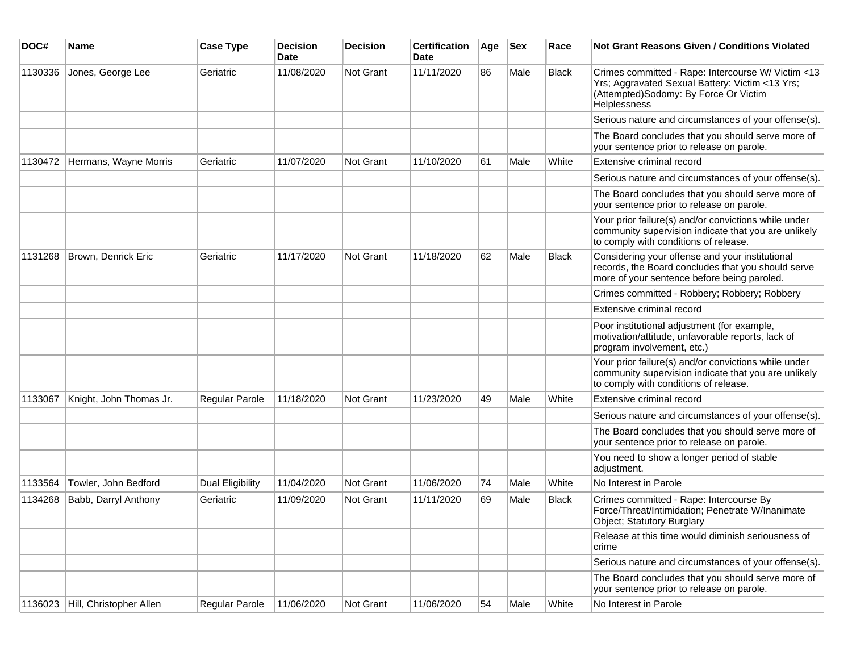| DOC#    | Name                    | <b>Case Type</b> | <b>Decision</b><br><b>Date</b> | <b>Decision</b>  | <b>Certification</b><br><b>Date</b> | Age | <b>Sex</b> | Race         | Not Grant Reasons Given / Conditions Violated                                                                                                                  |
|---------|-------------------------|------------------|--------------------------------|------------------|-------------------------------------|-----|------------|--------------|----------------------------------------------------------------------------------------------------------------------------------------------------------------|
| 1130336 | Jones, George Lee       | Geriatric        | 11/08/2020                     | Not Grant        | 11/11/2020                          | 86  | Male       | <b>Black</b> | Crimes committed - Rape: Intercourse W/ Victim <13<br>Yrs; Aggravated Sexual Battery: Victim <13 Yrs;<br>(Attempted)Sodomy: By Force Or Victim<br>Helplessness |
|         |                         |                  |                                |                  |                                     |     |            |              | Serious nature and circumstances of your offense(s).                                                                                                           |
|         |                         |                  |                                |                  |                                     |     |            |              | The Board concludes that you should serve more of<br>your sentence prior to release on parole.                                                                 |
| 1130472 | Hermans, Wayne Morris   | Geriatric        | 11/07/2020                     | Not Grant        | 11/10/2020                          | 61  | Male       | White        | Extensive criminal record                                                                                                                                      |
|         |                         |                  |                                |                  |                                     |     |            |              | Serious nature and circumstances of your offense(s).                                                                                                           |
|         |                         |                  |                                |                  |                                     |     |            |              | The Board concludes that you should serve more of<br>your sentence prior to release on parole.                                                                 |
|         |                         |                  |                                |                  |                                     |     |            |              | Your prior failure(s) and/or convictions while under<br>community supervision indicate that you are unlikely<br>to comply with conditions of release.          |
| 1131268 | Brown, Denrick Eric     | Geriatric        | 11/17/2020                     | <b>Not Grant</b> | 11/18/2020                          | 62  | Male       | <b>Black</b> | Considering your offense and your institutional<br>records, the Board concludes that you should serve<br>more of your sentence before being paroled.           |
|         |                         |                  |                                |                  |                                     |     |            |              | Crimes committed - Robbery; Robbery; Robbery                                                                                                                   |
|         |                         |                  |                                |                  |                                     |     |            |              | Extensive criminal record                                                                                                                                      |
|         |                         |                  |                                |                  |                                     |     |            |              | Poor institutional adjustment (for example,<br>motivation/attitude, unfavorable reports, lack of<br>program involvement, etc.)                                 |
|         |                         |                  |                                |                  |                                     |     |            |              | Your prior failure(s) and/or convictions while under<br>community supervision indicate that you are unlikely<br>to comply with conditions of release.          |
| 1133067 | Knight, John Thomas Jr. | Regular Parole   | 11/18/2020                     | <b>Not Grant</b> | 11/23/2020                          | 49  | Male       | White        | Extensive criminal record                                                                                                                                      |
|         |                         |                  |                                |                  |                                     |     |            |              | Serious nature and circumstances of your offense(s).                                                                                                           |
|         |                         |                  |                                |                  |                                     |     |            |              | The Board concludes that you should serve more of<br>your sentence prior to release on parole.                                                                 |
|         |                         |                  |                                |                  |                                     |     |            |              | You need to show a longer period of stable<br>adjustment.                                                                                                      |
| 1133564 | Towler, John Bedford    | Dual Eligibility | 11/04/2020                     | Not Grant        | 11/06/2020                          | 74  | Male       | White        | No Interest in Parole                                                                                                                                          |
| 1134268 | Babb, Darryl Anthony    | Geriatric        | 11/09/2020                     | Not Grant        | 11/11/2020                          | 69  | Male       | <b>Black</b> | Crimes committed - Rape: Intercourse By<br>Force/Threat/Intimidation; Penetrate W/Inanimate<br>Object; Statutory Burglary                                      |
|         |                         |                  |                                |                  |                                     |     |            |              | Release at this time would diminish seriousness of<br>crime                                                                                                    |
|         |                         |                  |                                |                  |                                     |     |            |              | Serious nature and circumstances of your offense(s).                                                                                                           |
|         |                         |                  |                                |                  |                                     |     |            |              | The Board concludes that you should serve more of<br>your sentence prior to release on parole.                                                                 |
| 1136023 | Hill, Christopher Allen | Regular Parole   | 11/06/2020                     | Not Grant        | 11/06/2020                          | 54  | Male       | White        | No Interest in Parole                                                                                                                                          |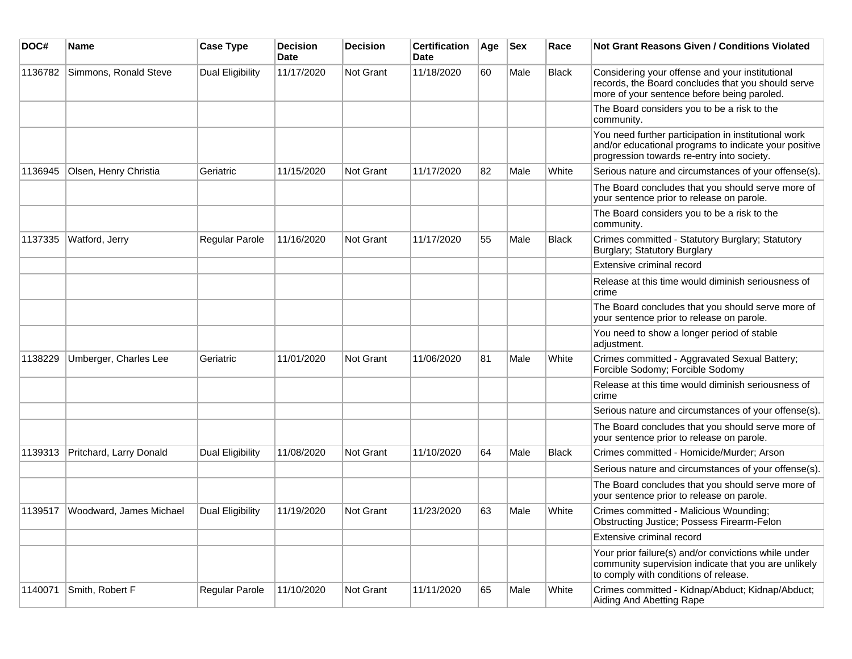| DOC#    | <b>Name</b>             | <b>Case Type</b>        | <b>Decision</b><br>Date | <b>Decision</b>  | <b>Certification</b><br>Date | Age | <b>Sex</b> | Race         | <b>Not Grant Reasons Given / Conditions Violated</b>                                                                                                        |
|---------|-------------------------|-------------------------|-------------------------|------------------|------------------------------|-----|------------|--------------|-------------------------------------------------------------------------------------------------------------------------------------------------------------|
| 1136782 | Simmons, Ronald Steve   | <b>Dual Eligibility</b> | 11/17/2020              | Not Grant        | 11/18/2020                   | 60  | Male       | <b>Black</b> | Considering your offense and your institutional<br>records, the Board concludes that you should serve<br>more of your sentence before being paroled.        |
|         |                         |                         |                         |                  |                              |     |            |              | The Board considers you to be a risk to the<br>community.                                                                                                   |
|         |                         |                         |                         |                  |                              |     |            |              | You need further participation in institutional work<br>and/or educational programs to indicate your positive<br>progression towards re-entry into society. |
| 1136945 | Olsen, Henry Christia   | Geriatric               | 11/15/2020              | <b>Not Grant</b> | 11/17/2020                   | 82  | Male       | White        | Serious nature and circumstances of your offense(s).                                                                                                        |
|         |                         |                         |                         |                  |                              |     |            |              | The Board concludes that you should serve more of<br>your sentence prior to release on parole.                                                              |
|         |                         |                         |                         |                  |                              |     |            |              | The Board considers you to be a risk to the<br>community.                                                                                                   |
| 1137335 | Watford, Jerry          | Regular Parole          | 11/16/2020              | Not Grant        | 11/17/2020                   | 55  | Male       | Black        | Crimes committed - Statutory Burglary; Statutory<br>Burglary; Statutory Burglary                                                                            |
|         |                         |                         |                         |                  |                              |     |            |              | Extensive criminal record                                                                                                                                   |
|         |                         |                         |                         |                  |                              |     |            |              | Release at this time would diminish seriousness of<br>crime                                                                                                 |
|         |                         |                         |                         |                  |                              |     |            |              | The Board concludes that you should serve more of<br>your sentence prior to release on parole.                                                              |
|         |                         |                         |                         |                  |                              |     |            |              | You need to show a longer period of stable<br>adjustment.                                                                                                   |
| 1138229 | Umberger, Charles Lee   | Geriatric               | 11/01/2020              | <b>Not Grant</b> | 11/06/2020                   | 81  | Male       | White        | Crimes committed - Aggravated Sexual Battery;<br>Forcible Sodomy; Forcible Sodomy                                                                           |
|         |                         |                         |                         |                  |                              |     |            |              | Release at this time would diminish seriousness of<br>crime                                                                                                 |
|         |                         |                         |                         |                  |                              |     |            |              | Serious nature and circumstances of your offense(s).                                                                                                        |
|         |                         |                         |                         |                  |                              |     |            |              | The Board concludes that you should serve more of<br>your sentence prior to release on parole.                                                              |
| 1139313 | Pritchard, Larry Donald | Dual Eligibility        | 11/08/2020              | Not Grant        | 11/10/2020                   | 64  | Male       | <b>Black</b> | Crimes committed - Homicide/Murder; Arson                                                                                                                   |
|         |                         |                         |                         |                  |                              |     |            |              | Serious nature and circumstances of your offense(s).                                                                                                        |
|         |                         |                         |                         |                  |                              |     |            |              | The Board concludes that you should serve more of<br>your sentence prior to release on parole.                                                              |
| 1139517 | Woodward, James Michael | Dual Eligibility        | 11/19/2020              | <b>Not Grant</b> | 11/23/2020                   | 63  | Male       | White        | Crimes committed - Malicious Wounding;<br><b>Obstructing Justice; Possess Firearm-Felon</b>                                                                 |
|         |                         |                         |                         |                  |                              |     |            |              | Extensive criminal record                                                                                                                                   |
|         |                         |                         |                         |                  |                              |     |            |              | Your prior failure(s) and/or convictions while under<br>community supervision indicate that you are unlikely<br>to comply with conditions of release.       |
| 1140071 | Smith, Robert F         | Regular Parole          | 11/10/2020              | Not Grant        | 11/11/2020                   | 65  | Male       | White        | Crimes committed - Kidnap/Abduct; Kidnap/Abduct;<br>Aiding And Abetting Rape                                                                                |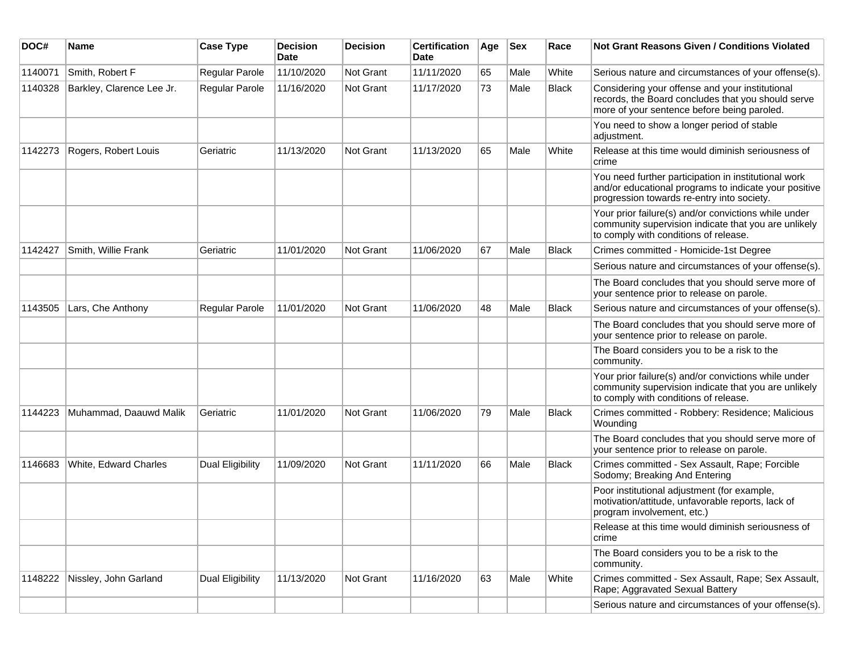| DOC#    | Name                      | <b>Case Type</b>        | <b>Decision</b><br>Date | <b>Decision</b> | <b>Certification</b><br>Date | Age | <b>Sex</b> | Race  | <b>Not Grant Reasons Given / Conditions Violated</b>                                                                                                        |
|---------|---------------------------|-------------------------|-------------------------|-----------------|------------------------------|-----|------------|-------|-------------------------------------------------------------------------------------------------------------------------------------------------------------|
| 1140071 | Smith, Robert F           | Regular Parole          | 11/10/2020              | Not Grant       | 11/11/2020                   | 65  | Male       | White | Serious nature and circumstances of your offense(s).                                                                                                        |
| 1140328 | Barkley, Clarence Lee Jr. | Regular Parole          | 11/16/2020              | Not Grant       | 11/17/2020                   | 73  | Male       | Black | Considering your offense and your institutional<br>records, the Board concludes that you should serve<br>more of your sentence before being paroled.        |
|         |                           |                         |                         |                 |                              |     |            |       | You need to show a longer period of stable<br>adjustment.                                                                                                   |
| 1142273 | Rogers, Robert Louis      | Geriatric               | 11/13/2020              | Not Grant       | 11/13/2020                   | 65  | Male       | White | Release at this time would diminish seriousness of<br>crime                                                                                                 |
|         |                           |                         |                         |                 |                              |     |            |       | You need further participation in institutional work<br>and/or educational programs to indicate your positive<br>progression towards re-entry into society. |
|         |                           |                         |                         |                 |                              |     |            |       | Your prior failure(s) and/or convictions while under<br>community supervision indicate that you are unlikely<br>to comply with conditions of release.       |
| 1142427 | Smith, Willie Frank       | Geriatric               | 11/01/2020              | Not Grant       | 11/06/2020                   | 67  | Male       | Black | Crimes committed - Homicide-1st Degree                                                                                                                      |
|         |                           |                         |                         |                 |                              |     |            |       | Serious nature and circumstances of your offense(s).                                                                                                        |
|         |                           |                         |                         |                 |                              |     |            |       | The Board concludes that you should serve more of<br>your sentence prior to release on parole.                                                              |
| 1143505 | Lars, Che Anthony         | Regular Parole          | 11/01/2020              | Not Grant       | 11/06/2020                   | 48  | Male       | Black | Serious nature and circumstances of your offense(s).                                                                                                        |
|         |                           |                         |                         |                 |                              |     |            |       | The Board concludes that you should serve more of<br>your sentence prior to release on parole.                                                              |
|         |                           |                         |                         |                 |                              |     |            |       | The Board considers you to be a risk to the<br>community.                                                                                                   |
|         |                           |                         |                         |                 |                              |     |            |       | Your prior failure(s) and/or convictions while under<br>community supervision indicate that you are unlikely<br>to comply with conditions of release.       |
| 1144223 | Muhammad, Daauwd Malik    | Geriatric               | 11/01/2020              | Not Grant       | 11/06/2020                   | 79  | Male       | Black | Crimes committed - Robbery: Residence; Malicious<br>Wounding                                                                                                |
|         |                           |                         |                         |                 |                              |     |            |       | The Board concludes that you should serve more of<br>your sentence prior to release on parole.                                                              |
| 1146683 | White, Edward Charles     | Dual Eligibility        | 11/09/2020              | Not Grant       | 11/11/2020                   | 66  | Male       | Black | Crimes committed - Sex Assault, Rape; Forcible<br>Sodomy; Breaking And Entering                                                                             |
|         |                           |                         |                         |                 |                              |     |            |       | Poor institutional adjustment (for example,<br>motivation/attitude, unfavorable reports, lack of<br>program involvement, etc.)                              |
|         |                           |                         |                         |                 |                              |     |            |       | Release at this time would diminish seriousness of<br>crime                                                                                                 |
|         |                           |                         |                         |                 |                              |     |            |       | The Board considers you to be a risk to the<br>community.                                                                                                   |
| 1148222 | Nissley, John Garland     | <b>Dual Eligibility</b> | 11/13/2020              | Not Grant       | 11/16/2020                   | 63  | Male       | White | Crimes committed - Sex Assault, Rape; Sex Assault,<br>Rape; Aggravated Sexual Battery                                                                       |
|         |                           |                         |                         |                 |                              |     |            |       | Serious nature and circumstances of your offense(s).                                                                                                        |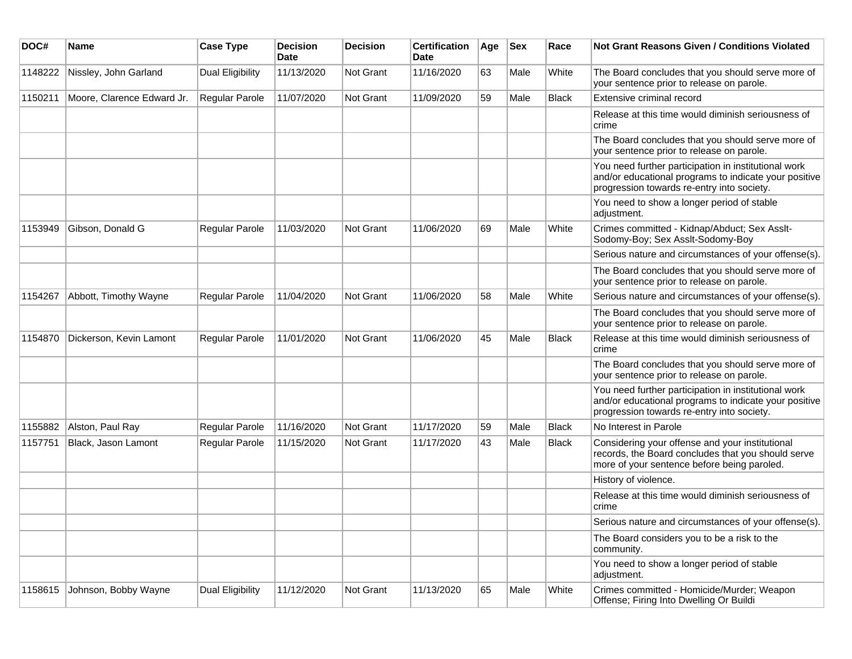| DOC#    | <b>Name</b>                | <b>Case Type</b>      | <b>Decision</b><br><b>Date</b> | <b>Decision</b>  | <b>Certification</b><br>Date | Age | <b>Sex</b> | Race         | <b>Not Grant Reasons Given / Conditions Violated</b>                                                                                                        |
|---------|----------------------------|-----------------------|--------------------------------|------------------|------------------------------|-----|------------|--------------|-------------------------------------------------------------------------------------------------------------------------------------------------------------|
| 1148222 | Nissley, John Garland      | Dual Eligibility      | 11/13/2020                     | Not Grant        | 11/16/2020                   | 63  | Male       | White        | The Board concludes that you should serve more of<br>your sentence prior to release on parole.                                                              |
| 1150211 | Moore, Clarence Edward Jr. | <b>Regular Parole</b> | 11/07/2020                     | Not Grant        | 11/09/2020                   | 59  | Male       | <b>Black</b> | Extensive criminal record                                                                                                                                   |
|         |                            |                       |                                |                  |                              |     |            |              | Release at this time would diminish seriousness of<br>crime                                                                                                 |
|         |                            |                       |                                |                  |                              |     |            |              | The Board concludes that you should serve more of<br>your sentence prior to release on parole.                                                              |
|         |                            |                       |                                |                  |                              |     |            |              | You need further participation in institutional work<br>and/or educational programs to indicate your positive<br>progression towards re-entry into society. |
|         |                            |                       |                                |                  |                              |     |            |              | You need to show a longer period of stable<br>adjustment.                                                                                                   |
| 1153949 | Gibson, Donald G           | Regular Parole        | 11/03/2020                     | <b>Not Grant</b> | 11/06/2020                   | 69  | Male       | White        | Crimes committed - Kidnap/Abduct; Sex Asslt-<br>Sodomy-Boy; Sex Asslt-Sodomy-Boy                                                                            |
|         |                            |                       |                                |                  |                              |     |            |              | Serious nature and circumstances of your offense(s).                                                                                                        |
|         |                            |                       |                                |                  |                              |     |            |              | The Board concludes that you should serve more of<br>your sentence prior to release on parole.                                                              |
| 1154267 | Abbott, Timothy Wayne      | Regular Parole        | 11/04/2020                     | <b>Not Grant</b> | 11/06/2020                   | 58  | Male       | White        | Serious nature and circumstances of your offense(s).                                                                                                        |
|         |                            |                       |                                |                  |                              |     |            |              | The Board concludes that you should serve more of<br>your sentence prior to release on parole.                                                              |
| 1154870 | Dickerson, Kevin Lamont    | Regular Parole        | 11/01/2020                     | <b>Not Grant</b> | 11/06/2020                   | 45  | Male       | <b>Black</b> | Release at this time would diminish seriousness of<br>crime                                                                                                 |
|         |                            |                       |                                |                  |                              |     |            |              | The Board concludes that you should serve more of<br>your sentence prior to release on parole.                                                              |
|         |                            |                       |                                |                  |                              |     |            |              | You need further participation in institutional work<br>and/or educational programs to indicate your positive<br>progression towards re-entry into society. |
| 1155882 | Alston, Paul Ray           | <b>Regular Parole</b> | 11/16/2020                     | <b>Not Grant</b> | 11/17/2020                   | 59  | Male       | Black        | No Interest in Parole                                                                                                                                       |
| 1157751 | Black, Jason Lamont        | Regular Parole        | 11/15/2020                     | <b>Not Grant</b> | 11/17/2020                   | 43  | Male       | Black        | Considering your offense and your institutional<br>records, the Board concludes that you should serve<br>more of your sentence before being paroled.        |
|         |                            |                       |                                |                  |                              |     |            |              | History of violence.                                                                                                                                        |
|         |                            |                       |                                |                  |                              |     |            |              | Release at this time would diminish seriousness of<br>crime                                                                                                 |
|         |                            |                       |                                |                  |                              |     |            |              | Serious nature and circumstances of your offense(s).                                                                                                        |
|         |                            |                       |                                |                  |                              |     |            |              | The Board considers you to be a risk to the<br>community.                                                                                                   |
|         |                            |                       |                                |                  |                              |     |            |              | You need to show a longer period of stable<br>adjustment.                                                                                                   |
| 1158615 | Johnson, Bobby Wayne       | Dual Eligibility      | 11/12/2020                     | Not Grant        | 11/13/2020                   | 65  | Male       | White        | Crimes committed - Homicide/Murder; Weapon<br>Offense; Firing Into Dwelling Or Buildi                                                                       |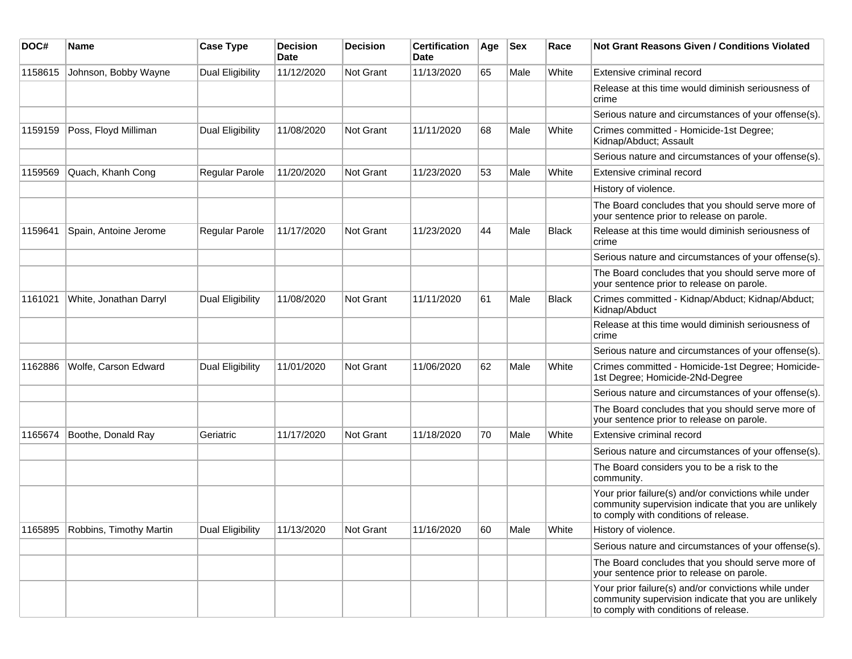| DOC#    | Name                    | <b>Case Type</b>        | <b>Decision</b><br>Date | <b>Decision</b> | <b>Certification</b><br>Date | Age | <b>Sex</b> | Race         | Not Grant Reasons Given / Conditions Violated                                                                                                         |
|---------|-------------------------|-------------------------|-------------------------|-----------------|------------------------------|-----|------------|--------------|-------------------------------------------------------------------------------------------------------------------------------------------------------|
| 1158615 | Johnson, Bobby Wayne    | Dual Eligibility        | 11/12/2020              | Not Grant       | 11/13/2020                   | 65  | Male       | White        | Extensive criminal record                                                                                                                             |
|         |                         |                         |                         |                 |                              |     |            |              | Release at this time would diminish seriousness of<br>crime                                                                                           |
|         |                         |                         |                         |                 |                              |     |            |              | Serious nature and circumstances of your offense(s).                                                                                                  |
| 1159159 | Poss, Floyd Milliman    | Dual Eligibility        | 11/08/2020              | Not Grant       | 11/11/2020                   | 68  | Male       | White        | Crimes committed - Homicide-1st Degree;<br>Kidnap/Abduct; Assault                                                                                     |
|         |                         |                         |                         |                 |                              |     |            |              | Serious nature and circumstances of your offense(s).                                                                                                  |
| 1159569 | Quach, Khanh Cong       | Regular Parole          | 11/20/2020              | Not Grant       | 11/23/2020                   | 53  | Male       | White        | Extensive criminal record                                                                                                                             |
|         |                         |                         |                         |                 |                              |     |            |              | History of violence.                                                                                                                                  |
|         |                         |                         |                         |                 |                              |     |            |              | The Board concludes that you should serve more of<br>your sentence prior to release on parole.                                                        |
| 1159641 | Spain, Antoine Jerome   | <b>Regular Parole</b>   | 11/17/2020              | Not Grant       | 11/23/2020                   | 44  | Male       | <b>Black</b> | Release at this time would diminish seriousness of<br>crime                                                                                           |
|         |                         |                         |                         |                 |                              |     |            |              | Serious nature and circumstances of your offense(s).                                                                                                  |
|         |                         |                         |                         |                 |                              |     |            |              | The Board concludes that you should serve more of<br>your sentence prior to release on parole.                                                        |
| 1161021 | White, Jonathan Darryl  | Dual Eligibility        | 11/08/2020              | Not Grant       | 11/11/2020                   | 61  | Male       | <b>Black</b> | Crimes committed - Kidnap/Abduct; Kidnap/Abduct;<br>Kidnap/Abduct                                                                                     |
|         |                         |                         |                         |                 |                              |     |            |              | Release at this time would diminish seriousness of<br>crime                                                                                           |
|         |                         |                         |                         |                 |                              |     |            |              | Serious nature and circumstances of your offense(s).                                                                                                  |
| 1162886 | Wolfe, Carson Edward    | <b>Dual Eligibility</b> | 11/01/2020              | Not Grant       | 11/06/2020                   | 62  | Male       | White        | Crimes committed - Homicide-1st Degree; Homicide-<br>1st Degree; Homicide-2Nd-Degree                                                                  |
|         |                         |                         |                         |                 |                              |     |            |              | Serious nature and circumstances of your offense(s).                                                                                                  |
|         |                         |                         |                         |                 |                              |     |            |              | The Board concludes that you should serve more of<br>your sentence prior to release on parole.                                                        |
| 1165674 | Boothe, Donald Ray      | Geriatric               | 11/17/2020              | Not Grant       | 11/18/2020                   | 70  | Male       | White        | Extensive criminal record                                                                                                                             |
|         |                         |                         |                         |                 |                              |     |            |              | Serious nature and circumstances of your offense(s).                                                                                                  |
|         |                         |                         |                         |                 |                              |     |            |              | The Board considers you to be a risk to the<br>community.                                                                                             |
|         |                         |                         |                         |                 |                              |     |            |              | Your prior failure(s) and/or convictions while under<br>community supervision indicate that you are unlikely<br>to comply with conditions of release. |
| 1165895 | Robbins, Timothy Martin | Dual Eligibility        | 11/13/2020              | Not Grant       | 11/16/2020                   | 60  | Male       | White        | History of violence.                                                                                                                                  |
|         |                         |                         |                         |                 |                              |     |            |              | Serious nature and circumstances of your offense(s).                                                                                                  |
|         |                         |                         |                         |                 |                              |     |            |              | The Board concludes that you should serve more of<br>your sentence prior to release on parole.                                                        |
|         |                         |                         |                         |                 |                              |     |            |              | Your prior failure(s) and/or convictions while under<br>community supervision indicate that you are unlikely<br>to comply with conditions of release. |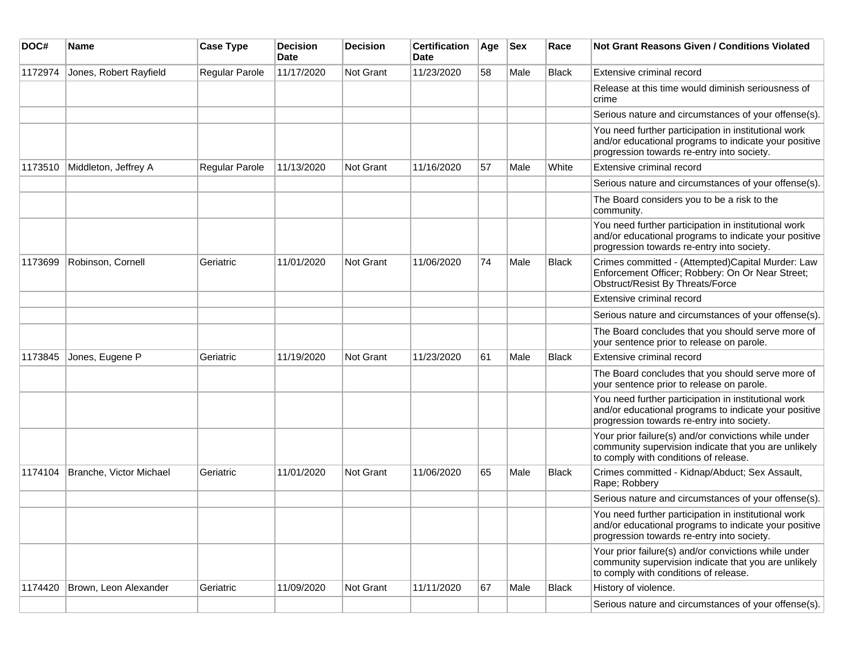| DOC#    | <b>Name</b>             | <b>Case Type</b> | <b>Decision</b><br>Date | <b>Decision</b> | <b>Certification</b><br>Date | Age | Sex  | Race         | <b>Not Grant Reasons Given / Conditions Violated</b>                                                                                                        |
|---------|-------------------------|------------------|-------------------------|-----------------|------------------------------|-----|------|--------------|-------------------------------------------------------------------------------------------------------------------------------------------------------------|
| 1172974 | Jones, Robert Rayfield  | Regular Parole   | 11/17/2020              | Not Grant       | 11/23/2020                   | 58  | Male | <b>Black</b> | Extensive criminal record                                                                                                                                   |
|         |                         |                  |                         |                 |                              |     |      |              | Release at this time would diminish seriousness of<br>crime                                                                                                 |
|         |                         |                  |                         |                 |                              |     |      |              | Serious nature and circumstances of your offense(s).                                                                                                        |
|         |                         |                  |                         |                 |                              |     |      |              | You need further participation in institutional work<br>and/or educational programs to indicate your positive<br>progression towards re-entry into society. |
| 1173510 | Middleton, Jeffrey A    | Regular Parole   | 11/13/2020              | Not Grant       | 11/16/2020                   | 57  | Male | White        | Extensive criminal record                                                                                                                                   |
|         |                         |                  |                         |                 |                              |     |      |              | Serious nature and circumstances of your offense(s).                                                                                                        |
|         |                         |                  |                         |                 |                              |     |      |              | The Board considers you to be a risk to the<br>community.                                                                                                   |
|         |                         |                  |                         |                 |                              |     |      |              | You need further participation in institutional work<br>and/or educational programs to indicate your positive<br>progression towards re-entry into society. |
| 1173699 | Robinson, Cornell       | Geriatric        | 11/01/2020              | Not Grant       | 11/06/2020                   | 74  | Male | <b>Black</b> | Crimes committed - (Attempted)Capital Murder: Law<br>Enforcement Officer; Robbery: On Or Near Street;<br>Obstruct/Resist By Threats/Force                   |
|         |                         |                  |                         |                 |                              |     |      |              | Extensive criminal record                                                                                                                                   |
|         |                         |                  |                         |                 |                              |     |      |              | Serious nature and circumstances of your offense(s).                                                                                                        |
|         |                         |                  |                         |                 |                              |     |      |              | The Board concludes that you should serve more of<br>your sentence prior to release on parole.                                                              |
| 1173845 | Jones, Eugene P         | Geriatric        | 11/19/2020              | Not Grant       | 11/23/2020                   | 61  | Male | <b>Black</b> | Extensive criminal record                                                                                                                                   |
|         |                         |                  |                         |                 |                              |     |      |              | The Board concludes that you should serve more of<br>your sentence prior to release on parole.                                                              |
|         |                         |                  |                         |                 |                              |     |      |              | You need further participation in institutional work<br>and/or educational programs to indicate your positive<br>progression towards re-entry into society. |
|         |                         |                  |                         |                 |                              |     |      |              | Your prior failure(s) and/or convictions while under<br>community supervision indicate that you are unlikely<br>to comply with conditions of release.       |
| 1174104 | Branche, Victor Michael | Geriatric        | 11/01/2020              | Not Grant       | 11/06/2020                   | 65  | Male | <b>Black</b> | Crimes committed - Kidnap/Abduct; Sex Assault,<br>Rape; Robbery                                                                                             |
|         |                         |                  |                         |                 |                              |     |      |              | Serious nature and circumstances of your offense(s).                                                                                                        |
|         |                         |                  |                         |                 |                              |     |      |              | You need further participation in institutional work<br>and/or educational programs to indicate your positive<br>progression towards re-entry into society. |
|         |                         |                  |                         |                 |                              |     |      |              | Your prior failure(s) and/or convictions while under<br>community supervision indicate that you are unlikely<br>to comply with conditions of release.       |
| 1174420 | Brown, Leon Alexander   | Geriatric        | 11/09/2020              | Not Grant       | 11/11/2020                   | 67  | Male | Black        | History of violence.                                                                                                                                        |
|         |                         |                  |                         |                 |                              |     |      |              | Serious nature and circumstances of your offense(s).                                                                                                        |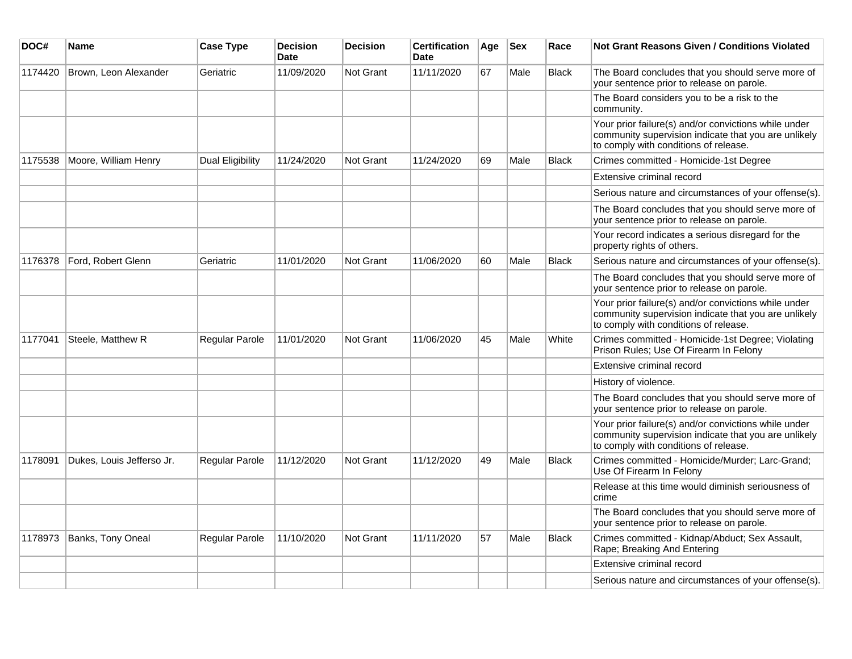| DOC#    | <b>Name</b>               | <b>Case Type</b> | <b>Decision</b><br>Date | <b>Decision</b> | <b>Certification</b><br>Date | Age | <b>Sex</b> | Race         | <b>Not Grant Reasons Given / Conditions Violated</b>                                                                                                  |
|---------|---------------------------|------------------|-------------------------|-----------------|------------------------------|-----|------------|--------------|-------------------------------------------------------------------------------------------------------------------------------------------------------|
| 1174420 | Brown, Leon Alexander     | Geriatric        | 11/09/2020              | Not Grant       | 11/11/2020                   | 67  | Male       | <b>Black</b> | The Board concludes that you should serve more of<br>your sentence prior to release on parole.                                                        |
|         |                           |                  |                         |                 |                              |     |            |              | The Board considers you to be a risk to the<br>community.                                                                                             |
|         |                           |                  |                         |                 |                              |     |            |              | Your prior failure(s) and/or convictions while under<br>community supervision indicate that you are unlikely<br>to comply with conditions of release. |
| 1175538 | Moore, William Henry      | Dual Eligibility | 11/24/2020              | Not Grant       | 11/24/2020                   | 69  | Male       | <b>Black</b> | Crimes committed - Homicide-1st Degree                                                                                                                |
|         |                           |                  |                         |                 |                              |     |            |              | Extensive criminal record                                                                                                                             |
|         |                           |                  |                         |                 |                              |     |            |              | Serious nature and circumstances of your offense(s).                                                                                                  |
|         |                           |                  |                         |                 |                              |     |            |              | The Board concludes that you should serve more of<br>your sentence prior to release on parole.                                                        |
|         |                           |                  |                         |                 |                              |     |            |              | Your record indicates a serious disregard for the<br>property rights of others.                                                                       |
| 1176378 | Ford. Robert Glenn        | Geriatric        | 11/01/2020              | Not Grant       | 11/06/2020                   | 60  | Male       | <b>Black</b> | Serious nature and circumstances of your offense(s).                                                                                                  |
|         |                           |                  |                         |                 |                              |     |            |              | The Board concludes that you should serve more of<br>your sentence prior to release on parole.                                                        |
|         |                           |                  |                         |                 |                              |     |            |              | Your prior failure(s) and/or convictions while under<br>community supervision indicate that you are unlikely<br>to comply with conditions of release. |
| 1177041 | Steele, Matthew R         | Regular Parole   | 11/01/2020              | Not Grant       | 11/06/2020                   | 45  | Male       | White        | Crimes committed - Homicide-1st Degree; Violating<br>Prison Rules; Use Of Firearm In Felony                                                           |
|         |                           |                  |                         |                 |                              |     |            |              | Extensive criminal record                                                                                                                             |
|         |                           |                  |                         |                 |                              |     |            |              | History of violence.                                                                                                                                  |
|         |                           |                  |                         |                 |                              |     |            |              | The Board concludes that you should serve more of<br>your sentence prior to release on parole.                                                        |
|         |                           |                  |                         |                 |                              |     |            |              | Your prior failure(s) and/or convictions while under<br>community supervision indicate that you are unlikely<br>to comply with conditions of release. |
| 1178091 | Dukes, Louis Jefferso Jr. | Regular Parole   | 11/12/2020              | Not Grant       | 11/12/2020                   | 49  | Male       | <b>Black</b> | Crimes committed - Homicide/Murder; Larc-Grand;<br>Use Of Firearm In Felony                                                                           |
|         |                           |                  |                         |                 |                              |     |            |              | Release at this time would diminish seriousness of<br>crime                                                                                           |
|         |                           |                  |                         |                 |                              |     |            |              | The Board concludes that you should serve more of<br>your sentence prior to release on parole.                                                        |
| 1178973 | Banks, Tony Oneal         | Regular Parole   | 11/10/2020              | Not Grant       | 11/11/2020                   | 57  | Male       | <b>Black</b> | Crimes committed - Kidnap/Abduct; Sex Assault,<br>Rape; Breaking And Entering                                                                         |
|         |                           |                  |                         |                 |                              |     |            |              | Extensive criminal record                                                                                                                             |
|         |                           |                  |                         |                 |                              |     |            |              | Serious nature and circumstances of your offense(s).                                                                                                  |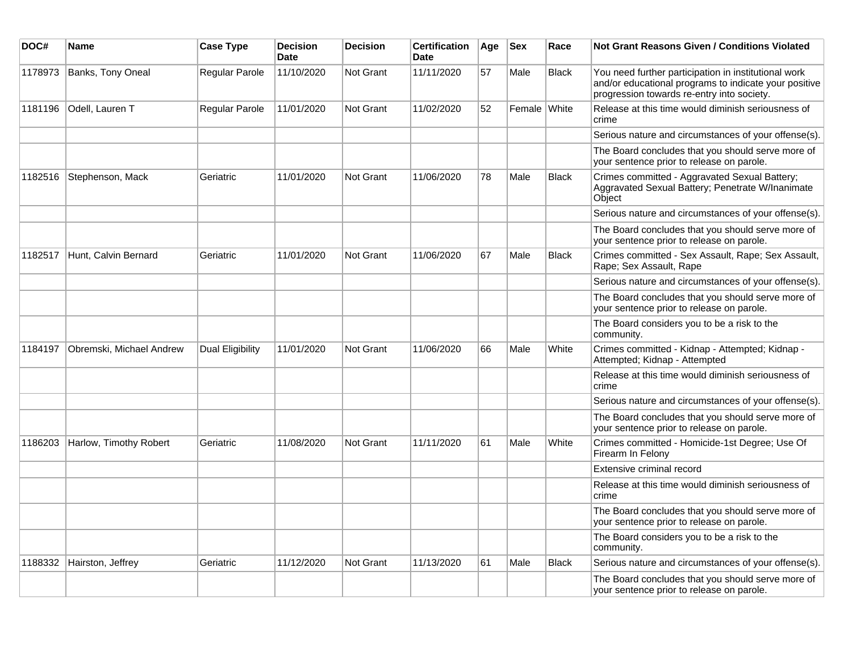| DOC#    | Name                     | <b>Case Type</b> | <b>Decision</b><br>Date | <b>Decision</b> | <b>Certification</b><br><b>Date</b> | Age | <b>Sex</b>   | Race         | Not Grant Reasons Given / Conditions Violated                                                                                                               |
|---------|--------------------------|------------------|-------------------------|-----------------|-------------------------------------|-----|--------------|--------------|-------------------------------------------------------------------------------------------------------------------------------------------------------------|
| 1178973 | Banks, Tony Oneal        | Regular Parole   | 11/10/2020              | Not Grant       | 11/11/2020                          | 57  | Male         | <b>Black</b> | You need further participation in institutional work<br>and/or educational programs to indicate your positive<br>progression towards re-entry into society. |
| 1181196 | Odell, Lauren T          | Regular Parole   | 11/01/2020              | Not Grant       | 11/02/2020                          | 52  | Female White |              | Release at this time would diminish seriousness of<br>crime                                                                                                 |
|         |                          |                  |                         |                 |                                     |     |              |              | Serious nature and circumstances of your offense(s).                                                                                                        |
|         |                          |                  |                         |                 |                                     |     |              |              | The Board concludes that you should serve more of<br>your sentence prior to release on parole.                                                              |
| 1182516 | Stephenson, Mack         | Geriatric        | 11/01/2020              | Not Grant       | 11/06/2020                          | 78  | Male         | <b>Black</b> | Crimes committed - Aggravated Sexual Battery;<br>Aggravated Sexual Battery; Penetrate W/Inanimate<br>Object                                                 |
|         |                          |                  |                         |                 |                                     |     |              |              | Serious nature and circumstances of your offense(s).                                                                                                        |
|         |                          |                  |                         |                 |                                     |     |              |              | The Board concludes that you should serve more of<br>your sentence prior to release on parole.                                                              |
| 1182517 | Hunt, Calvin Bernard     | Geriatric        | 11/01/2020              | Not Grant       | 11/06/2020                          | 67  | Male         | <b>Black</b> | Crimes committed - Sex Assault, Rape; Sex Assault,<br>Rape; Sex Assault, Rape                                                                               |
|         |                          |                  |                         |                 |                                     |     |              |              | Serious nature and circumstances of your offense(s).                                                                                                        |
|         |                          |                  |                         |                 |                                     |     |              |              | The Board concludes that you should serve more of<br>your sentence prior to release on parole.                                                              |
|         |                          |                  |                         |                 |                                     |     |              |              | The Board considers you to be a risk to the<br>community.                                                                                                   |
| 1184197 | Obremski, Michael Andrew | Dual Eligibility | 11/01/2020              | Not Grant       | 11/06/2020                          | 66  | Male         | White        | Crimes committed - Kidnap - Attempted; Kidnap -<br>Attempted; Kidnap - Attempted                                                                            |
|         |                          |                  |                         |                 |                                     |     |              |              | Release at this time would diminish seriousness of<br>crime                                                                                                 |
|         |                          |                  |                         |                 |                                     |     |              |              | Serious nature and circumstances of your offense(s).                                                                                                        |
|         |                          |                  |                         |                 |                                     |     |              |              | The Board concludes that you should serve more of<br>your sentence prior to release on parole.                                                              |
| 1186203 | Harlow, Timothy Robert   | Geriatric        | 11/08/2020              | Not Grant       | 11/11/2020                          | 61  | Male         | White        | Crimes committed - Homicide-1st Degree; Use Of<br>Firearm In Felony                                                                                         |
|         |                          |                  |                         |                 |                                     |     |              |              | Extensive criminal record                                                                                                                                   |
|         |                          |                  |                         |                 |                                     |     |              |              | Release at this time would diminish seriousness of<br>crime                                                                                                 |
|         |                          |                  |                         |                 |                                     |     |              |              | The Board concludes that you should serve more of<br>your sentence prior to release on parole.                                                              |
|         |                          |                  |                         |                 |                                     |     |              |              | The Board considers you to be a risk to the<br>community.                                                                                                   |
| 1188332 | Hairston, Jeffrey        | Geriatric        | 11/12/2020              | Not Grant       | 11/13/2020                          | 61  | Male         | <b>Black</b> | Serious nature and circumstances of your offense(s).                                                                                                        |
|         |                          |                  |                         |                 |                                     |     |              |              | The Board concludes that you should serve more of<br>your sentence prior to release on parole.                                                              |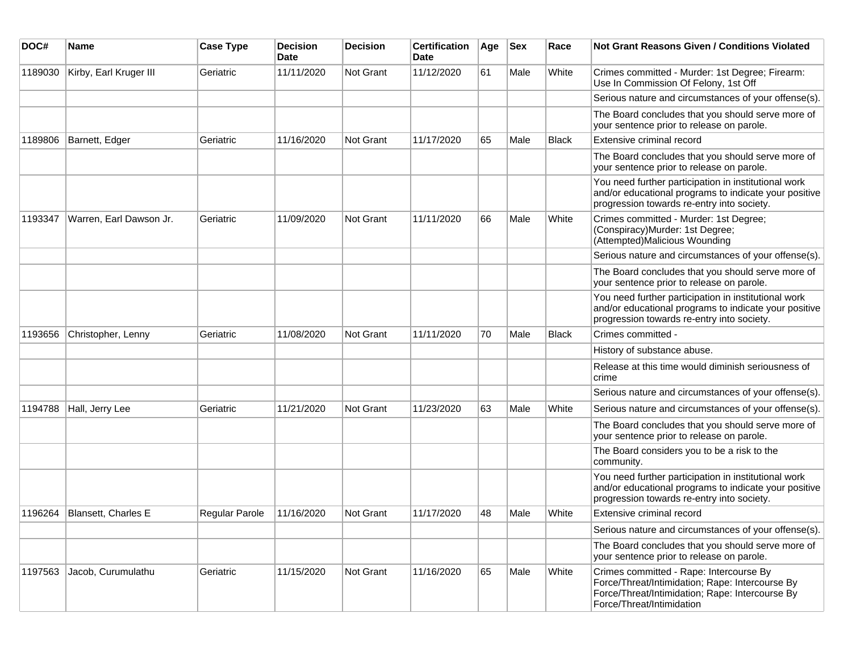| DOC#    | Name                    | <b>Case Type</b> | <b>Decision</b><br>Date | <b>Decision</b> | <b>Certification</b><br>Date | Age | <b>Sex</b> | Race         | <b>Not Grant Reasons Given / Conditions Violated</b>                                                                                                                       |
|---------|-------------------------|------------------|-------------------------|-----------------|------------------------------|-----|------------|--------------|----------------------------------------------------------------------------------------------------------------------------------------------------------------------------|
| 1189030 | Kirby, Earl Kruger III  | Geriatric        | 11/11/2020              | Not Grant       | 11/12/2020                   | 61  | Male       | White        | Crimes committed - Murder: 1st Degree; Firearm:<br>Use In Commission Of Felony, 1st Off                                                                                    |
|         |                         |                  |                         |                 |                              |     |            |              | Serious nature and circumstances of your offense(s).                                                                                                                       |
|         |                         |                  |                         |                 |                              |     |            |              | The Board concludes that you should serve more of<br>your sentence prior to release on parole.                                                                             |
| 1189806 | Barnett, Edger          | Geriatric        | 11/16/2020              | Not Grant       | 11/17/2020                   | 65  | Male       | <b>Black</b> | Extensive criminal record                                                                                                                                                  |
|         |                         |                  |                         |                 |                              |     |            |              | The Board concludes that you should serve more of<br>your sentence prior to release on parole.                                                                             |
|         |                         |                  |                         |                 |                              |     |            |              | You need further participation in institutional work<br>and/or educational programs to indicate your positive<br>progression towards re-entry into society.                |
| 1193347 | Warren, Earl Dawson Jr. | Geriatric        | 11/09/2020              | Not Grant       | 11/11/2020                   | 66  | Male       | White        | Crimes committed - Murder: 1st Degree;<br>(Conspiracy)Murder: 1st Degree;<br>(Attempted)Malicious Wounding                                                                 |
|         |                         |                  |                         |                 |                              |     |            |              | Serious nature and circumstances of your offense(s).                                                                                                                       |
|         |                         |                  |                         |                 |                              |     |            |              | The Board concludes that you should serve more of<br>your sentence prior to release on parole.                                                                             |
|         |                         |                  |                         |                 |                              |     |            |              | You need further participation in institutional work<br>and/or educational programs to indicate your positive<br>progression towards re-entry into society.                |
| 1193656 | Christopher, Lenny      | Geriatric        | 11/08/2020              | Not Grant       | 11/11/2020                   | 70  | Male       | Black        | Crimes committed -                                                                                                                                                         |
|         |                         |                  |                         |                 |                              |     |            |              | History of substance abuse.                                                                                                                                                |
|         |                         |                  |                         |                 |                              |     |            |              | Release at this time would diminish seriousness of<br>crime                                                                                                                |
|         |                         |                  |                         |                 |                              |     |            |              | Serious nature and circumstances of your offense(s).                                                                                                                       |
| 1194788 | Hall, Jerry Lee         | Geriatric        | 11/21/2020              | Not Grant       | 11/23/2020                   | 63  | Male       | White        | Serious nature and circumstances of your offense(s).                                                                                                                       |
|         |                         |                  |                         |                 |                              |     |            |              | The Board concludes that you should serve more of<br>your sentence prior to release on parole.                                                                             |
|         |                         |                  |                         |                 |                              |     |            |              | The Board considers you to be a risk to the<br>community.                                                                                                                  |
|         |                         |                  |                         |                 |                              |     |            |              | You need further participation in institutional work<br>and/or educational programs to indicate your positive<br>progression towards re-entry into society.                |
| 1196264 | Blansett, Charles E     | Regular Parole   | 11/16/2020              | Not Grant       | 11/17/2020                   | 48  | Male       | White        | Extensive criminal record                                                                                                                                                  |
|         |                         |                  |                         |                 |                              |     |            |              | Serious nature and circumstances of your offense(s).                                                                                                                       |
|         |                         |                  |                         |                 |                              |     |            |              | The Board concludes that you should serve more of<br>your sentence prior to release on parole.                                                                             |
| 1197563 | Jacob, Curumulathu      | Geriatric        | 11/15/2020              | Not Grant       | 11/16/2020                   | 65  | Male       | White        | Crimes committed - Rape: Intercourse By<br>Force/Threat/Intimidation; Rape: Intercourse By<br>Force/Threat/Intimidation; Rape: Intercourse By<br>Force/Threat/Intimidation |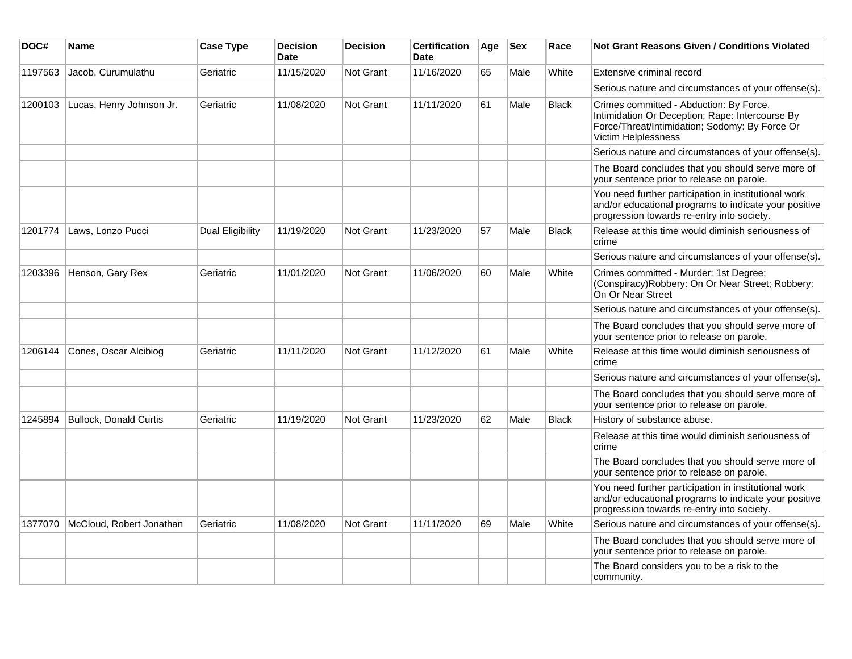| DOC#    | <b>Name</b>                   | <b>Case Type</b> | <b>Decision</b><br><b>Date</b> | <b>Decision</b>  | <b>Certification</b><br><b>Date</b> | Age | <b>Sex</b> | Race         | <b>Not Grant Reasons Given / Conditions Violated</b>                                                                                                                |
|---------|-------------------------------|------------------|--------------------------------|------------------|-------------------------------------|-----|------------|--------------|---------------------------------------------------------------------------------------------------------------------------------------------------------------------|
| 1197563 | Jacob, Curumulathu            | Geriatric        | 11/15/2020                     | <b>Not Grant</b> | 11/16/2020                          | 65  | Male       | White        | Extensive criminal record                                                                                                                                           |
|         |                               |                  |                                |                  |                                     |     |            |              | Serious nature and circumstances of your offense(s).                                                                                                                |
| 1200103 | Lucas, Henry Johnson Jr.      | Geriatric        | 11/08/2020                     | Not Grant        | 11/11/2020                          | 61  | Male       | <b>Black</b> | Crimes committed - Abduction: By Force,<br>Intimidation Or Deception; Rape: Intercourse By<br>Force/Threat/Intimidation; Sodomy: By Force Or<br>Victim Helplessness |
|         |                               |                  |                                |                  |                                     |     |            |              | Serious nature and circumstances of your offense(s).                                                                                                                |
|         |                               |                  |                                |                  |                                     |     |            |              | The Board concludes that you should serve more of<br>your sentence prior to release on parole.                                                                      |
|         |                               |                  |                                |                  |                                     |     |            |              | You need further participation in institutional work<br>and/or educational programs to indicate your positive<br>progression towards re-entry into society.         |
| 1201774 | Laws, Lonzo Pucci             | Dual Eligibility | 11/19/2020                     | <b>Not Grant</b> | 11/23/2020                          | 57  | Male       | <b>Black</b> | Release at this time would diminish seriousness of<br>crime                                                                                                         |
|         |                               |                  |                                |                  |                                     |     |            |              | Serious nature and circumstances of your offense(s).                                                                                                                |
| 1203396 | Henson, Gary Rex              | Geriatric        | 11/01/2020                     | <b>Not Grant</b> | 11/06/2020                          | 60  | Male       | White        | Crimes committed - Murder: 1st Degree;<br>(Conspiracy) Robbery: On Or Near Street; Robbery:<br>On Or Near Street                                                    |
|         |                               |                  |                                |                  |                                     |     |            |              | Serious nature and circumstances of your offense(s).                                                                                                                |
|         |                               |                  |                                |                  |                                     |     |            |              | The Board concludes that you should serve more of<br>your sentence prior to release on parole.                                                                      |
| 1206144 | Cones, Oscar Alcibiog         | Geriatric        | 11/11/2020                     | <b>Not Grant</b> | 11/12/2020                          | 61  | Male       | White        | Release at this time would diminish seriousness of<br>crime                                                                                                         |
|         |                               |                  |                                |                  |                                     |     |            |              | Serious nature and circumstances of your offense(s).                                                                                                                |
|         |                               |                  |                                |                  |                                     |     |            |              | The Board concludes that you should serve more of<br>your sentence prior to release on parole.                                                                      |
| 1245894 | <b>Bullock, Donald Curtis</b> | Geriatric        | 11/19/2020                     | <b>Not Grant</b> | 11/23/2020                          | 62  | Male       | Black        | History of substance abuse.                                                                                                                                         |
|         |                               |                  |                                |                  |                                     |     |            |              | Release at this time would diminish seriousness of<br>crime                                                                                                         |
|         |                               |                  |                                |                  |                                     |     |            |              | The Board concludes that you should serve more of<br>your sentence prior to release on parole.                                                                      |
|         |                               |                  |                                |                  |                                     |     |            |              | You need further participation in institutional work<br>and/or educational programs to indicate your positive<br>progression towards re-entry into society.         |
| 1377070 | McCloud, Robert Jonathan      | Geriatric        | 11/08/2020                     | <b>Not Grant</b> | 11/11/2020                          | 69  | Male       | White        | Serious nature and circumstances of your offense(s).                                                                                                                |
|         |                               |                  |                                |                  |                                     |     |            |              | The Board concludes that you should serve more of<br>your sentence prior to release on parole.                                                                      |
|         |                               |                  |                                |                  |                                     |     |            |              | The Board considers you to be a risk to the<br>community.                                                                                                           |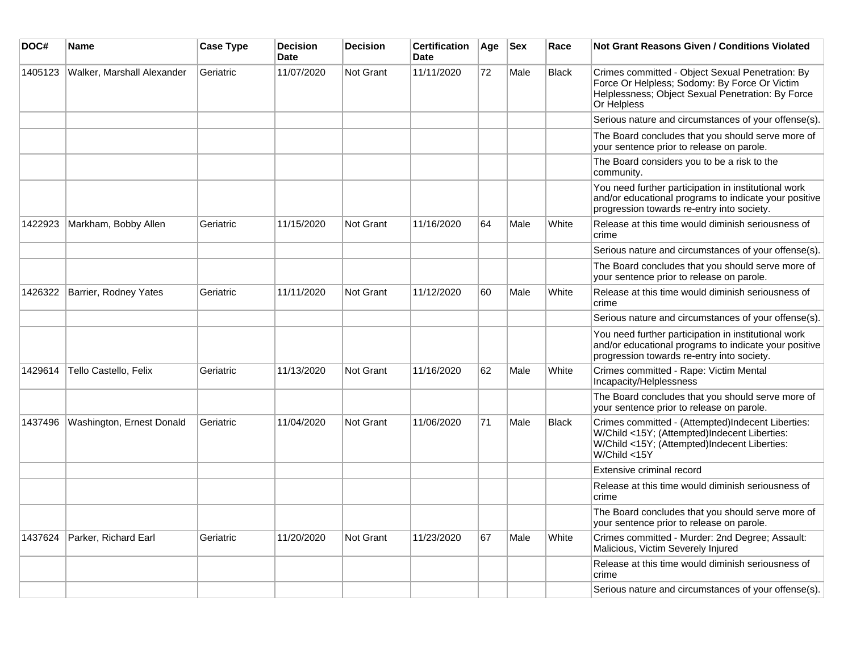| DOC#    | <b>Name</b>                | <b>Case Type</b> | <b>Decision</b><br><b>Date</b> | <b>Decision</b>  | <b>Certification</b><br><b>Date</b> | Age | <b>Sex</b> | Race         | <b>Not Grant Reasons Given / Conditions Violated</b>                                                                                                                  |
|---------|----------------------------|------------------|--------------------------------|------------------|-------------------------------------|-----|------------|--------------|-----------------------------------------------------------------------------------------------------------------------------------------------------------------------|
| 1405123 | Walker, Marshall Alexander | Geriatric        | 11/07/2020                     | Not Grant        | 11/11/2020                          | 72  | Male       | <b>Black</b> | Crimes committed - Object Sexual Penetration: By<br>Force Or Helpless; Sodomy: By Force Or Victim<br>Helplessness; Object Sexual Penetration: By Force<br>Or Helpless |
|         |                            |                  |                                |                  |                                     |     |            |              | Serious nature and circumstances of your offense(s).                                                                                                                  |
|         |                            |                  |                                |                  |                                     |     |            |              | The Board concludes that you should serve more of<br>your sentence prior to release on parole.                                                                        |
|         |                            |                  |                                |                  |                                     |     |            |              | The Board considers you to be a risk to the<br>community.                                                                                                             |
|         |                            |                  |                                |                  |                                     |     |            |              | You need further participation in institutional work<br>and/or educational programs to indicate your positive<br>progression towards re-entry into society.           |
| 1422923 | Markham, Bobby Allen       | Geriatric        | 11/15/2020                     | Not Grant        | 11/16/2020                          | 64  | Male       | White        | Release at this time would diminish seriousness of<br>crime                                                                                                           |
|         |                            |                  |                                |                  |                                     |     |            |              | Serious nature and circumstances of your offense(s).                                                                                                                  |
|         |                            |                  |                                |                  |                                     |     |            |              | The Board concludes that you should serve more of<br>your sentence prior to release on parole.                                                                        |
| 1426322 | Barrier, Rodney Yates      | Geriatric        | 11/11/2020                     | Not Grant        | 11/12/2020                          | 60  | Male       | White        | Release at this time would diminish seriousness of<br>crime                                                                                                           |
|         |                            |                  |                                |                  |                                     |     |            |              | Serious nature and circumstances of your offense(s).                                                                                                                  |
|         |                            |                  |                                |                  |                                     |     |            |              | You need further participation in institutional work<br>and/or educational programs to indicate your positive<br>progression towards re-entry into society.           |
| 1429614 | Tello Castello, Felix      | Geriatric        | 11/13/2020                     | Not Grant        | 11/16/2020                          | 62  | Male       | White        | Crimes committed - Rape: Victim Mental<br>Incapacity/Helplessness                                                                                                     |
|         |                            |                  |                                |                  |                                     |     |            |              | The Board concludes that you should serve more of<br>your sentence prior to release on parole.                                                                        |
| 1437496 | Washington, Ernest Donald  | Geriatric        | 11/04/2020                     | <b>Not Grant</b> | 11/06/2020                          | 71  | Male       | <b>Black</b> | Crimes committed - (Attempted)Indecent Liberties:<br>W/Child <15Y; (Attempted)Indecent Liberties:<br>W/Child <15Y; (Attempted)Indecent Liberties:<br>W/Child <15Y     |
|         |                            |                  |                                |                  |                                     |     |            |              | Extensive criminal record                                                                                                                                             |
|         |                            |                  |                                |                  |                                     |     |            |              | Release at this time would diminish seriousness of<br>crime                                                                                                           |
|         |                            |                  |                                |                  |                                     |     |            |              | The Board concludes that you should serve more of<br>your sentence prior to release on parole.                                                                        |
| 1437624 | Parker, Richard Earl       | Geriatric        | 11/20/2020                     | <b>Not Grant</b> | 11/23/2020                          | 67  | Male       | White        | Crimes committed - Murder: 2nd Degree; Assault:<br>Malicious, Victim Severely Injured                                                                                 |
|         |                            |                  |                                |                  |                                     |     |            |              | Release at this time would diminish seriousness of<br>crime                                                                                                           |
|         |                            |                  |                                |                  |                                     |     |            |              | Serious nature and circumstances of your offense(s).                                                                                                                  |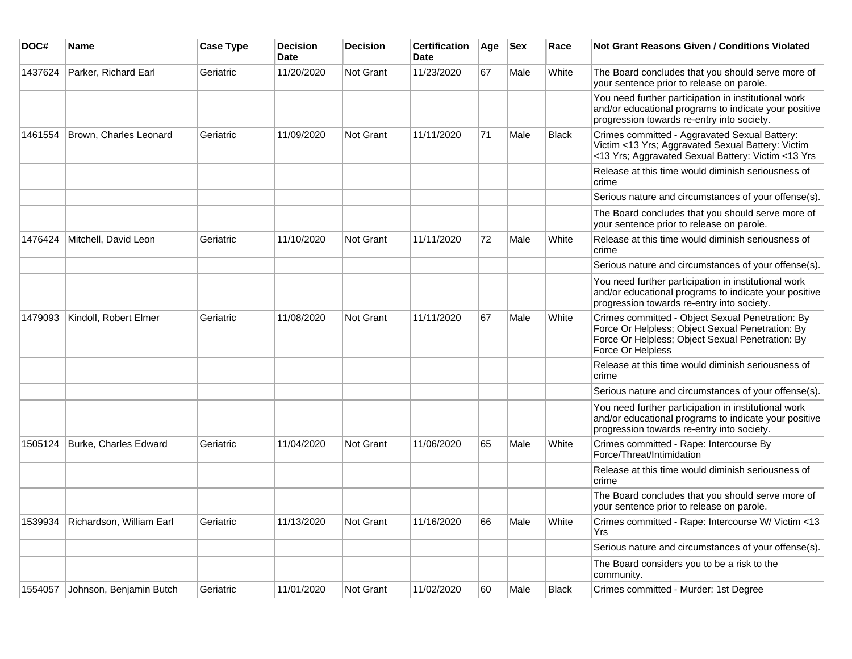| DOC#    | Name                     | <b>Case Type</b> | <b>Decision</b><br><b>Date</b> | <b>Decision</b>  | <b>Certification</b><br><b>Date</b> | Age | <b>Sex</b> | Race         | <b>Not Grant Reasons Given / Conditions Violated</b>                                                                                                                          |
|---------|--------------------------|------------------|--------------------------------|------------------|-------------------------------------|-----|------------|--------------|-------------------------------------------------------------------------------------------------------------------------------------------------------------------------------|
| 1437624 | Parker, Richard Earl     | Geriatric        | 11/20/2020                     | Not Grant        | 11/23/2020                          | 67  | Male       | White        | The Board concludes that you should serve more of<br>your sentence prior to release on parole.                                                                                |
|         |                          |                  |                                |                  |                                     |     |            |              | You need further participation in institutional work<br>and/or educational programs to indicate your positive<br>progression towards re-entry into society.                   |
| 1461554 | Brown, Charles Leonard   | Geriatric        | 11/09/2020                     | <b>Not Grant</b> | 11/11/2020                          | 71  | Male       | <b>Black</b> | Crimes committed - Aggravated Sexual Battery:<br>Victim <13 Yrs; Aggravated Sexual Battery: Victim<br><13 Yrs; Aggravated Sexual Battery: Victim <13 Yrs                      |
|         |                          |                  |                                |                  |                                     |     |            |              | Release at this time would diminish seriousness of<br>crime                                                                                                                   |
|         |                          |                  |                                |                  |                                     |     |            |              | Serious nature and circumstances of your offense(s).                                                                                                                          |
|         |                          |                  |                                |                  |                                     |     |            |              | The Board concludes that you should serve more of<br>your sentence prior to release on parole.                                                                                |
| 1476424 | Mitchell, David Leon     | Geriatric        | 11/10/2020                     | <b>Not Grant</b> | 11/11/2020                          | 72  | Male       | White        | Release at this time would diminish seriousness of<br>crime                                                                                                                   |
|         |                          |                  |                                |                  |                                     |     |            |              | Serious nature and circumstances of your offense(s).                                                                                                                          |
|         |                          |                  |                                |                  |                                     |     |            |              | You need further participation in institutional work<br>and/or educational programs to indicate your positive<br>progression towards re-entry into society.                   |
| 1479093 | Kindoll, Robert Elmer    | Geriatric        | 11/08/2020                     | Not Grant        | 11/11/2020                          | 67  | Male       | White        | Crimes committed - Object Sexual Penetration: By<br>Force Or Helpless; Object Sexual Penetration: By<br>Force Or Helpless: Object Sexual Penetration: By<br>Force Or Helpless |
|         |                          |                  |                                |                  |                                     |     |            |              | Release at this time would diminish seriousness of<br>crime                                                                                                                   |
|         |                          |                  |                                |                  |                                     |     |            |              | Serious nature and circumstances of your offense(s).                                                                                                                          |
|         |                          |                  |                                |                  |                                     |     |            |              | You need further participation in institutional work<br>and/or educational programs to indicate your positive<br>progression towards re-entry into society.                   |
| 1505124 | Burke, Charles Edward    | Geriatric        | 11/04/2020                     | <b>Not Grant</b> | 11/06/2020                          | 65  | Male       | White        | Crimes committed - Rape: Intercourse By<br>Force/Threat/Intimidation                                                                                                          |
|         |                          |                  |                                |                  |                                     |     |            |              | Release at this time would diminish seriousness of<br>crime                                                                                                                   |
|         |                          |                  |                                |                  |                                     |     |            |              | The Board concludes that you should serve more of<br>your sentence prior to release on parole.                                                                                |
| 1539934 | Richardson, William Earl | Geriatric        | 11/13/2020                     | <b>Not Grant</b> | 11/16/2020                          | 66  | Male       | White        | Crimes committed - Rape: Intercourse W/ Victim <13<br>Yrs                                                                                                                     |
|         |                          |                  |                                |                  |                                     |     |            |              | Serious nature and circumstances of your offense(s).                                                                                                                          |
|         |                          |                  |                                |                  |                                     |     |            |              | The Board considers you to be a risk to the<br>community.                                                                                                                     |
| 1554057 | Johnson, Benjamin Butch  | Geriatric        | 11/01/2020                     | Not Grant        | 11/02/2020                          | 60  | Male       | <b>Black</b> | Crimes committed - Murder: 1st Degree                                                                                                                                         |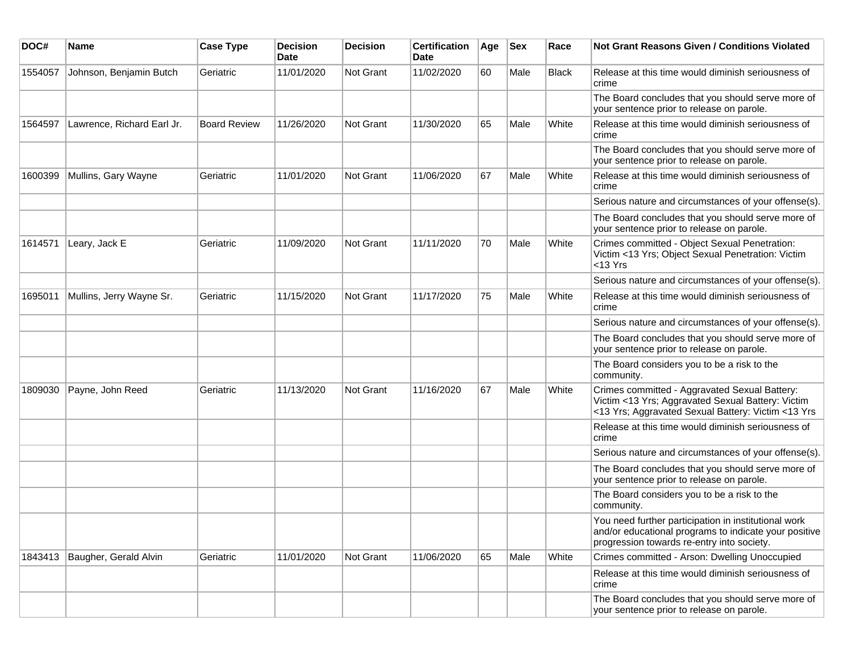| DOC#    | <b>Name</b>                | <b>Case Type</b>    | <b>Decision</b><br><b>Date</b> | <b>Decision</b> | <b>Certification</b><br>Date | Age | Sex  | Race         | Not Grant Reasons Given / Conditions Violated                                                                                                               |
|---------|----------------------------|---------------------|--------------------------------|-----------------|------------------------------|-----|------|--------------|-------------------------------------------------------------------------------------------------------------------------------------------------------------|
| 1554057 | Johnson, Benjamin Butch    | Geriatric           | 11/01/2020                     | Not Grant       | 11/02/2020                   | 60  | Male | <b>Black</b> | Release at this time would diminish seriousness of<br>crime                                                                                                 |
|         |                            |                     |                                |                 |                              |     |      |              | The Board concludes that you should serve more of<br>your sentence prior to release on parole.                                                              |
| 1564597 | Lawrence, Richard Earl Jr. | <b>Board Review</b> | 11/26/2020                     | Not Grant       | 11/30/2020                   | 65  | Male | White        | Release at this time would diminish seriousness of<br>crime                                                                                                 |
|         |                            |                     |                                |                 |                              |     |      |              | The Board concludes that you should serve more of<br>your sentence prior to release on parole.                                                              |
| 1600399 | Mullins, Gary Wayne        | Geriatric           | 11/01/2020                     | Not Grant       | 11/06/2020                   | 67  | Male | White        | Release at this time would diminish seriousness of<br>crime                                                                                                 |
|         |                            |                     |                                |                 |                              |     |      |              | Serious nature and circumstances of your offense(s).                                                                                                        |
|         |                            |                     |                                |                 |                              |     |      |              | The Board concludes that you should serve more of<br>your sentence prior to release on parole.                                                              |
| 1614571 | Leary, Jack E              | Geriatric           | 11/09/2020                     | Not Grant       | 11/11/2020                   | 70  | Male | White        | Crimes committed - Object Sexual Penetration:<br>Victim <13 Yrs; Object Sexual Penetration: Victim<br><13 Yrs                                               |
|         |                            |                     |                                |                 |                              |     |      |              | Serious nature and circumstances of your offense(s).                                                                                                        |
| 1695011 | Mullins, Jerry Wayne Sr.   | Geriatric           | 11/15/2020                     | Not Grant       | 11/17/2020                   | 75  | Male | White        | Release at this time would diminish seriousness of<br>crime                                                                                                 |
|         |                            |                     |                                |                 |                              |     |      |              | Serious nature and circumstances of your offense(s).                                                                                                        |
|         |                            |                     |                                |                 |                              |     |      |              | The Board concludes that you should serve more of<br>your sentence prior to release on parole.                                                              |
|         |                            |                     |                                |                 |                              |     |      |              | The Board considers you to be a risk to the<br>community.                                                                                                   |
| 1809030 | Payne, John Reed           | Geriatric           | 11/13/2020                     | Not Grant       | 11/16/2020                   | 67  | Male | White        | Crimes committed - Aggravated Sexual Battery:<br>Victim <13 Yrs; Aggravated Sexual Battery: Victim<br><13 Yrs; Aggravated Sexual Battery: Victim <13 Yrs    |
|         |                            |                     |                                |                 |                              |     |      |              | Release at this time would diminish seriousness of<br>crime                                                                                                 |
|         |                            |                     |                                |                 |                              |     |      |              | Serious nature and circumstances of your offense(s).                                                                                                        |
|         |                            |                     |                                |                 |                              |     |      |              | The Board concludes that you should serve more of<br>your sentence prior to release on parole.                                                              |
|         |                            |                     |                                |                 |                              |     |      |              | The Board considers you to be a risk to the<br>community.                                                                                                   |
|         |                            |                     |                                |                 |                              |     |      |              | You need further participation in institutional work<br>and/or educational programs to indicate your positive<br>progression towards re-entry into society. |
| 1843413 | Baugher, Gerald Alvin      | Geriatric           | 11/01/2020                     | Not Grant       | 11/06/2020                   | 65  | Male | White        | Crimes committed - Arson: Dwelling Unoccupied                                                                                                               |
|         |                            |                     |                                |                 |                              |     |      |              | Release at this time would diminish seriousness of<br>crime                                                                                                 |
|         |                            |                     |                                |                 |                              |     |      |              | The Board concludes that you should serve more of<br>your sentence prior to release on parole.                                                              |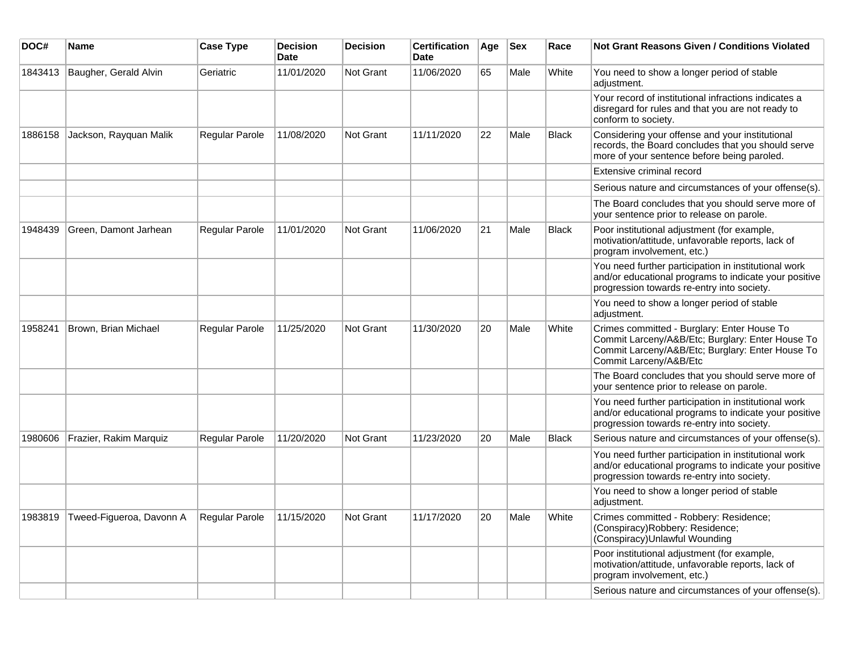| DOC#    | Name                     | <b>Case Type</b>      | <b>Decision</b><br><b>Date</b> | <b>Decision</b>  | <b>Certification</b><br><b>Date</b> | Age | <b>Sex</b> | Race         | <b>Not Grant Reasons Given / Conditions Violated</b>                                                                                                                          |
|---------|--------------------------|-----------------------|--------------------------------|------------------|-------------------------------------|-----|------------|--------------|-------------------------------------------------------------------------------------------------------------------------------------------------------------------------------|
| 1843413 | Baugher, Gerald Alvin    | Geriatric             | 11/01/2020                     | Not Grant        | 11/06/2020                          | 65  | Male       | White        | You need to show a longer period of stable<br>adjustment.                                                                                                                     |
|         |                          |                       |                                |                  |                                     |     |            |              | Your record of institutional infractions indicates a<br>disregard for rules and that you are not ready to<br>conform to society.                                              |
| 1886158 | Jackson, Rayquan Malik   | Regular Parole        | 11/08/2020                     | Not Grant        | 11/11/2020                          | 22  | Male       | <b>Black</b> | Considering your offense and your institutional<br>records, the Board concludes that you should serve<br>more of your sentence before being paroled.                          |
|         |                          |                       |                                |                  |                                     |     |            |              | Extensive criminal record                                                                                                                                                     |
|         |                          |                       |                                |                  |                                     |     |            |              | Serious nature and circumstances of your offense(s).                                                                                                                          |
|         |                          |                       |                                |                  |                                     |     |            |              | The Board concludes that you should serve more of<br>your sentence prior to release on parole.                                                                                |
| 1948439 | Green, Damont Jarhean    | <b>Regular Parole</b> | 11/01/2020                     | <b>Not Grant</b> | 11/06/2020                          | 21  | Male       | <b>Black</b> | Poor institutional adjustment (for example,<br>motivation/attitude, unfavorable reports, lack of<br>program involvement, etc.)                                                |
|         |                          |                       |                                |                  |                                     |     |            |              | You need further participation in institutional work<br>and/or educational programs to indicate your positive<br>progression towards re-entry into society.                   |
|         |                          |                       |                                |                  |                                     |     |            |              | You need to show a longer period of stable<br>adjustment.                                                                                                                     |
| 1958241 | Brown, Brian Michael     | Regular Parole        | 11/25/2020                     | Not Grant        | 11/30/2020                          | 20  | Male       | White        | Crimes committed - Burglary: Enter House To<br>Commit Larceny/A&B/Etc; Burglary: Enter House To<br>Commit Larceny/A&B/Etc; Burglary: Enter House To<br>Commit Larceny/A&B/Etc |
|         |                          |                       |                                |                  |                                     |     |            |              | The Board concludes that you should serve more of<br>your sentence prior to release on parole.                                                                                |
|         |                          |                       |                                |                  |                                     |     |            |              | You need further participation in institutional work<br>and/or educational programs to indicate your positive<br>progression towards re-entry into society.                   |
| 1980606 | Frazier, Rakim Marquiz   | <b>Regular Parole</b> | 11/20/2020                     | Not Grant        | 11/23/2020                          | 20  | Male       | <b>Black</b> | Serious nature and circumstances of your offense(s).                                                                                                                          |
|         |                          |                       |                                |                  |                                     |     |            |              | You need further participation in institutional work<br>and/or educational programs to indicate your positive<br>progression towards re-entry into society.                   |
|         |                          |                       |                                |                  |                                     |     |            |              | You need to show a longer period of stable<br>adjustment.                                                                                                                     |
| 1983819 | Tweed-Figueroa, Davonn A | Regular Parole        | 11/15/2020                     | Not Grant        | 11/17/2020                          | 20  | Male       | White        | Crimes committed - Robbery: Residence;<br>(Conspiracy)Robbery: Residence;<br>(Conspiracy) Unlawful Wounding                                                                   |
|         |                          |                       |                                |                  |                                     |     |            |              | Poor institutional adjustment (for example,<br>motivation/attitude, unfavorable reports, lack of<br>program involvement, etc.)                                                |
|         |                          |                       |                                |                  |                                     |     |            |              | Serious nature and circumstances of your offense(s).                                                                                                                          |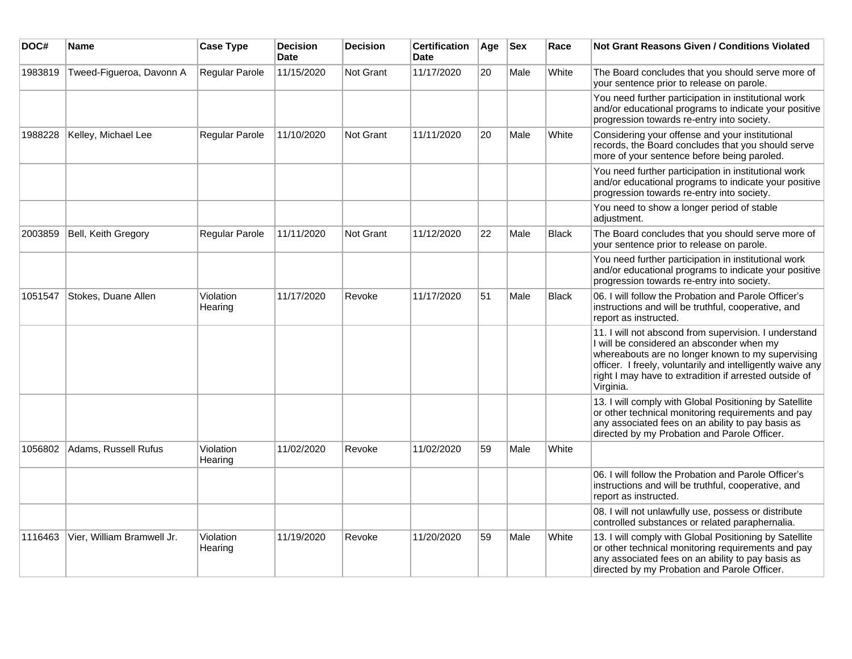| DOC#    | <b>Name</b>                | <b>Case Type</b>     | <b>Decision</b><br><b>Date</b> | <b>Decision</b>  | <b>Certification</b><br>Date | Age | <b>Sex</b> | Race         | <b>Not Grant Reasons Given / Conditions Violated</b>                                                                                                                                                                                                                                         |
|---------|----------------------------|----------------------|--------------------------------|------------------|------------------------------|-----|------------|--------------|----------------------------------------------------------------------------------------------------------------------------------------------------------------------------------------------------------------------------------------------------------------------------------------------|
| 1983819 | Tweed-Figueroa, Davonn A   | Regular Parole       | 11/15/2020                     | Not Grant        | 11/17/2020                   | 20  | Male       | White        | The Board concludes that you should serve more of<br>your sentence prior to release on parole.                                                                                                                                                                                               |
|         |                            |                      |                                |                  |                              |     |            |              | You need further participation in institutional work<br>and/or educational programs to indicate your positive<br>progression towards re-entry into society.                                                                                                                                  |
| 1988228 | Kelley, Michael Lee        | Regular Parole       | 11/10/2020                     | Not Grant        | 11/11/2020                   | 20  | Male       | White        | Considering your offense and your institutional<br>records, the Board concludes that you should serve<br>more of your sentence before being paroled.                                                                                                                                         |
|         |                            |                      |                                |                  |                              |     |            |              | You need further participation in institutional work<br>and/or educational programs to indicate your positive<br>progression towards re-entry into society.                                                                                                                                  |
|         |                            |                      |                                |                  |                              |     |            |              | You need to show a longer period of stable<br>adjustment.                                                                                                                                                                                                                                    |
| 2003859 | Bell, Keith Gregory        | Regular Parole       | 11/11/2020                     | <b>Not Grant</b> | 11/12/2020                   | 22  | Male       | Black        | The Board concludes that you should serve more of<br>your sentence prior to release on parole.                                                                                                                                                                                               |
|         |                            |                      |                                |                  |                              |     |            |              | You need further participation in institutional work<br>and/or educational programs to indicate your positive<br>progression towards re-entry into society.                                                                                                                                  |
| 1051547 | Stokes, Duane Allen        | Violation<br>Hearing | 11/17/2020                     | Revoke           | 11/17/2020                   | 51  | Male       | <b>Black</b> | 06. I will follow the Probation and Parole Officer's<br>instructions and will be truthful, cooperative, and<br>report as instructed.                                                                                                                                                         |
|         |                            |                      |                                |                  |                              |     |            |              | 11. I will not abscond from supervision. I understand<br>I will be considered an absconder when my<br>whereabouts are no longer known to my supervising<br>officer. I freely, voluntarily and intelligently waive any<br>right I may have to extradition if arrested outside of<br>Virginia. |
|         |                            |                      |                                |                  |                              |     |            |              | 13. I will comply with Global Positioning by Satellite<br>or other technical monitoring requirements and pay<br>any associated fees on an ability to pay basis as<br>directed by my Probation and Parole Officer.                                                                            |
| 1056802 | Adams, Russell Rufus       | Violation<br>Hearing | 11/02/2020                     | Revoke           | 11/02/2020                   | 59  | Male       | White        |                                                                                                                                                                                                                                                                                              |
|         |                            |                      |                                |                  |                              |     |            |              | 06. I will follow the Probation and Parole Officer's<br>instructions and will be truthful, cooperative, and<br>report as instructed.                                                                                                                                                         |
|         |                            |                      |                                |                  |                              |     |            |              | 08. I will not unlawfully use, possess or distribute<br>controlled substances or related paraphernalia.                                                                                                                                                                                      |
| 1116463 | Vier, William Bramwell Jr. | Violation<br>Hearing | 11/19/2020                     | Revoke           | 11/20/2020                   | 59  | Male       | White        | 13. I will comply with Global Positioning by Satellite<br>or other technical monitoring requirements and pay<br>any associated fees on an ability to pay basis as<br>directed by my Probation and Parole Officer.                                                                            |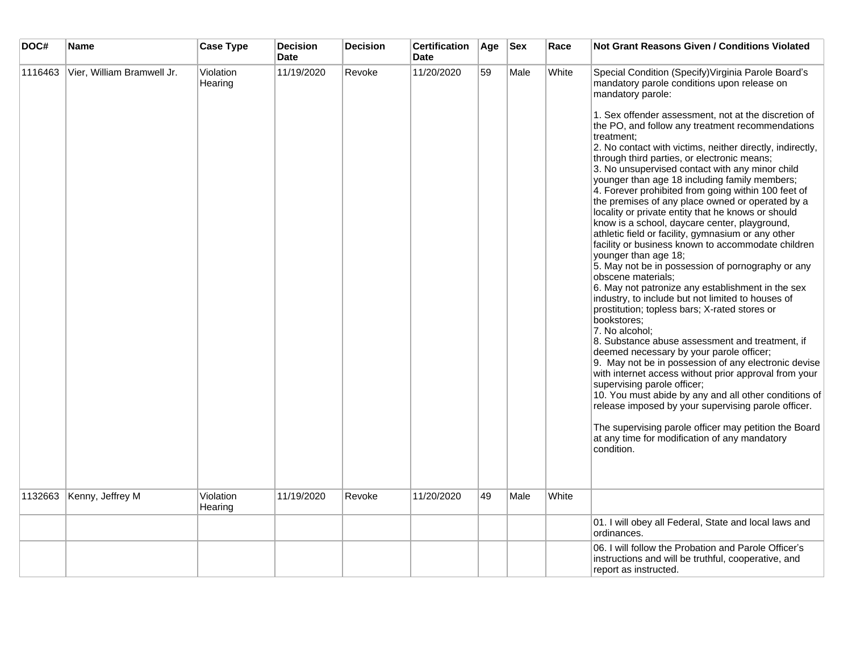| DOC#    | <b>Name</b>                | <b>Case Type</b>     | <b>Decision</b><br><b>Date</b> | <b>Decision</b> | <b>Certification</b><br><b>Date</b> | Age | <b>Sex</b> | Race  | <b>Not Grant Reasons Given / Conditions Violated</b>                                                                                                                                                                                                                                                                                                                                                                                                                                                                                                                                                                                                                                                                                                                                                                                                                                                                                                                                                                                                                                                                                                                                                                                                                                                                                                                                                                                                       |
|---------|----------------------------|----------------------|--------------------------------|-----------------|-------------------------------------|-----|------------|-------|------------------------------------------------------------------------------------------------------------------------------------------------------------------------------------------------------------------------------------------------------------------------------------------------------------------------------------------------------------------------------------------------------------------------------------------------------------------------------------------------------------------------------------------------------------------------------------------------------------------------------------------------------------------------------------------------------------------------------------------------------------------------------------------------------------------------------------------------------------------------------------------------------------------------------------------------------------------------------------------------------------------------------------------------------------------------------------------------------------------------------------------------------------------------------------------------------------------------------------------------------------------------------------------------------------------------------------------------------------------------------------------------------------------------------------------------------------|
| 1116463 | Vier, William Bramwell Jr. | Violation<br>Hearing | 11/19/2020                     | Revoke          | 11/20/2020                          | 59  | Male       | White | Special Condition (Specify) Virginia Parole Board's<br>mandatory parole conditions upon release on<br>mandatory parole:                                                                                                                                                                                                                                                                                                                                                                                                                                                                                                                                                                                                                                                                                                                                                                                                                                                                                                                                                                                                                                                                                                                                                                                                                                                                                                                                    |
|         |                            |                      |                                |                 |                                     |     |            |       | 1. Sex offender assessment, not at the discretion of<br>the PO, and follow any treatment recommendations<br>treatment:<br>2. No contact with victims, neither directly, indirectly,<br>through third parties, or electronic means;<br>3. No unsupervised contact with any minor child<br>younger than age 18 including family members;<br>4. Forever prohibited from going within 100 feet of<br>the premises of any place owned or operated by a<br>locality or private entity that he knows or should<br>know is a school, daycare center, playground,<br>athletic field or facility, gymnasium or any other<br>facility or business known to accommodate children<br>younger than age 18;<br>5. May not be in possession of pornography or any<br>obscene materials;<br>6. May not patronize any establishment in the sex<br>industry, to include but not limited to houses of<br>prostitution; topless bars; X-rated stores or<br>bookstores;<br>7. No alcohol;<br>8. Substance abuse assessment and treatment, if<br>deemed necessary by your parole officer;<br>9. May not be in possession of any electronic devise<br>with internet access without prior approval from your<br>supervising parole officer;<br>10. You must abide by any and all other conditions of<br>release imposed by your supervising parole officer.<br>The supervising parole officer may petition the Board<br>at any time for modification of any mandatory<br>condition. |
| 1132663 | Kenny, Jeffrey M           | Violation<br>Hearing | 11/19/2020                     | Revoke          | 11/20/2020                          | 49  | Male       | White |                                                                                                                                                                                                                                                                                                                                                                                                                                                                                                                                                                                                                                                                                                                                                                                                                                                                                                                                                                                                                                                                                                                                                                                                                                                                                                                                                                                                                                                            |
|         |                            |                      |                                |                 |                                     |     |            |       | 01. I will obey all Federal, State and local laws and<br>ordinances.                                                                                                                                                                                                                                                                                                                                                                                                                                                                                                                                                                                                                                                                                                                                                                                                                                                                                                                                                                                                                                                                                                                                                                                                                                                                                                                                                                                       |
|         |                            |                      |                                |                 |                                     |     |            |       | 06. I will follow the Probation and Parole Officer's<br>instructions and will be truthful, cooperative, and<br>report as instructed.                                                                                                                                                                                                                                                                                                                                                                                                                                                                                                                                                                                                                                                                                                                                                                                                                                                                                                                                                                                                                                                                                                                                                                                                                                                                                                                       |